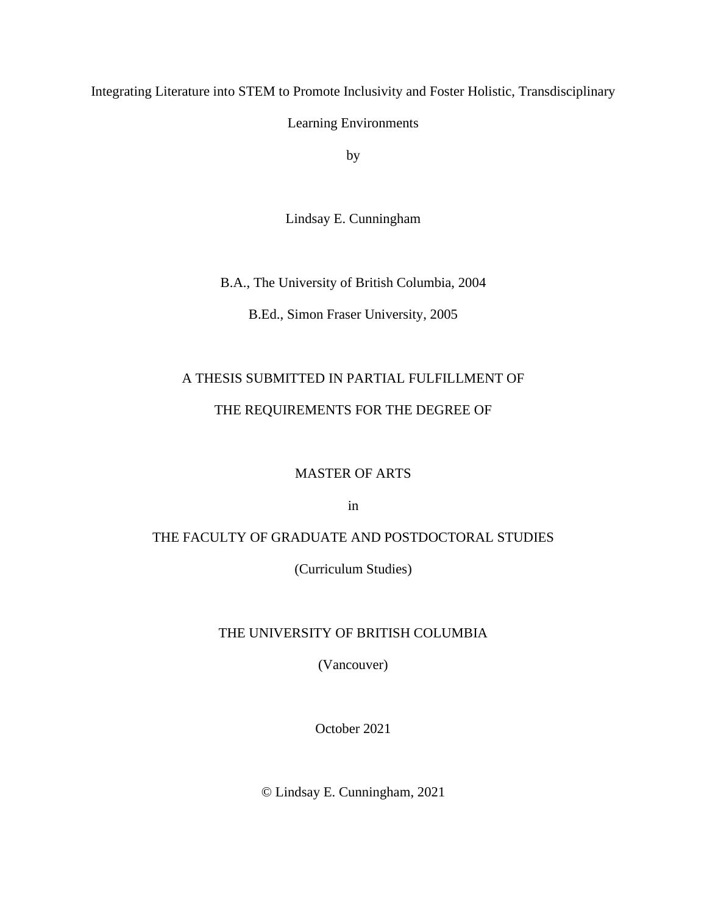Integrating Literature into STEM to Promote Inclusivity and Foster Holistic, Transdisciplinary

Learning Environments

by

Lindsay E. Cunningham

B.A., The University of British Columbia, 2004

B.Ed., Simon Fraser University, 2005

# A THESIS SUBMITTED IN PARTIAL FULFILLMENT OF

## THE REQUIREMENTS FOR THE DEGREE OF

## MASTER OF ARTS

in

## THE FACULTY OF GRADUATE AND POSTDOCTORAL STUDIES

(Curriculum Studies)

## THE UNIVERSITY OF BRITISH COLUMBIA

(Vancouver)

October 2021

© Lindsay E. Cunningham, 2021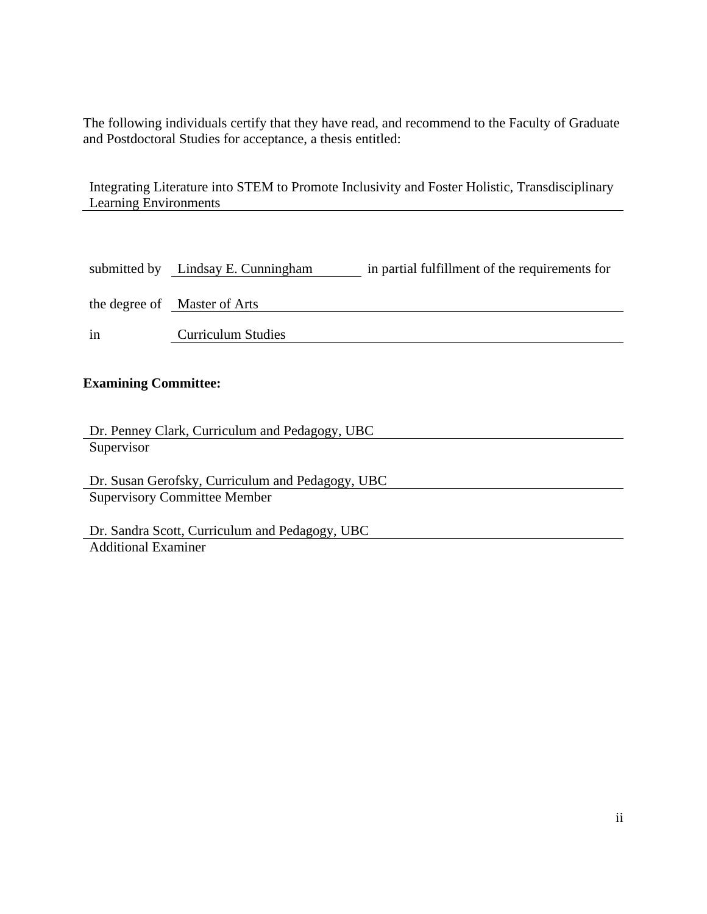The following individuals certify that they have read, and recommend to the Faculty of Graduate and Postdoctoral Studies for acceptance, a thesis entitled:

Integrating Literature into STEM to Promote Inclusivity and Foster Holistic, Transdisciplinary Learning Environments

|    | submitted by Lindsay E. Cunningham | in partial fulfillment of the requirements for |
|----|------------------------------------|------------------------------------------------|
|    | the degree of Master of Arts       |                                                |
| in | <b>Curriculum Studies</b>          |                                                |

# **Examining Committee:**

| Dr. Penney Clark, Curriculum and Pedagogy, UBC |
|------------------------------------------------|
| Supervisor                                     |
|                                                |

Dr. Susan Gerofsky, Curriculum and Pedagogy, UBC Supervisory Committee Member

Dr. Sandra Scott, Curriculum and Pedagogy, UBC Additional Examiner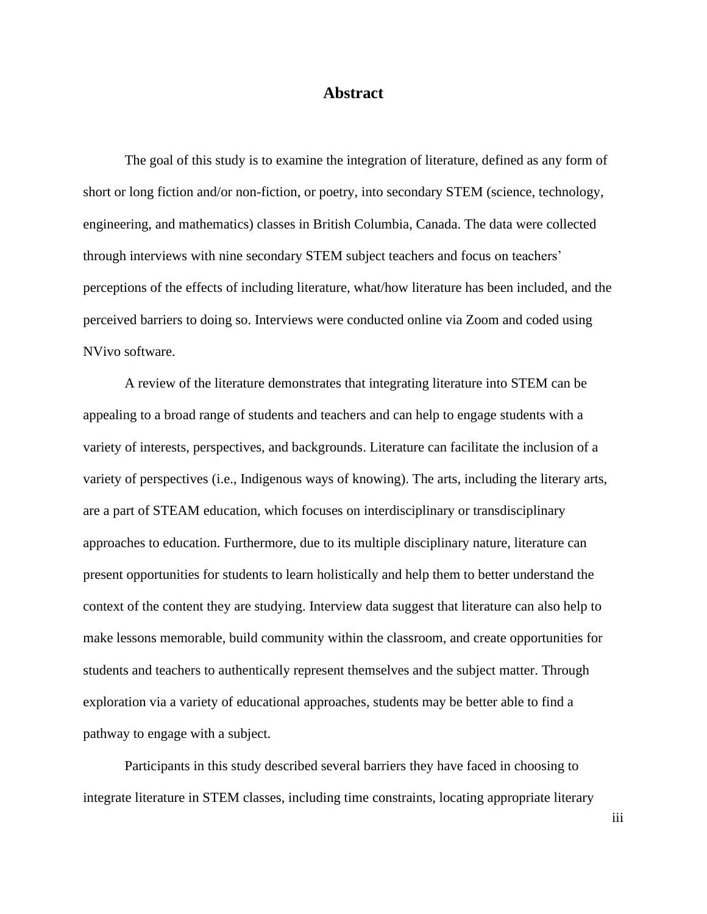## **Abstract**

The goal of this study is to examine the integration of literature, defined as any form of short or long fiction and/or non-fiction, or poetry, into secondary STEM (science, technology, engineering, and mathematics) classes in British Columbia, Canada. The data were collected through interviews with nine secondary STEM subject teachers and focus on teachers' perceptions of the effects of including literature, what/how literature has been included, and the perceived barriers to doing so. Interviews were conducted online via Zoom and coded using NVivo software.

A review of the literature demonstrates that integrating literature into STEM can be appealing to a broad range of students and teachers and can help to engage students with a variety of interests, perspectives, and backgrounds. Literature can facilitate the inclusion of a variety of perspectives (i.e., Indigenous ways of knowing). The arts, including the literary arts, are a part of STEAM education, which focuses on interdisciplinary or transdisciplinary approaches to education. Furthermore, due to its multiple disciplinary nature, literature can present opportunities for students to learn holistically and help them to better understand the context of the content they are studying. Interview data suggest that literature can also help to make lessons memorable, build community within the classroom, and create opportunities for students and teachers to authentically represent themselves and the subject matter. Through exploration via a variety of educational approaches, students may be better able to find a pathway to engage with a subject.

Participants in this study described several barriers they have faced in choosing to integrate literature in STEM classes, including time constraints, locating appropriate literary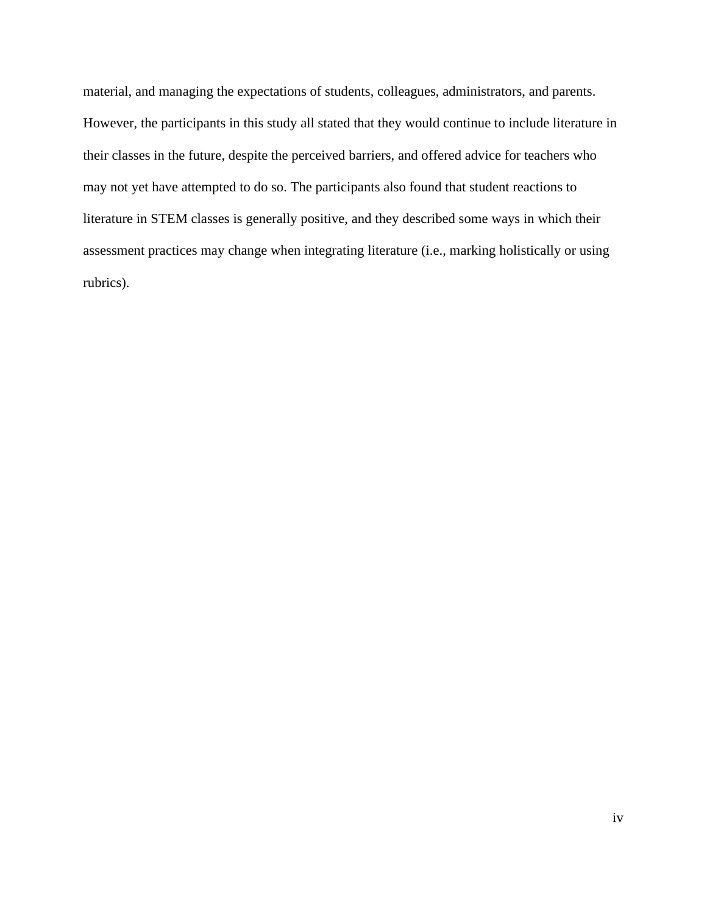material, and managing the expectations of students, colleagues, administrators, and parents. However, the participants in this study all stated that they would continue to include literature in their classes in the future, despite the perceived barriers, and offered advice for teachers who may not yet have attempted to do so. The participants also found that student reactions to literature in STEM classes is generally positive, and they described some ways in which their assessment practices may change when integrating literature (i.e., marking holistically or using rubrics).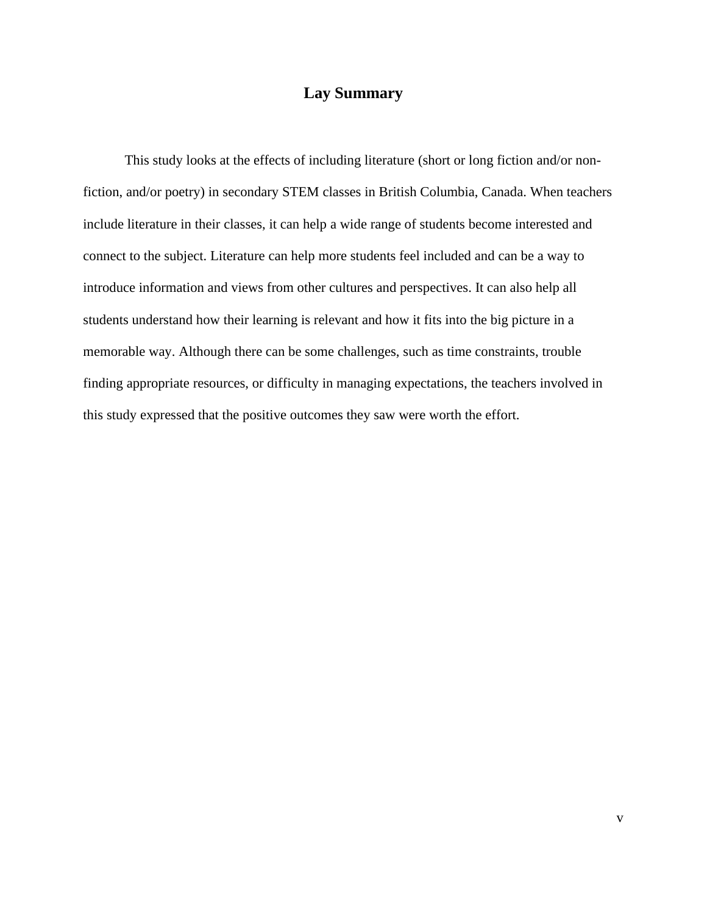# **Lay Summary**

This study looks at the effects of including literature (short or long fiction and/or nonfiction, and/or poetry) in secondary STEM classes in British Columbia, Canada. When teachers include literature in their classes, it can help a wide range of students become interested and connect to the subject. Literature can help more students feel included and can be a way to introduce information and views from other cultures and perspectives. It can also help all students understand how their learning is relevant and how it fits into the big picture in a memorable way. Although there can be some challenges, such as time constraints, trouble finding appropriate resources, or difficulty in managing expectations, the teachers involved in this study expressed that the positive outcomes they saw were worth the effort.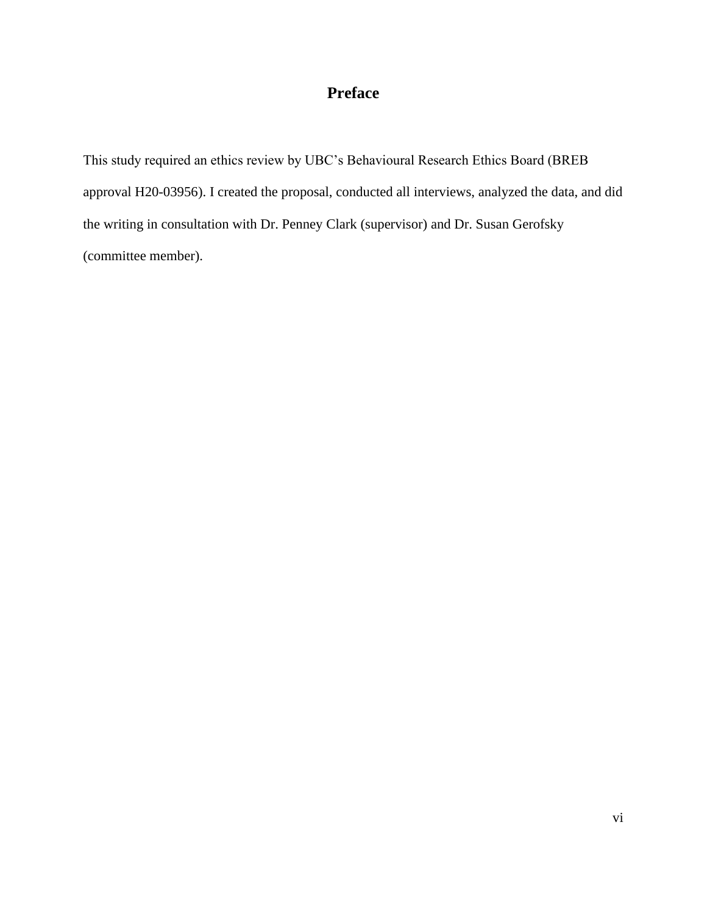# **Preface**

This study required an ethics review by UBC's Behavioural Research Ethics Board (BREB approval H20-03956). I created the proposal, conducted all interviews, analyzed the data, and did the writing in consultation with Dr. Penney Clark (supervisor) and Dr. Susan Gerofsky (committee member).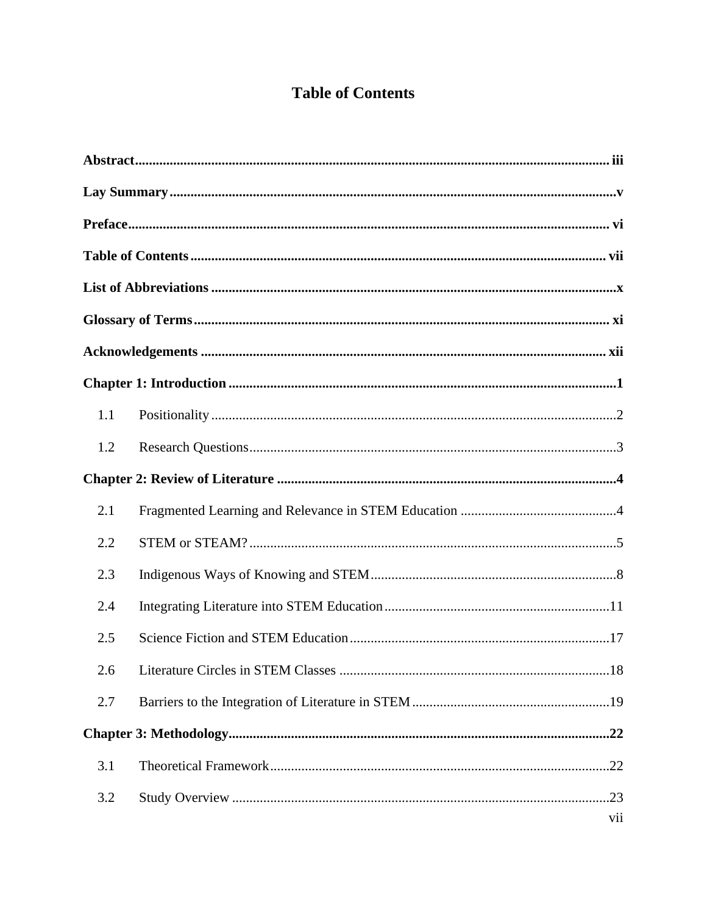# **Table of Contents**

| 1.1 |     |
|-----|-----|
| 1.2 |     |
|     |     |
| 2.1 |     |
| 2.2 |     |
| 2.3 |     |
| 2.4 |     |
| 2.5 |     |
|     |     |
| 2.7 |     |
|     |     |
| 3.1 |     |
| 3.2 |     |
|     | vii |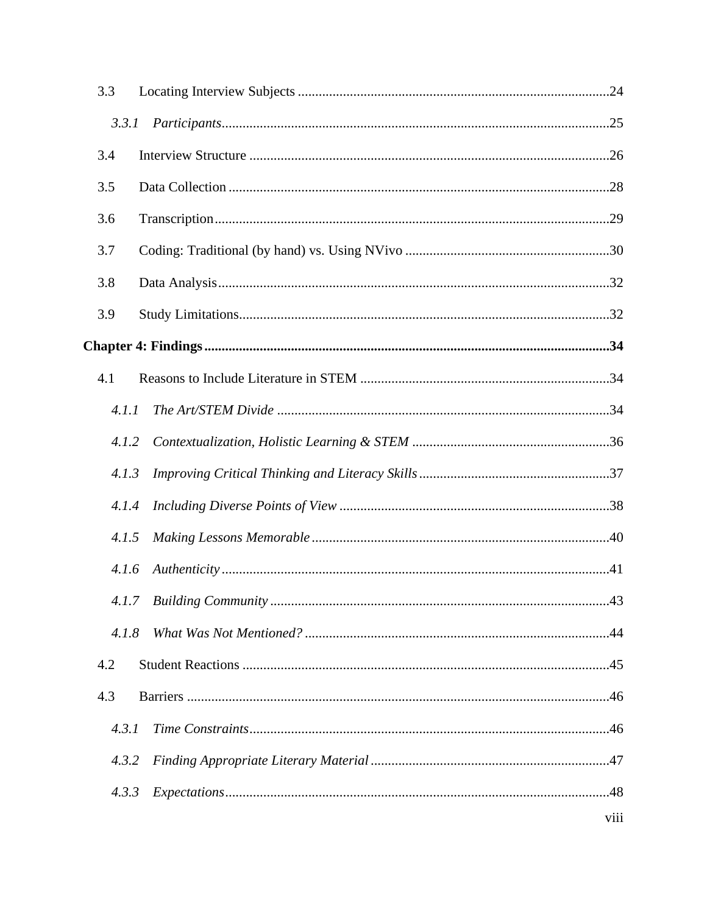| 3.3   |      |
|-------|------|
| 3.3.1 |      |
| 3.4   |      |
| 3.5   |      |
| 3.6   |      |
| 3.7   |      |
| 3.8   |      |
| 3.9   |      |
|       |      |
| 4.1   |      |
| 4.1.1 |      |
| 4.1.2 |      |
| 4.1.3 |      |
| 4.1.4 |      |
| 4.1.5 |      |
| 4.1.6 |      |
|       |      |
| 4.1.8 |      |
| 4.2   |      |
| 4.3   |      |
| 4.3.1 |      |
| 4.3.2 |      |
| 4.3.3 |      |
|       | viii |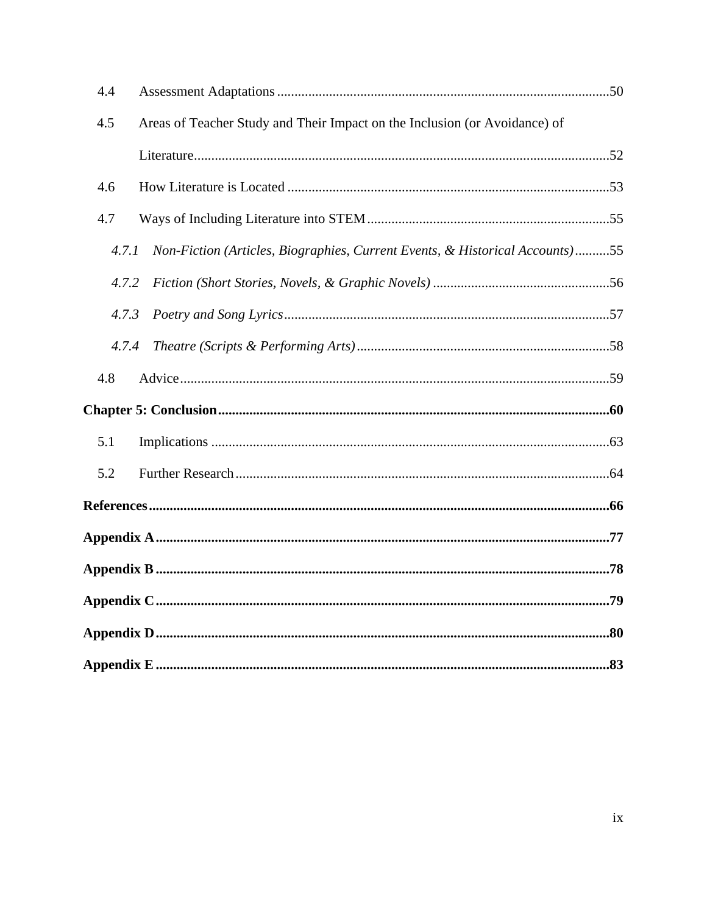| 4.4   |                                                                              |  |  |
|-------|------------------------------------------------------------------------------|--|--|
| 4.5   | Areas of Teacher Study and Their Impact on the Inclusion (or Avoidance) of   |  |  |
|       |                                                                              |  |  |
| 4.6   |                                                                              |  |  |
| 4.7   |                                                                              |  |  |
| 4.7.1 | Non-Fiction (Articles, Biographies, Current Events, & Historical Accounts)55 |  |  |
| 4.7.2 |                                                                              |  |  |
| 4.7.3 |                                                                              |  |  |
| 4.7.4 |                                                                              |  |  |
| 4.8   |                                                                              |  |  |
|       |                                                                              |  |  |
| 5.1   |                                                                              |  |  |
| 5.2   |                                                                              |  |  |
|       |                                                                              |  |  |
|       |                                                                              |  |  |
|       |                                                                              |  |  |
|       |                                                                              |  |  |
|       |                                                                              |  |  |
|       |                                                                              |  |  |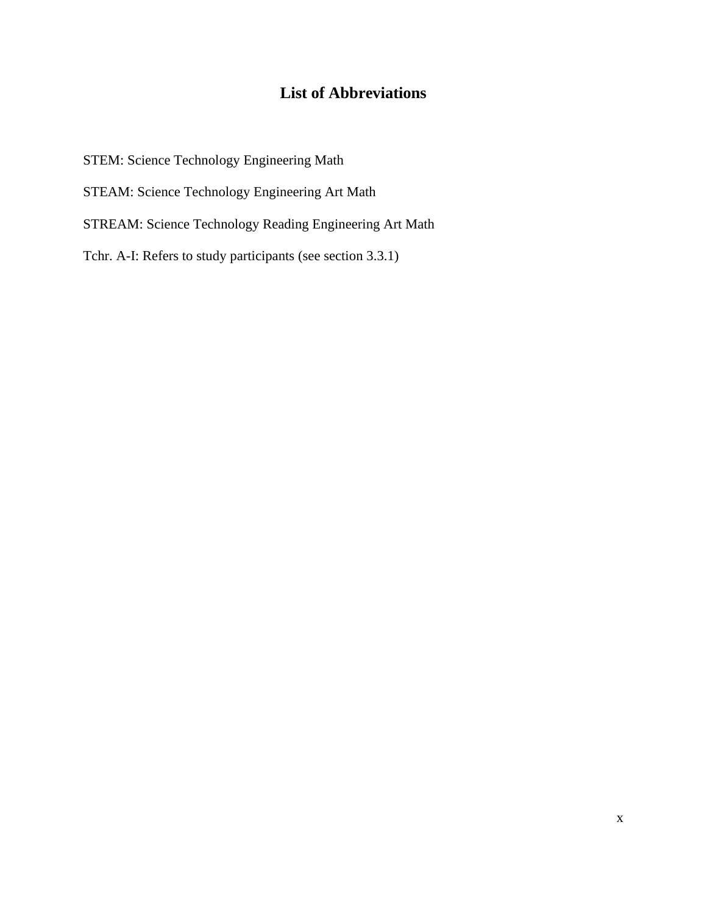# **List of Abbreviations**

STEM: Science Technology Engineering Math STEAM: Science Technology Engineering Art Math STREAM: Science Technology Reading Engineering Art Math Tchr. A-I: Refers to study participants (see section 3.3.1)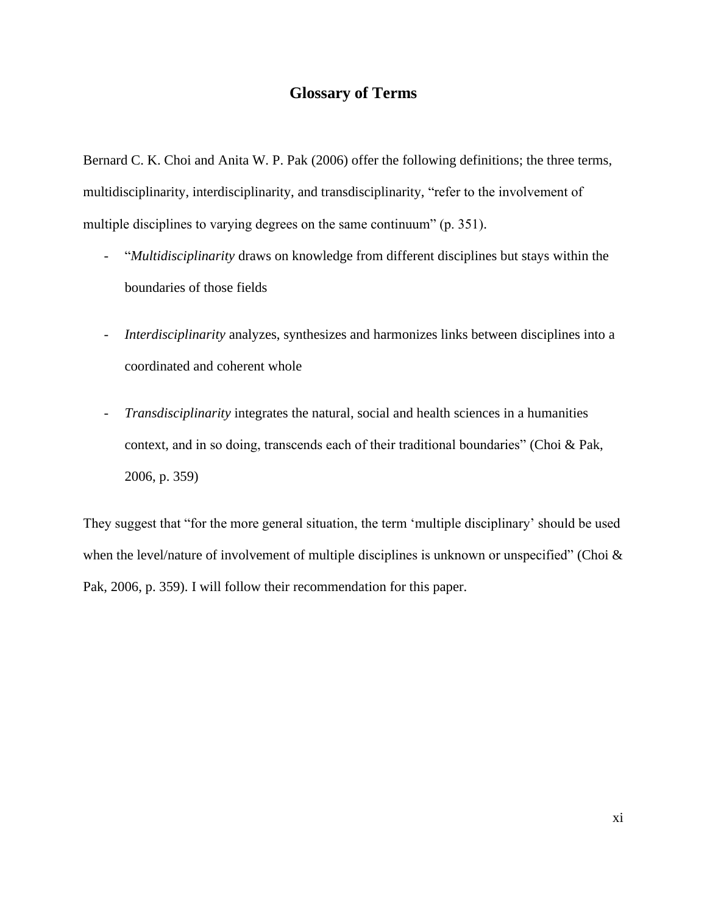# **Glossary of Terms**

Bernard C. K. Choi and Anita W. P. Pak (2006) offer the following definitions; the three terms, multidisciplinarity, interdisciplinarity, and transdisciplinarity, "refer to the involvement of multiple disciplines to varying degrees on the same continuum" (p. 351).

- "*Multidisciplinarity* draws on knowledge from different disciplines but stays within the boundaries of those fields
- *Interdisciplinarity* analyzes, synthesizes and harmonizes links between disciplines into a coordinated and coherent whole
- *Transdisciplinarity* integrates the natural, social and health sciences in a humanities context, and in so doing, transcends each of their traditional boundaries" (Choi & Pak, 2006, p. 359)

They suggest that "for the more general situation, the term 'multiple disciplinary' should be used when the level/nature of involvement of multiple disciplines is unknown or unspecified" (Choi  $\&$ Pak, 2006, p. 359). I will follow their recommendation for this paper.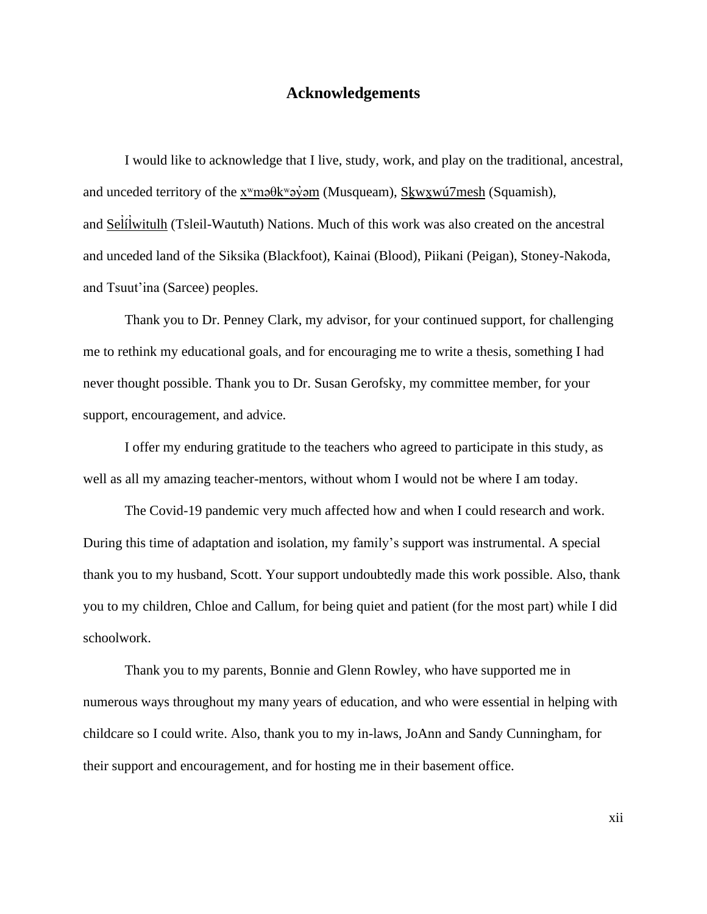## **Acknowledgements**

I would like to acknowledge that I live, study, work, and play on the traditional, ancestral, and unceded territory of the [xʷməθkʷəy̓əm](http://www.musqueam.bc.ca/) (Musqueam), [Sḵwx̱wú7mesh](http://www.squamish.net/) (Squamish), and Seltlwitulh (Tsleil-Waututh) Nations. Much of this work was also created on the ancestral ̓ and unceded land of the Siksika (Blackfoot), Kainai (Blood), Piikani (Peigan), Stoney-Nakoda, and Tsuut'ina (Sarcee) peoples.

Thank you to Dr. Penney Clark, my advisor, for your continued support, for challenging me to rethink my educational goals, and for encouraging me to write a thesis, something I had never thought possible. Thank you to Dr. Susan Gerofsky, my committee member, for your support, encouragement, and advice.

I offer my enduring gratitude to the teachers who agreed to participate in this study, as well as all my amazing teacher-mentors, without whom I would not be where I am today.

The Covid-19 pandemic very much affected how and when I could research and work. During this time of adaptation and isolation, my family's support was instrumental. A special thank you to my husband, Scott. Your support undoubtedly made this work possible. Also, thank you to my children, Chloe and Callum, for being quiet and patient (for the most part) while I did schoolwork.

Thank you to my parents, Bonnie and Glenn Rowley, who have supported me in numerous ways throughout my many years of education, and who were essential in helping with childcare so I could write. Also, thank you to my in-laws, JoAnn and Sandy Cunningham, for their support and encouragement, and for hosting me in their basement office.

xii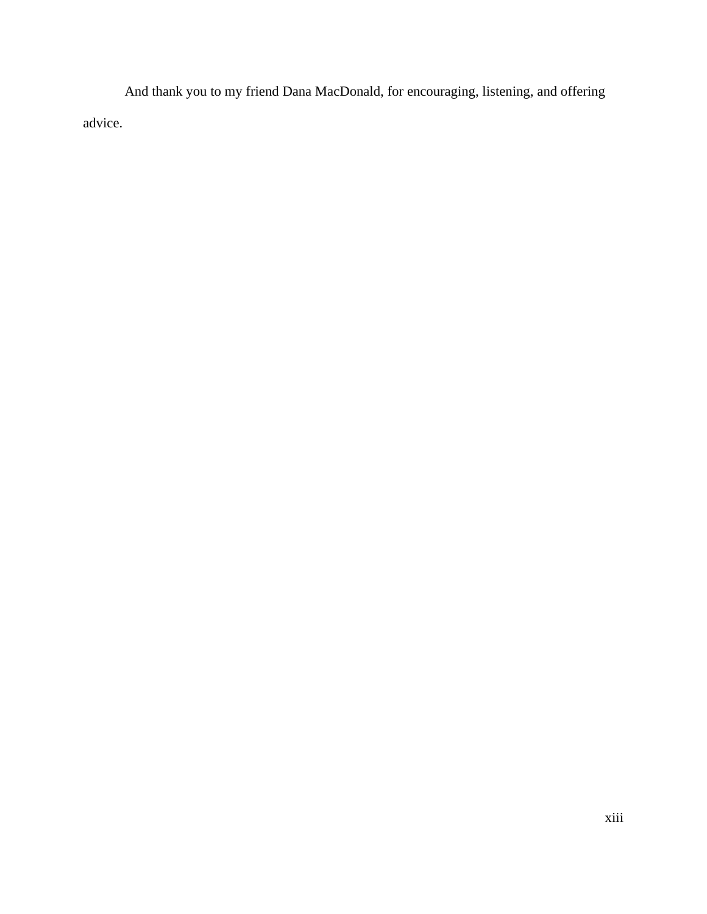And thank you to my friend Dana MacDonald, for encouraging, listening, and offering advice.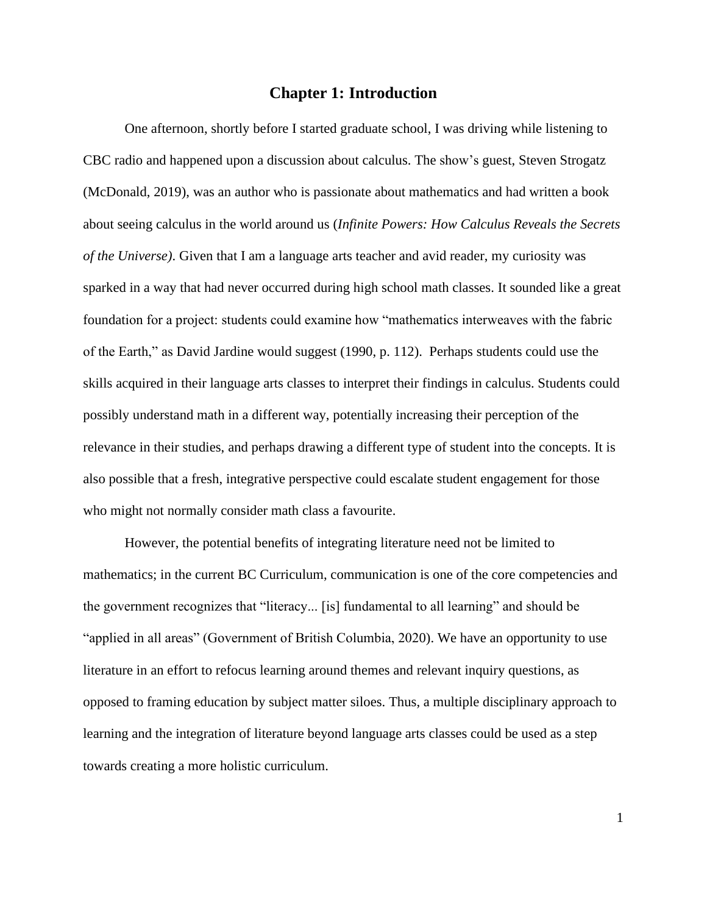### **Chapter 1: Introduction**

One afternoon, shortly before I started graduate school, I was driving while listening to CBC radio and happened upon a discussion about calculus. The show's guest, Steven Strogatz (McDonald, 2019), was an author who is passionate about mathematics and had written a book about seeing calculus in the world around us (*Infinite Powers: How Calculus Reveals the Secrets of the Universe)*. Given that I am a language arts teacher and avid reader, my curiosity was sparked in a way that had never occurred during high school math classes. It sounded like a great foundation for a project: students could examine how "mathematics interweaves with the fabric of the Earth," as David Jardine would suggest (1990, p. 112). Perhaps students could use the skills acquired in their language arts classes to interpret their findings in calculus. Students could possibly understand math in a different way, potentially increasing their perception of the relevance in their studies, and perhaps drawing a different type of student into the concepts. It is also possible that a fresh, integrative perspective could escalate student engagement for those who might not normally consider math class a favourite.

However, the potential benefits of integrating literature need not be limited to mathematics; in the current BC Curriculum, communication is one of the core competencies and the government recognizes that "literacy... [is] fundamental to all learning" and should be "applied in all areas" (Government of British Columbia, 2020). We have an opportunity to use literature in an effort to refocus learning around themes and relevant inquiry questions, as opposed to framing education by subject matter siloes. Thus, a multiple disciplinary approach to learning and the integration of literature beyond language arts classes could be used as a step towards creating a more holistic curriculum.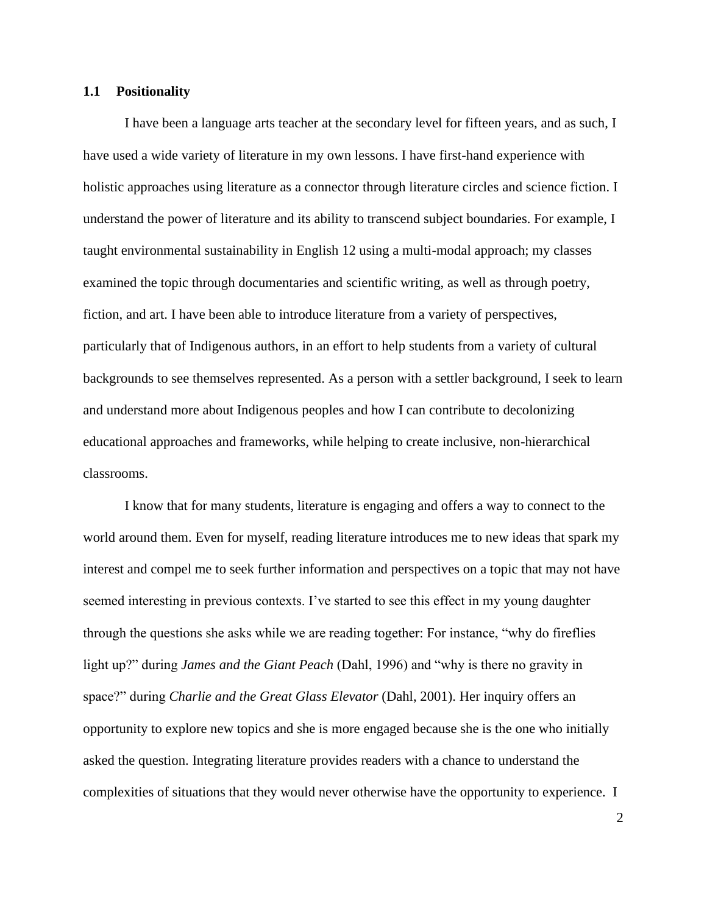#### **1.1 Positionality**

I have been a language arts teacher at the secondary level for fifteen years, and as such, I have used a wide variety of literature in my own lessons. I have first-hand experience with holistic approaches using literature as a connector through literature circles and science fiction. I understand the power of literature and its ability to transcend subject boundaries. For example, I taught environmental sustainability in English 12 using a multi-modal approach; my classes examined the topic through documentaries and scientific writing, as well as through poetry, fiction, and art. I have been able to introduce literature from a variety of perspectives, particularly that of Indigenous authors, in an effort to help students from a variety of cultural backgrounds to see themselves represented. As a person with a settler background, I seek to learn and understand more about Indigenous peoples and how I can contribute to decolonizing educational approaches and frameworks, while helping to create inclusive, non-hierarchical classrooms.

I know that for many students, literature is engaging and offers a way to connect to the world around them. Even for myself, reading literature introduces me to new ideas that spark my interest and compel me to seek further information and perspectives on a topic that may not have seemed interesting in previous contexts. I've started to see this effect in my young daughter through the questions she asks while we are reading together: For instance, "why do fireflies light up?" during *James and the Giant Peach* (Dahl, 1996) and "why is there no gravity in space?" during *Charlie and the Great Glass Elevator* (Dahl, 2001). Her inquiry offers an opportunity to explore new topics and she is more engaged because she is the one who initially asked the question. Integrating literature provides readers with a chance to understand the complexities of situations that they would never otherwise have the opportunity to experience. I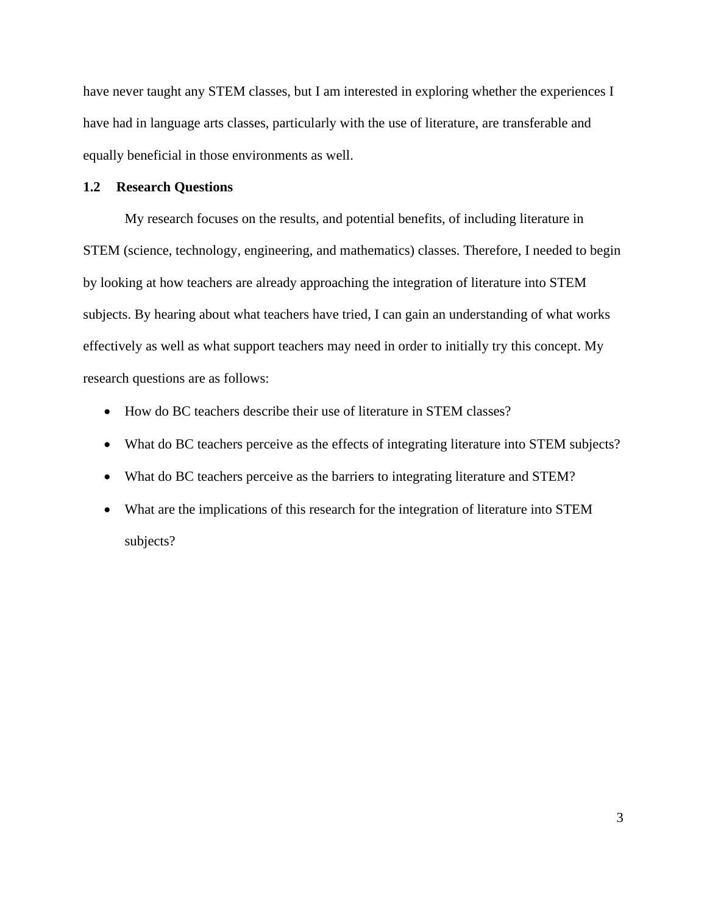have never taught any STEM classes, but I am interested in exploring whether the experiences I have had in language arts classes, particularly with the use of literature, are transferable and equally beneficial in those environments as well.

#### **1.2 Research Questions**

My research focuses on the results, and potential benefits, of including literature in STEM (science, technology, engineering, and mathematics) classes. Therefore, I needed to begin by looking at how teachers are already approaching the integration of literature into STEM subjects. By hearing about what teachers have tried, I can gain an understanding of what works effectively as well as what support teachers may need in order to initially try this concept. My research questions are as follows:

- How do BC teachers describe their use of literature in STEM classes?
- What do BC teachers perceive as the effects of integrating literature into STEM subjects?
- What do BC teachers perceive as the barriers to integrating literature and STEM?
- What are the implications of this research for the integration of literature into STEM subjects?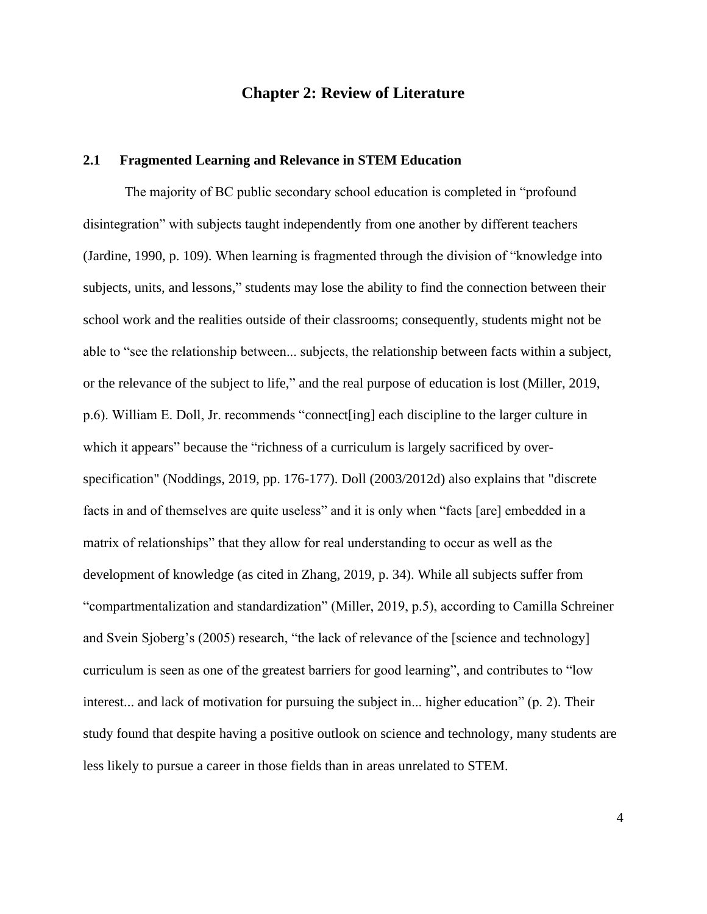# **Chapter 2: Review of Literature**

## **2.1 Fragmented Learning and Relevance in STEM Education**

The majority of BC public secondary school education is completed in "profound disintegration" with subjects taught independently from one another by different teachers (Jardine, 1990, p. 109). When learning is fragmented through the division of "knowledge into subjects, units, and lessons," students may lose the ability to find the connection between their school work and the realities outside of their classrooms; consequently, students might not be able to "see the relationship between... subjects, the relationship between facts within a subject, or the relevance of the subject to life," and the real purpose of education is lost (Miller, 2019, p.6). William E. Doll, Jr. recommends "connect[ing] each discipline to the larger culture in which it appears" because the "richness of a curriculum is largely sacrificed by overspecification" (Noddings, 2019, pp. 176-177). Doll (2003/2012d) also explains that "discrete facts in and of themselves are quite useless" and it is only when "facts [are] embedded in a matrix of relationships" that they allow for real understanding to occur as well as the development of knowledge (as cited in Zhang, 2019, p. 34). While all subjects suffer from "compartmentalization and standardization" (Miller, 2019, p.5), according to Camilla Schreiner and Svein Sjoberg's (2005) research, "the lack of relevance of the [science and technology] curriculum is seen as one of the greatest barriers for good learning", and contributes to "low interest... and lack of motivation for pursuing the subject in... higher education" (p. 2). Their study found that despite having a positive outlook on science and technology, many students are less likely to pursue a career in those fields than in areas unrelated to STEM.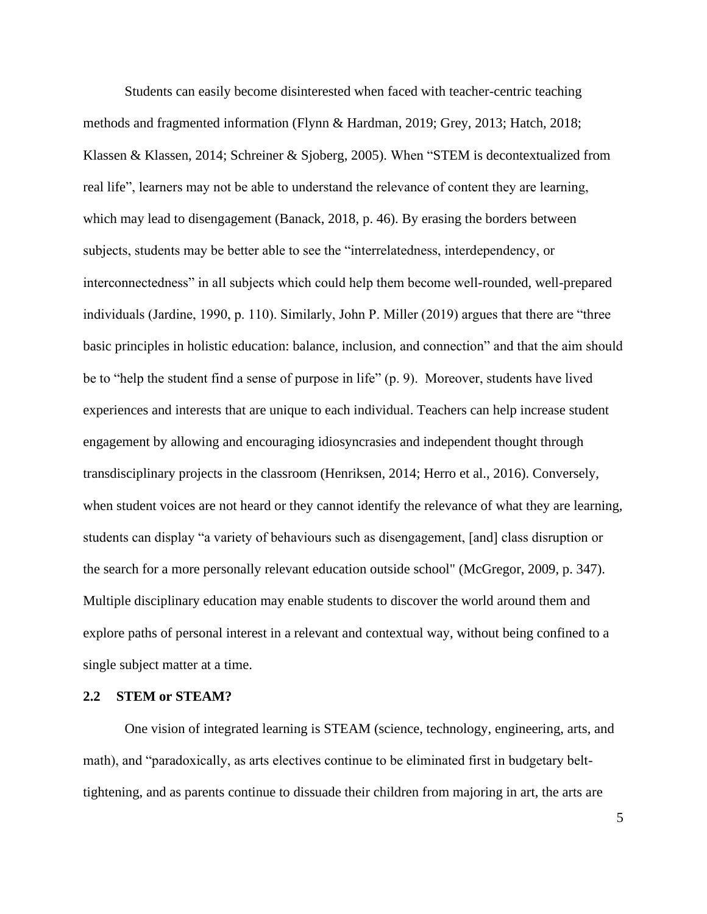Students can easily become disinterested when faced with teacher-centric teaching methods and fragmented information (Flynn & Hardman, 2019; Grey, 2013; Hatch, 2018; Klassen & Klassen, 2014; Schreiner & Sjoberg, 2005). When "STEM is decontextualized from real life", learners may not be able to understand the relevance of content they are learning, which may lead to disengagement (Banack, 2018, p. 46). By erasing the borders between subjects, students may be better able to see the "interrelatedness, interdependency, or interconnectedness" in all subjects which could help them become well-rounded, well-prepared individuals (Jardine, 1990, p. 110). Similarly, John P. Miller (2019) argues that there are "three basic principles in holistic education: balance, inclusion, and connection" and that the aim should be to "help the student find a sense of purpose in life" (p. 9). Moreover, students have lived experiences and interests that are unique to each individual. Teachers can help increase student engagement by allowing and encouraging idiosyncrasies and independent thought through transdisciplinary projects in the classroom (Henriksen, 2014; Herro et al., 2016). Conversely, when student voices are not heard or they cannot identify the relevance of what they are learning, students can display "a variety of behaviours such as disengagement, [and] class disruption or the search for a more personally relevant education outside school" (McGregor, 2009, p. 347). Multiple disciplinary education may enable students to discover the world around them and explore paths of personal interest in a relevant and contextual way, without being confined to a single subject matter at a time.

#### **2.2 STEM or STEAM?**

One vision of integrated learning is STEAM (science, technology, engineering, arts, and math), and "paradoxically, as arts electives continue to be eliminated first in budgetary belttightening, and as parents continue to dissuade their children from majoring in art, the arts are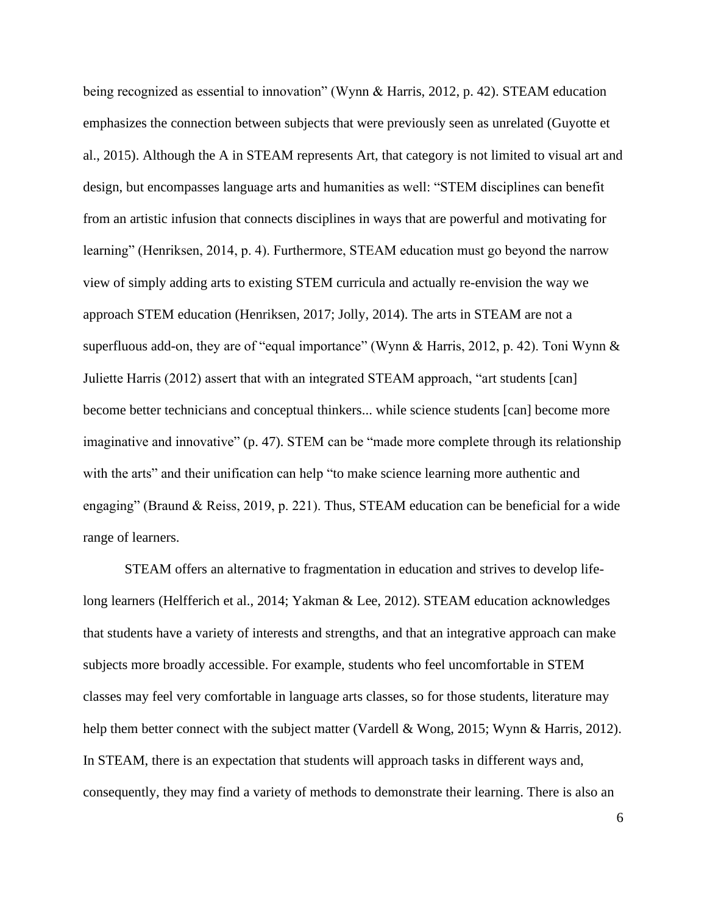being recognized as essential to innovation" (Wynn & Harris, 2012, p. 42). STEAM education emphasizes the connection between subjects that were previously seen as unrelated (Guyotte et al., 2015). Although the A in STEAM represents Art, that category is not limited to visual art and design, but encompasses language arts and humanities as well: "STEM disciplines can benefit from an artistic infusion that connects disciplines in ways that are powerful and motivating for learning" (Henriksen, 2014, p. 4). Furthermore, STEAM education must go beyond the narrow view of simply adding arts to existing STEM curricula and actually re-envision the way we approach STEM education (Henriksen, 2017; Jolly, 2014). The arts in STEAM are not a superfluous add-on, they are of "equal importance" (Wynn & Harris, 2012, p. 42). Toni Wynn & Juliette Harris (2012) assert that with an integrated STEAM approach, "art students [can] become better technicians and conceptual thinkers... while science students [can] become more imaginative and innovative" (p. 47). STEM can be "made more complete through its relationship with the arts" and their unification can help "to make science learning more authentic and engaging" (Braund & Reiss, 2019, p. 221). Thus, STEAM education can be beneficial for a wide range of learners.

STEAM offers an alternative to fragmentation in education and strives to develop lifelong learners (Helfferich et al., 2014; Yakman & Lee, 2012). STEAM education acknowledges that students have a variety of interests and strengths, and that an integrative approach can make subjects more broadly accessible. For example, students who feel uncomfortable in STEM classes may feel very comfortable in language arts classes, so for those students, literature may help them better connect with the subject matter (Vardell & Wong, 2015; Wynn & Harris, 2012). In STEAM, there is an expectation that students will approach tasks in different ways and, consequently, they may find a variety of methods to demonstrate their learning. There is also an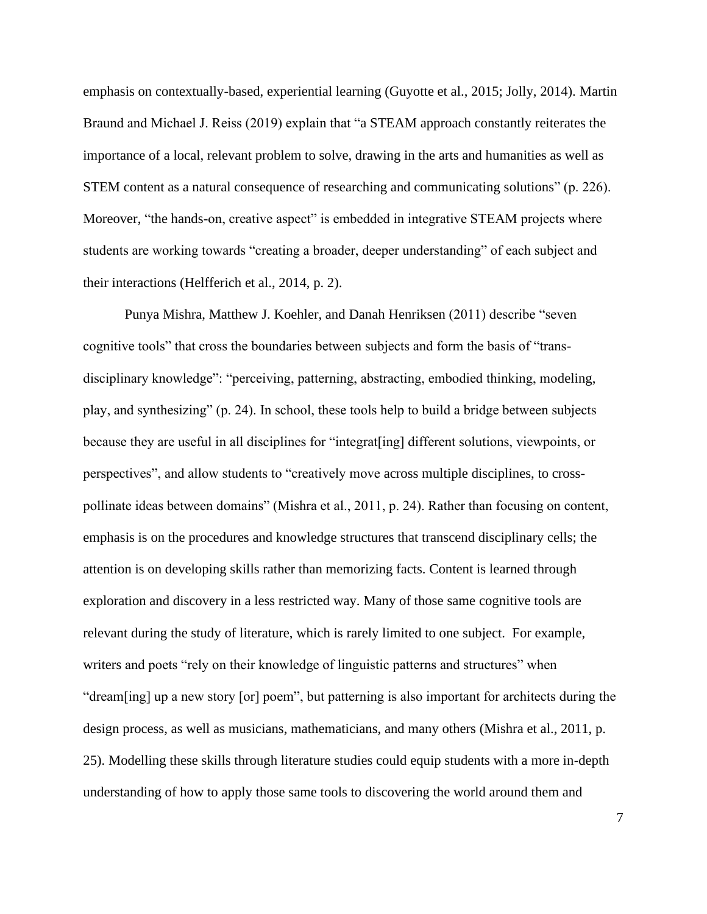emphasis on contextually-based, experiential learning (Guyotte et al., 2015; Jolly, 2014). Martin Braund and Michael J. Reiss (2019) explain that "a STEAM approach constantly reiterates the importance of a local, relevant problem to solve, drawing in the arts and humanities as well as STEM content as a natural consequence of researching and communicating solutions" (p. 226). Moreover, "the hands-on, creative aspect" is embedded in integrative STEAM projects where students are working towards "creating a broader, deeper understanding" of each subject and their interactions (Helfferich et al., 2014, p. 2).

Punya Mishra, Matthew J. Koehler, and Danah Henriksen (2011) describe "seven cognitive tools" that cross the boundaries between subjects and form the basis of "transdisciplinary knowledge": "perceiving, patterning, abstracting, embodied thinking, modeling, play, and synthesizing" (p. 24). In school, these tools help to build a bridge between subjects because they are useful in all disciplines for "integrat[ing] different solutions, viewpoints, or perspectives", and allow students to "creatively move across multiple disciplines, to crosspollinate ideas between domains" (Mishra et al., 2011, p. 24). Rather than focusing on content, emphasis is on the procedures and knowledge structures that transcend disciplinary cells; the attention is on developing skills rather than memorizing facts. Content is learned through exploration and discovery in a less restricted way. Many of those same cognitive tools are relevant during the study of literature, which is rarely limited to one subject. For example, writers and poets "rely on their knowledge of linguistic patterns and structures" when "dream[ing] up a new story [or] poem", but patterning is also important for architects during the design process, as well as musicians, mathematicians, and many others (Mishra et al., 2011, p. 25). Modelling these skills through literature studies could equip students with a more in-depth understanding of how to apply those same tools to discovering the world around them and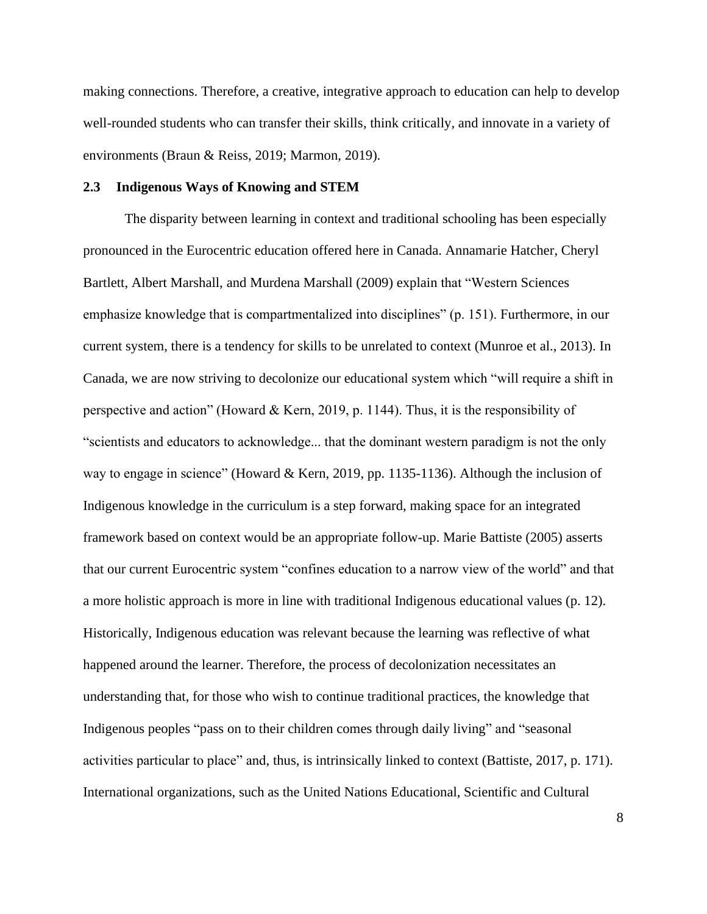making connections. Therefore, a creative, integrative approach to education can help to develop well-rounded students who can transfer their skills, think critically, and innovate in a variety of environments (Braun & Reiss, 2019; Marmon, 2019).

#### **2.3 Indigenous Ways of Knowing and STEM**

The disparity between learning in context and traditional schooling has been especially pronounced in the Eurocentric education offered here in Canada. Annamarie Hatcher, Cheryl Bartlett, Albert Marshall, and Murdena Marshall (2009) explain that "Western Sciences emphasize knowledge that is compartmentalized into disciplines" (p. 151). Furthermore, in our current system, there is a tendency for skills to be unrelated to context (Munroe et al., 2013). In Canada, we are now striving to decolonize our educational system which "will require a shift in perspective and action" (Howard & Kern, 2019, p. 1144). Thus, it is the responsibility of "scientists and educators to acknowledge... that the dominant western paradigm is not the only way to engage in science" (Howard & Kern, 2019, pp. 1135-1136). Although the inclusion of Indigenous knowledge in the curriculum is a step forward, making space for an integrated framework based on context would be an appropriate follow-up. Marie Battiste (2005) asserts that our current Eurocentric system "confines education to a narrow view of the world" and that a more holistic approach is more in line with traditional Indigenous educational values (p. 12). Historically, Indigenous education was relevant because the learning was reflective of what happened around the learner. Therefore, the process of decolonization necessitates an understanding that, for those who wish to continue traditional practices, the knowledge that Indigenous peoples "pass on to their children comes through daily living" and "seasonal activities particular to place" and, thus, is intrinsically linked to context (Battiste, 2017, p. 171). International organizations, such as the United Nations Educational, Scientific and Cultural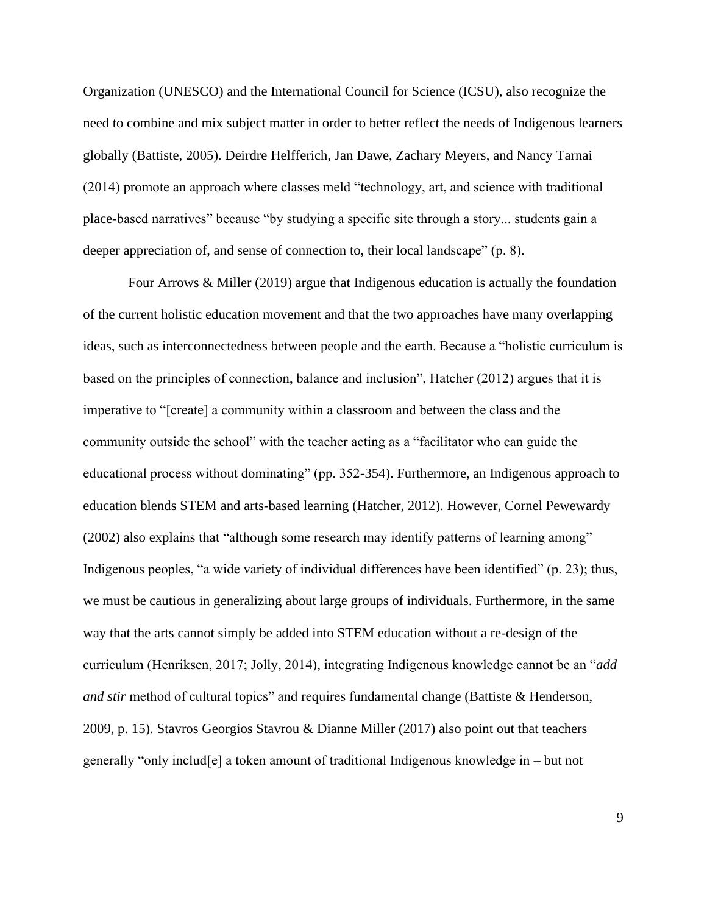Organization (UNESCO) and the International Council for Science (ICSU), also recognize the need to combine and mix subject matter in order to better reflect the needs of Indigenous learners globally (Battiste, 2005). Deirdre Helfferich, Jan Dawe, Zachary Meyers, and Nancy Tarnai (2014) promote an approach where classes meld "technology, art, and science with traditional place-based narratives" because "by studying a specific site through a story... students gain a deeper appreciation of, and sense of connection to, their local landscape" (p. 8).

Four Arrows & Miller (2019) argue that Indigenous education is actually the foundation of the current holistic education movement and that the two approaches have many overlapping ideas, such as interconnectedness between people and the earth. Because a "holistic curriculum is based on the principles of connection, balance and inclusion", Hatcher (2012) argues that it is imperative to "[create] a community within a classroom and between the class and the community outside the school" with the teacher acting as a "facilitator who can guide the educational process without dominating" (pp. 352-354). Furthermore, an Indigenous approach to education blends STEM and arts-based learning (Hatcher, 2012). However, Cornel Pewewardy (2002) also explains that "although some research may identify patterns of learning among" Indigenous peoples, "a wide variety of individual differences have been identified" (p. 23); thus, we must be cautious in generalizing about large groups of individuals. Furthermore, in the same way that the arts cannot simply be added into STEM education without a re-design of the curriculum (Henriksen, 2017; Jolly, 2014), integrating Indigenous knowledge cannot be an "*add and stir* method of cultural topics" and requires fundamental change (Battiste & Henderson, 2009, p. 15). Stavros Georgios Stavrou & Dianne Miller (2017) also point out that teachers generally "only includ[e] a token amount of traditional Indigenous knowledge in – but not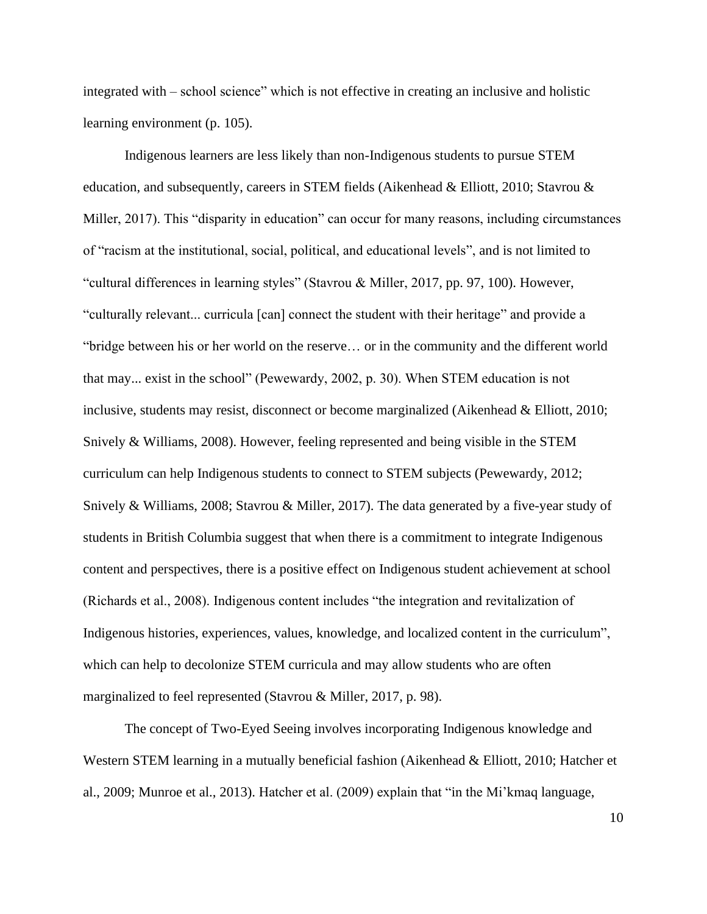integrated with – school science" which is not effective in creating an inclusive and holistic learning environment (p. 105).

Indigenous learners are less likely than non-Indigenous students to pursue STEM education, and subsequently, careers in STEM fields (Aikenhead & Elliott, 2010; Stavrou & Miller, 2017). This "disparity in education" can occur for many reasons, including circumstances of "racism at the institutional, social, political, and educational levels", and is not limited to "cultural differences in learning styles" (Stavrou & Miller, 2017, pp. 97, 100). However, "culturally relevant... curricula [can] connect the student with their heritage" and provide a "bridge between his or her world on the reserve… or in the community and the different world that may... exist in the school" (Pewewardy, 2002, p. 30). When STEM education is not inclusive, students may resist, disconnect or become marginalized (Aikenhead & Elliott, 2010; Snively & Williams, 2008). However, feeling represented and being visible in the STEM curriculum can help Indigenous students to connect to STEM subjects (Pewewardy, 2012; Snively & Williams, 2008; Stavrou & Miller, 2017). The data generated by a five-year study of students in British Columbia suggest that when there is a commitment to integrate Indigenous content and perspectives, there is a positive effect on Indigenous student achievement at school (Richards et al., 2008). Indigenous content includes "the integration and revitalization of Indigenous histories, experiences, values, knowledge, and localized content in the curriculum", which can help to decolonize STEM curricula and may allow students who are often marginalized to feel represented (Stavrou & Miller, 2017, p. 98).

The concept of Two-Eyed Seeing involves incorporating Indigenous knowledge and Western STEM learning in a mutually beneficial fashion (Aikenhead & Elliott, 2010; Hatcher et al., 2009; Munroe et al., 2013). Hatcher et al. (2009) explain that "in the Mi'kmaq language,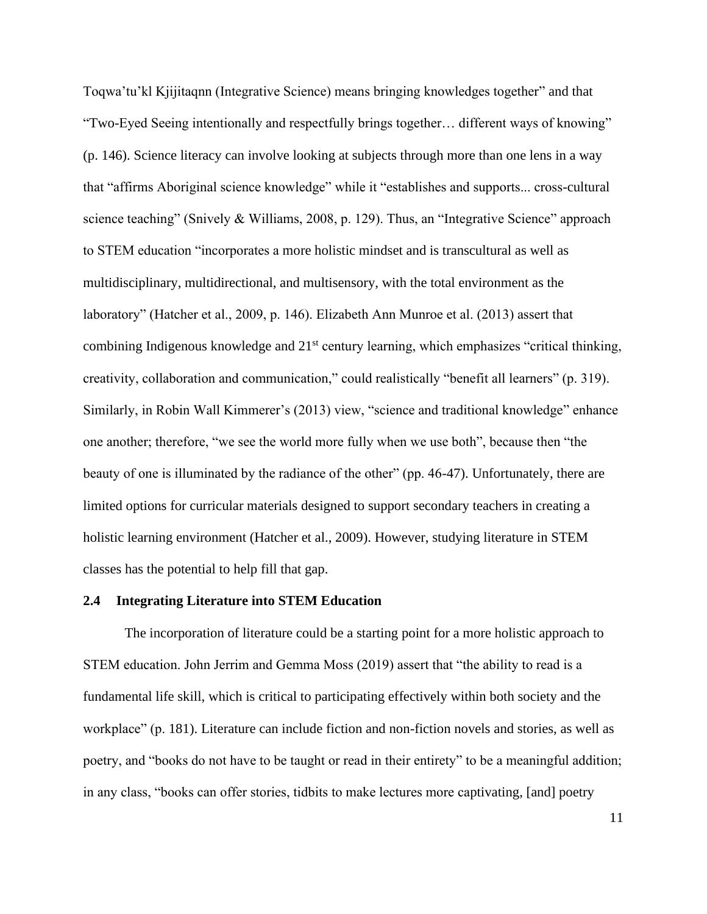Toqwa'tu'kl Kjijitaqnn (Integrative Science) means bringing knowledges together" and that "Two-Eyed Seeing intentionally and respectfully brings together… different ways of knowing" (p. 146). Science literacy can involve looking at subjects through more than one lens in a way that "affirms Aboriginal science knowledge" while it "establishes and supports... cross-cultural science teaching" (Snively & Williams, 2008, p. 129). Thus, an "Integrative Science" approach to STEM education "incorporates a more holistic mindset and is transcultural as well as multidisciplinary, multidirectional, and multisensory, with the total environment as the laboratory" (Hatcher et al., 2009, p. 146). Elizabeth Ann Munroe et al. (2013) assert that combining Indigenous knowledge and 21<sup>st</sup> century learning, which emphasizes "critical thinking, creativity, collaboration and communication," could realistically "benefit all learners" (p. 319). Similarly, in Robin Wall Kimmerer's (2013) view, "science and traditional knowledge" enhance one another; therefore, "we see the world more fully when we use both", because then "the beauty of one is illuminated by the radiance of the other" (pp. 46-47). Unfortunately, there are limited options for curricular materials designed to support secondary teachers in creating a holistic learning environment (Hatcher et al., 2009). However, studying literature in STEM classes has the potential to help fill that gap.

#### **2.4 Integrating Literature into STEM Education**

The incorporation of literature could be a starting point for a more holistic approach to STEM education. John Jerrim and Gemma Moss (2019) assert that "the ability to read is a fundamental life skill, which is critical to participating effectively within both society and the workplace" (p. 181). Literature can include fiction and non-fiction novels and stories, as well as poetry, and "books do not have to be taught or read in their entirety" to be a meaningful addition; in any class, "books can offer stories, tidbits to make lectures more captivating, [and] poetry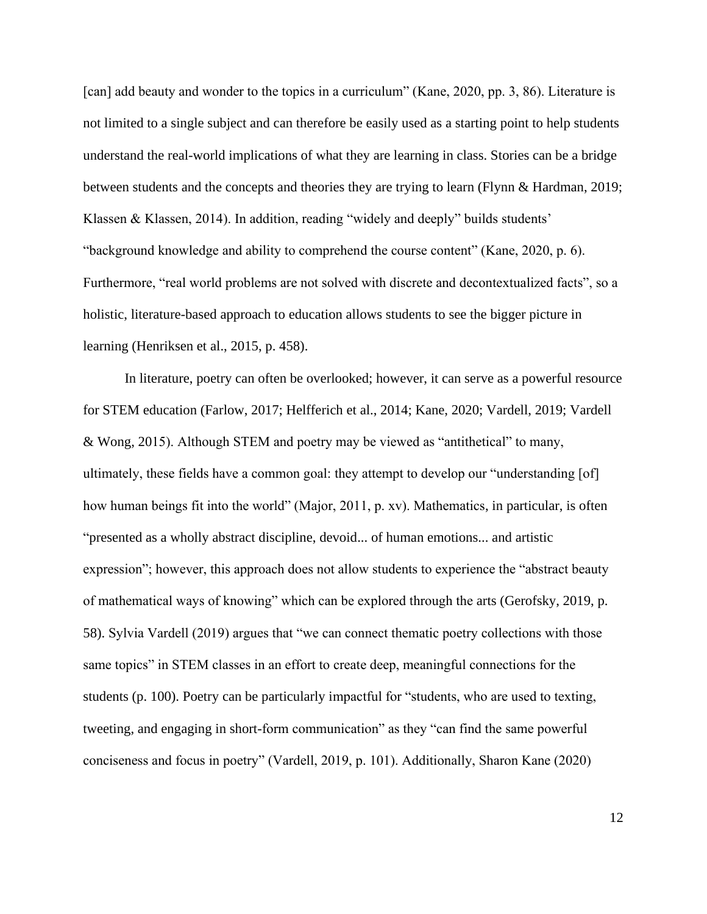[can] add beauty and wonder to the topics in a curriculum" (Kane, 2020, pp. 3, 86). Literature is not limited to a single subject and can therefore be easily used as a starting point to help students understand the real-world implications of what they are learning in class. Stories can be a bridge between students and the concepts and theories they are trying to learn (Flynn & Hardman, 2019; Klassen & Klassen, 2014). In addition, reading "widely and deeply" builds students' "background knowledge and ability to comprehend the course content" (Kane, 2020, p. 6). Furthermore, "real world problems are not solved with discrete and decontextualized facts", so a holistic, literature-based approach to education allows students to see the bigger picture in learning (Henriksen et al., 2015, p. 458).

In literature, poetry can often be overlooked; however, it can serve as a powerful resource for STEM education (Farlow, 2017; Helfferich et al., 2014; Kane, 2020; Vardell, 2019; Vardell & Wong, 2015). Although STEM and poetry may be viewed as "antithetical" to many, ultimately, these fields have a common goal: they attempt to develop our "understanding [of] how human beings fit into the world" (Major, 2011, p. xv). Mathematics, in particular, is often "presented as a wholly abstract discipline, devoid... of human emotions... and artistic expression"; however, this approach does not allow students to experience the "abstract beauty of mathematical ways of knowing" which can be explored through the arts (Gerofsky, 2019, p. 58). Sylvia Vardell (2019) argues that "we can connect thematic poetry collections with those same topics" in STEM classes in an effort to create deep, meaningful connections for the students (p. 100). Poetry can be particularly impactful for "students, who are used to texting, tweeting, and engaging in short-form communication" as they "can find the same powerful conciseness and focus in poetry" (Vardell, 2019, p. 101). Additionally, Sharon Kane (2020)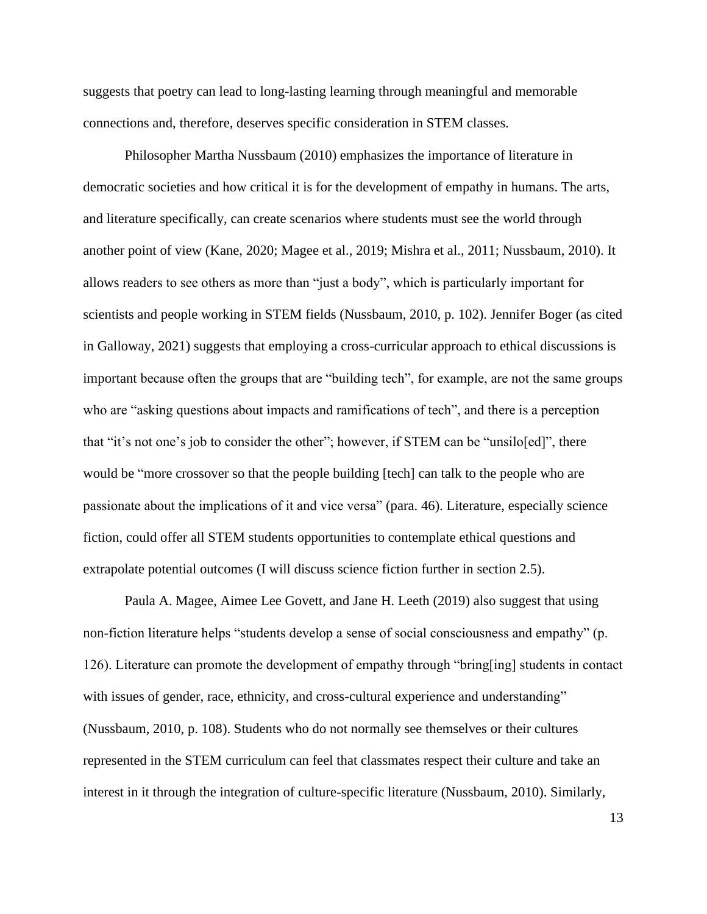suggests that poetry can lead to long-lasting learning through meaningful and memorable connections and, therefore, deserves specific consideration in STEM classes.

Philosopher Martha Nussbaum (2010) emphasizes the importance of literature in democratic societies and how critical it is for the development of empathy in humans. The arts, and literature specifically, can create scenarios where students must see the world through another point of view (Kane, 2020; Magee et al., 2019; Mishra et al., 2011; Nussbaum, 2010). It allows readers to see others as more than "just a body", which is particularly important for scientists and people working in STEM fields (Nussbaum, 2010, p. 102). Jennifer Boger (as cited in Galloway, 2021) suggests that employing a cross-curricular approach to ethical discussions is important because often the groups that are "building tech", for example, are not the same groups who are "asking questions about impacts and ramifications of tech", and there is a perception that "it's not one's job to consider the other"; however, if STEM can be "unsilo[ed]", there would be "more crossover so that the people building [tech] can talk to the people who are passionate about the implications of it and vice versa" (para. 46). Literature, especially science fiction, could offer all STEM students opportunities to contemplate ethical questions and extrapolate potential outcomes (I will discuss science fiction further in section 2.5).

Paula A. Magee, Aimee Lee Govett, and Jane H. Leeth (2019) also suggest that using non-fiction literature helps "students develop a sense of social consciousness and empathy" (p. 126). Literature can promote the development of empathy through "bring[ing] students in contact with issues of gender, race, ethnicity, and cross-cultural experience and understanding" (Nussbaum, 2010, p. 108). Students who do not normally see themselves or their cultures represented in the STEM curriculum can feel that classmates respect their culture and take an interest in it through the integration of culture-specific literature (Nussbaum, 2010). Similarly,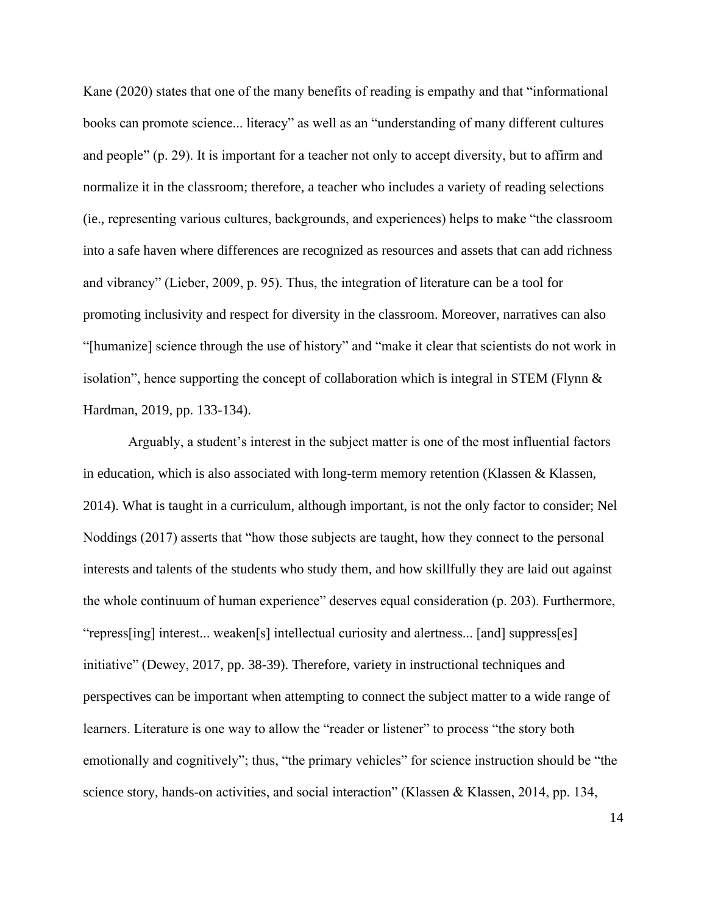Kane (2020) states that one of the many benefits of reading is empathy and that "informational books can promote science... literacy" as well as an "understanding of many different cultures and people" (p. 29). It is important for a teacher not only to accept diversity, but to affirm and normalize it in the classroom; therefore, a teacher who includes a variety of reading selections (ie., representing various cultures, backgrounds, and experiences) helps to make "the classroom into a safe haven where differences are recognized as resources and assets that can add richness and vibrancy" (Lieber, 2009, p. 95). Thus, the integration of literature can be a tool for promoting inclusivity and respect for diversity in the classroom. Moreover, narratives can also "[humanize] science through the use of history" and "make it clear that scientists do not work in isolation", hence supporting the concept of collaboration which is integral in STEM (Flynn & Hardman, 2019, pp. 133-134).

Arguably, a student's interest in the subject matter is one of the most influential factors in education, which is also associated with long-term memory retention (Klassen  $\&$  Klassen, 2014). What is taught in a curriculum, although important, is not the only factor to consider; Nel Noddings (2017) asserts that "how those subjects are taught, how they connect to the personal interests and talents of the students who study them, and how skillfully they are laid out against the whole continuum of human experience" deserves equal consideration (p. 203). Furthermore, "repress[ing] interest... weaken[s] intellectual curiosity and alertness... [and] suppress[es] initiative" (Dewey, 2017, pp. 38-39). Therefore, variety in instructional techniques and perspectives can be important when attempting to connect the subject matter to a wide range of learners. Literature is one way to allow the "reader or listener" to process "the story both emotionally and cognitively"; thus, "the primary vehicles" for science instruction should be "the science story, hands-on activities, and social interaction" (Klassen & Klassen, 2014, pp. 134,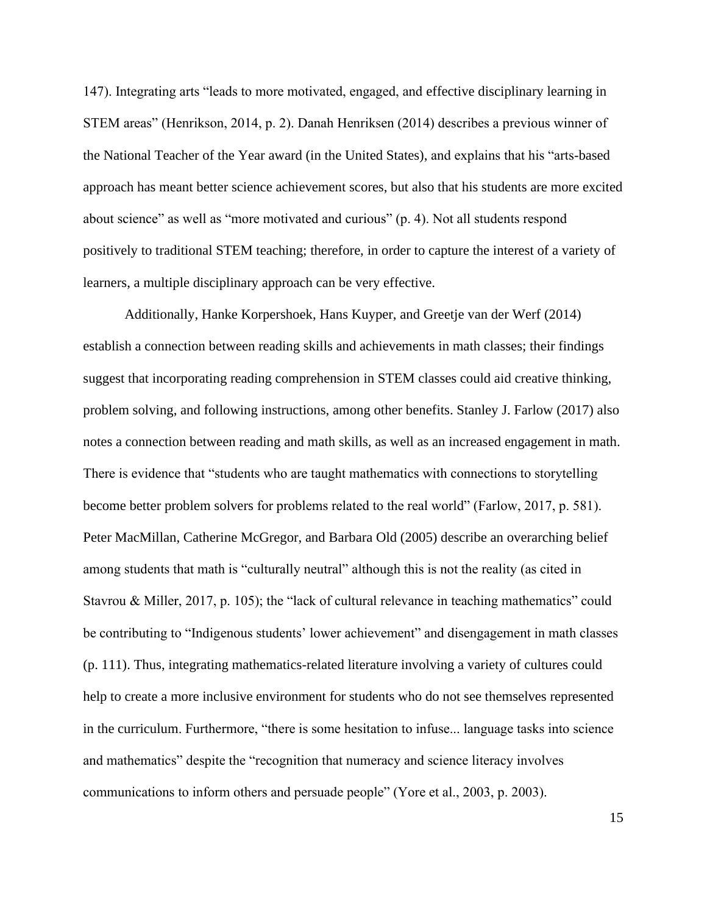147). Integrating arts "leads to more motivated, engaged, and effective disciplinary learning in STEM areas" (Henrikson, 2014, p. 2). Danah Henriksen (2014) describes a previous winner of the National Teacher of the Year award (in the United States), and explains that his "arts-based approach has meant better science achievement scores, but also that his students are more excited about science" as well as "more motivated and curious" (p. 4). Not all students respond positively to traditional STEM teaching; therefore, in order to capture the interest of a variety of learners, a multiple disciplinary approach can be very effective.

Additionally, Hanke Korpershoek, Hans Kuyper, and Greetje van der Werf (2014) establish a connection between reading skills and achievements in math classes; their findings suggest that incorporating reading comprehension in STEM classes could aid creative thinking, problem solving, and following instructions, among other benefits. Stanley J. Farlow (2017) also notes a connection between reading and math skills, as well as an increased engagement in math. There is evidence that "students who are taught mathematics with connections to storytelling become better problem solvers for problems related to the real world" (Farlow, 2017, p. 581). Peter MacMillan, Catherine McGregor, and Barbara Old (2005) describe an overarching belief among students that math is "culturally neutral" although this is not the reality (as cited in Stavrou & Miller, 2017, p. 105); the "lack of cultural relevance in teaching mathematics" could be contributing to "Indigenous students' lower achievement" and disengagement in math classes (p. 111). Thus, integrating mathematics-related literature involving a variety of cultures could help to create a more inclusive environment for students who do not see themselves represented in the curriculum. Furthermore, "there is some hesitation to infuse... language tasks into science and mathematics" despite the "recognition that numeracy and science literacy involves communications to inform others and persuade people" (Yore et al., 2003, p. 2003).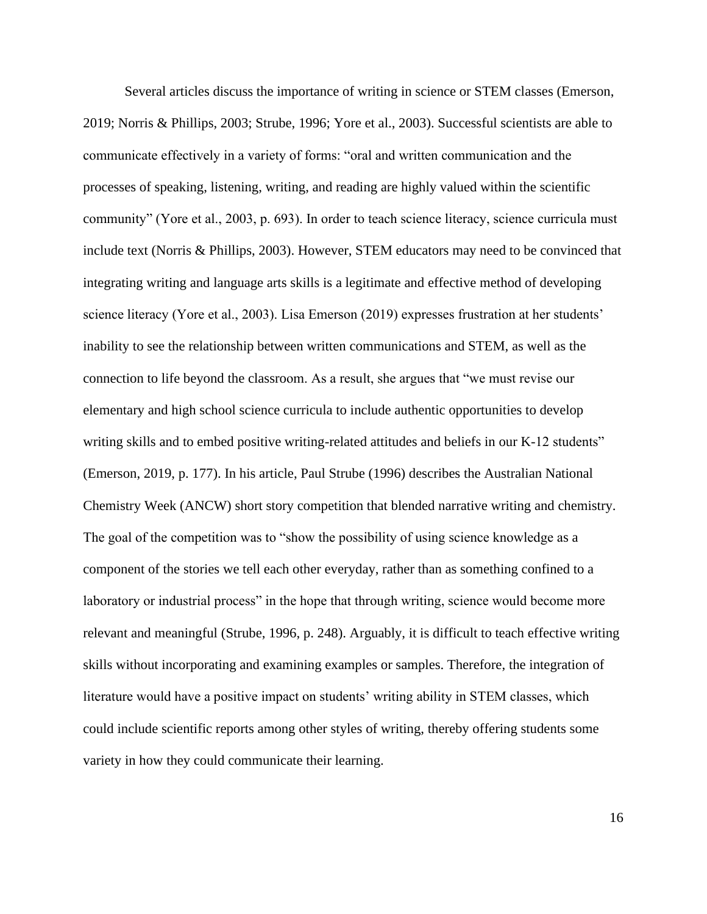Several articles discuss the importance of writing in science or STEM classes (Emerson, 2019; Norris & Phillips, 2003; Strube, 1996; Yore et al., 2003). Successful scientists are able to communicate effectively in a variety of forms: "oral and written communication and the processes of speaking, listening, writing, and reading are highly valued within the scientific community" (Yore et al., 2003, p. 693). In order to teach science literacy, science curricula must include text (Norris & Phillips, 2003). However, STEM educators may need to be convinced that integrating writing and language arts skills is a legitimate and effective method of developing science literacy (Yore et al., 2003). Lisa Emerson (2019) expresses frustration at her students' inability to see the relationship between written communications and STEM, as well as the connection to life beyond the classroom. As a result, she argues that "we must revise our elementary and high school science curricula to include authentic opportunities to develop writing skills and to embed positive writing-related attitudes and beliefs in our K-12 students" (Emerson, 2019, p. 177). In his article, Paul Strube (1996) describes the Australian National Chemistry Week (ANCW) short story competition that blended narrative writing and chemistry. The goal of the competition was to "show the possibility of using science knowledge as a component of the stories we tell each other everyday, rather than as something confined to a laboratory or industrial process" in the hope that through writing, science would become more relevant and meaningful (Strube, 1996, p. 248). Arguably, it is difficult to teach effective writing skills without incorporating and examining examples or samples. Therefore, the integration of literature would have a positive impact on students' writing ability in STEM classes, which could include scientific reports among other styles of writing, thereby offering students some variety in how they could communicate their learning.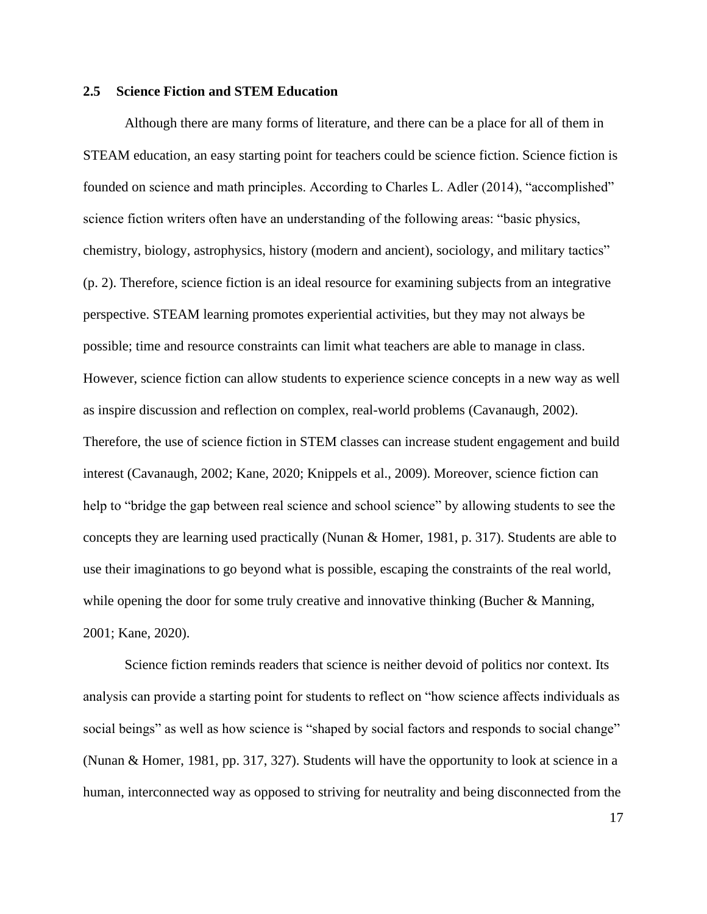#### **2.5 Science Fiction and STEM Education**

Although there are many forms of literature, and there can be a place for all of them in STEAM education, an easy starting point for teachers could be science fiction. Science fiction is founded on science and math principles. According to Charles L. Adler (2014), "accomplished" science fiction writers often have an understanding of the following areas: "basic physics, chemistry, biology, astrophysics, history (modern and ancient), sociology, and military tactics" (p. 2). Therefore, science fiction is an ideal resource for examining subjects from an integrative perspective. STEAM learning promotes experiential activities, but they may not always be possible; time and resource constraints can limit what teachers are able to manage in class. However, science fiction can allow students to experience science concepts in a new way as well as inspire discussion and reflection on complex, real-world problems (Cavanaugh, 2002). Therefore, the use of science fiction in STEM classes can increase student engagement and build interest (Cavanaugh, 2002; Kane, 2020; Knippels et al., 2009). Moreover, science fiction can help to "bridge the gap between real science and school science" by allowing students to see the concepts they are learning used practically (Nunan & Homer, 1981, p. 317). Students are able to use their imaginations to go beyond what is possible, escaping the constraints of the real world, while opening the door for some truly creative and innovative thinking (Bucher & Manning, 2001; Kane, 2020).

Science fiction reminds readers that science is neither devoid of politics nor context. Its analysis can provide a starting point for students to reflect on "how science affects individuals as social beings" as well as how science is "shaped by social factors and responds to social change" (Nunan & Homer, 1981, pp. 317, 327). Students will have the opportunity to look at science in a human, interconnected way as opposed to striving for neutrality and being disconnected from the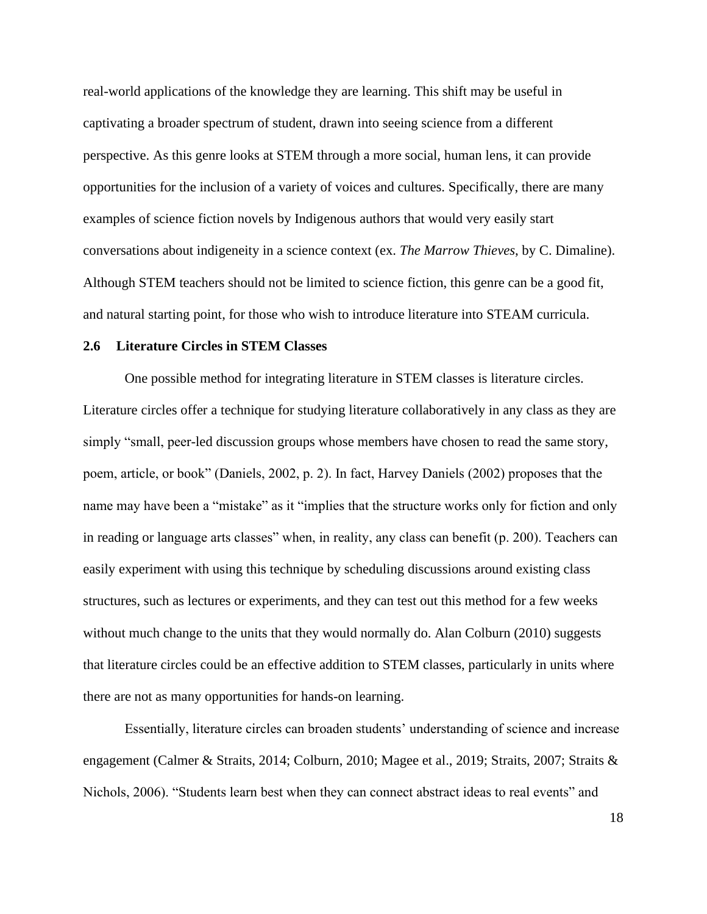real-world applications of the knowledge they are learning. This shift may be useful in captivating a broader spectrum of student, drawn into seeing science from a different perspective. As this genre looks at STEM through a more social, human lens, it can provide opportunities for the inclusion of a variety of voices and cultures. Specifically, there are many examples of science fiction novels by Indigenous authors that would very easily start conversations about indigeneity in a science context (ex. *The Marrow Thieves*, by C. Dimaline). Although STEM teachers should not be limited to science fiction, this genre can be a good fit, and natural starting point, for those who wish to introduce literature into STEAM curricula.

#### **2.6 Literature Circles in STEM Classes**

One possible method for integrating literature in STEM classes is literature circles. Literature circles offer a technique for studying literature collaboratively in any class as they are simply "small, peer-led discussion groups whose members have chosen to read the same story, poem, article, or book" (Daniels, 2002, p. 2). In fact, Harvey Daniels (2002) proposes that the name may have been a "mistake" as it "implies that the structure works only for fiction and only in reading or language arts classes" when, in reality, any class can benefit (p. 200). Teachers can easily experiment with using this technique by scheduling discussions around existing class structures, such as lectures or experiments, and they can test out this method for a few weeks without much change to the units that they would normally do. Alan Colburn (2010) suggests that literature circles could be an effective addition to STEM classes, particularly in units where there are not as many opportunities for hands-on learning.

Essentially, literature circles can broaden students' understanding of science and increase engagement (Calmer & Straits, 2014; Colburn, 2010; Magee et al., 2019; Straits, 2007; Straits & Nichols, 2006). "Students learn best when they can connect abstract ideas to real events" and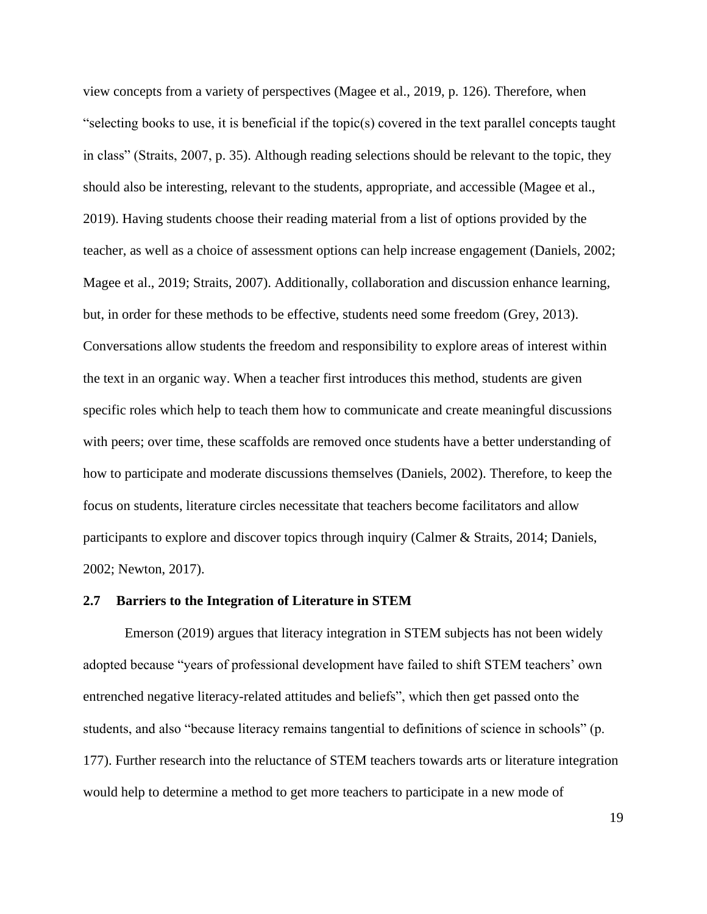view concepts from a variety of perspectives (Magee et al., 2019, p. 126). Therefore, when "selecting books to use, it is beneficial if the topic(s) covered in the text parallel concepts taught in class" (Straits, 2007, p. 35). Although reading selections should be relevant to the topic, they should also be interesting, relevant to the students, appropriate, and accessible (Magee et al., 2019). Having students choose their reading material from a list of options provided by the teacher, as well as a choice of assessment options can help increase engagement (Daniels, 2002; Magee et al., 2019; Straits, 2007). Additionally, collaboration and discussion enhance learning, but, in order for these methods to be effective, students need some freedom (Grey, 2013). Conversations allow students the freedom and responsibility to explore areas of interest within the text in an organic way. When a teacher first introduces this method, students are given specific roles which help to teach them how to communicate and create meaningful discussions with peers; over time, these scaffolds are removed once students have a better understanding of how to participate and moderate discussions themselves (Daniels, 2002). Therefore, to keep the focus on students, literature circles necessitate that teachers become facilitators and allow participants to explore and discover topics through inquiry (Calmer & Straits, 2014; Daniels, 2002; Newton, 2017).

#### **2.7 Barriers to the Integration of Literature in STEM**

Emerson (2019) argues that literacy integration in STEM subjects has not been widely adopted because "years of professional development have failed to shift STEM teachers' own entrenched negative literacy-related attitudes and beliefs", which then get passed onto the students, and also "because literacy remains tangential to definitions of science in schools" (p. 177). Further research into the reluctance of STEM teachers towards arts or literature integration would help to determine a method to get more teachers to participate in a new mode of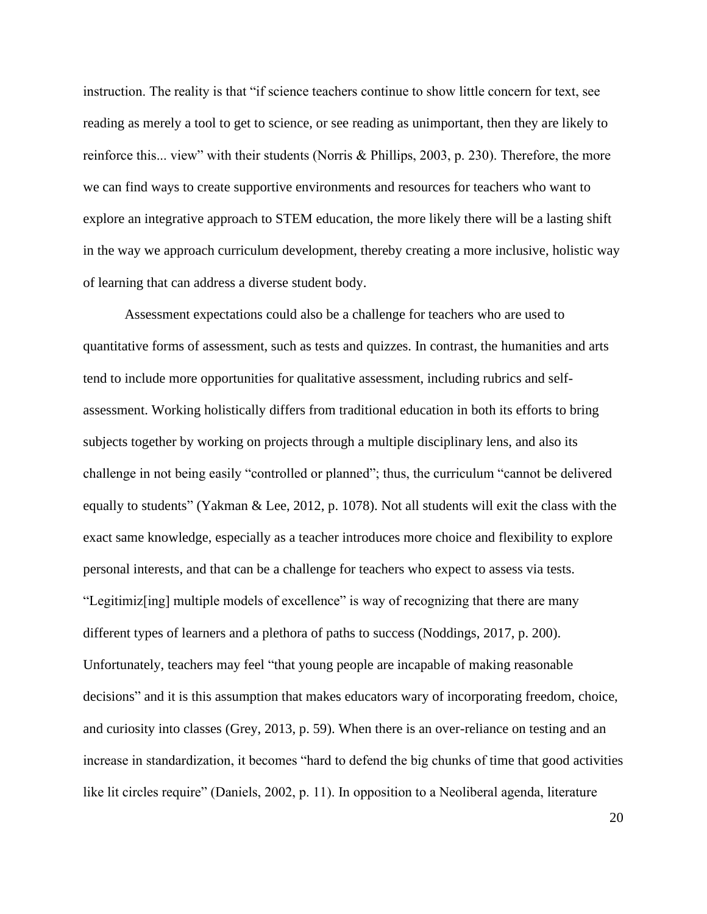instruction. The reality is that "if science teachers continue to show little concern for text, see reading as merely a tool to get to science, or see reading as unimportant, then they are likely to reinforce this... view" with their students (Norris & Phillips, 2003, p. 230). Therefore, the more we can find ways to create supportive environments and resources for teachers who want to explore an integrative approach to STEM education, the more likely there will be a lasting shift in the way we approach curriculum development, thereby creating a more inclusive, holistic way of learning that can address a diverse student body.

Assessment expectations could also be a challenge for teachers who are used to quantitative forms of assessment, such as tests and quizzes. In contrast, the humanities and arts tend to include more opportunities for qualitative assessment, including rubrics and selfassessment. Working holistically differs from traditional education in both its efforts to bring subjects together by working on projects through a multiple disciplinary lens, and also its challenge in not being easily "controlled or planned"; thus, the curriculum "cannot be delivered equally to students" (Yakman & Lee, 2012, p. 1078). Not all students will exit the class with the exact same knowledge, especially as a teacher introduces more choice and flexibility to explore personal interests, and that can be a challenge for teachers who expect to assess via tests. "Legitimiz[ing] multiple models of excellence" is way of recognizing that there are many different types of learners and a plethora of paths to success (Noddings, 2017, p. 200). Unfortunately, teachers may feel "that young people are incapable of making reasonable decisions" and it is this assumption that makes educators wary of incorporating freedom, choice, and curiosity into classes (Grey, 2013, p. 59). When there is an over-reliance on testing and an increase in standardization, it becomes "hard to defend the big chunks of time that good activities like lit circles require" (Daniels, 2002, p. 11). In opposition to a Neoliberal agenda, literature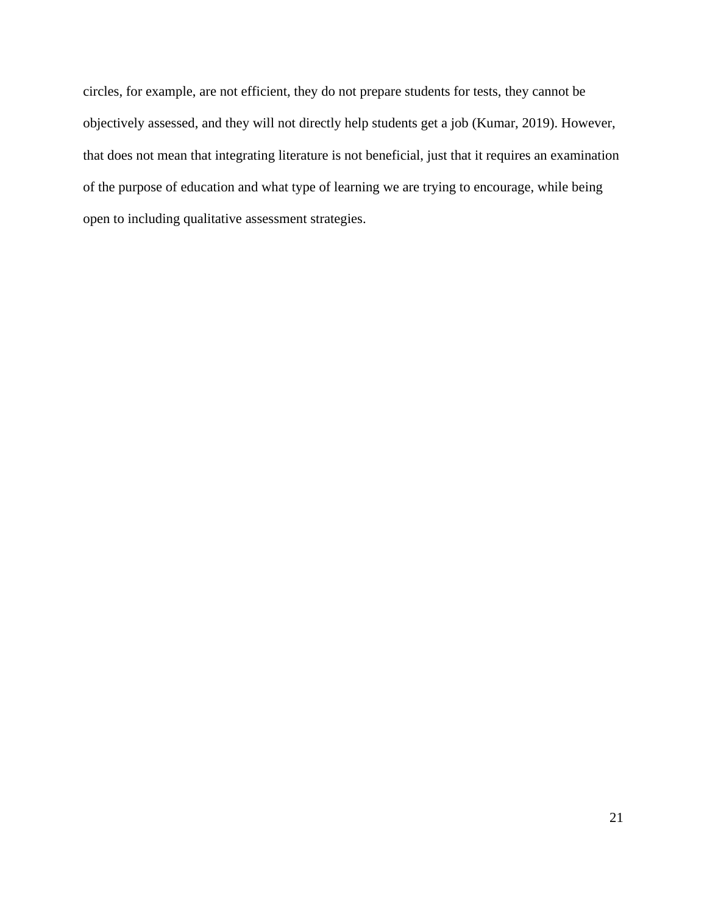circles, for example, are not efficient, they do not prepare students for tests, they cannot be objectively assessed, and they will not directly help students get a job (Kumar, 2019). However, that does not mean that integrating literature is not beneficial, just that it requires an examination of the purpose of education and what type of learning we are trying to encourage, while being open to including qualitative assessment strategies.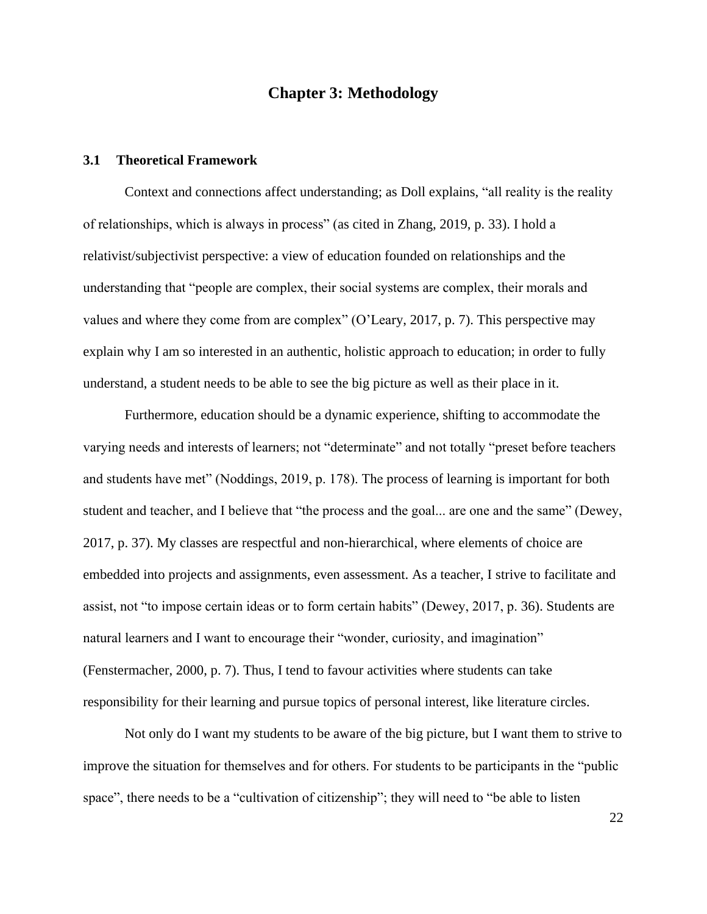## **Chapter 3: Methodology**

#### **3.1 Theoretical Framework**

Context and connections affect understanding; as Doll explains, "all reality is the reality of relationships, which is always in process" (as cited in Zhang, 2019, p. 33). I hold a relativist/subjectivist perspective: a view of education founded on relationships and the understanding that "people are complex, their social systems are complex, their morals and values and where they come from are complex" (O'Leary, 2017, p. 7). This perspective may explain why I am so interested in an authentic, holistic approach to education; in order to fully understand, a student needs to be able to see the big picture as well as their place in it.

Furthermore, education should be a dynamic experience, shifting to accommodate the varying needs and interests of learners; not "determinate" and not totally "preset before teachers and students have met" (Noddings, 2019, p. 178). The process of learning is important for both student and teacher, and I believe that "the process and the goal... are one and the same" (Dewey, 2017, p. 37). My classes are respectful and non-hierarchical, where elements of choice are embedded into projects and assignments, even assessment. As a teacher, I strive to facilitate and assist, not "to impose certain ideas or to form certain habits" (Dewey, 2017, p. 36). Students are natural learners and I want to encourage their "wonder, curiosity, and imagination" (Fenstermacher, 2000, p. 7). Thus, I tend to favour activities where students can take responsibility for their learning and pursue topics of personal interest, like literature circles.

Not only do I want my students to be aware of the big picture, but I want them to strive to improve the situation for themselves and for others. For students to be participants in the "public space", there needs to be a "cultivation of citizenship"; they will need to "be able to listen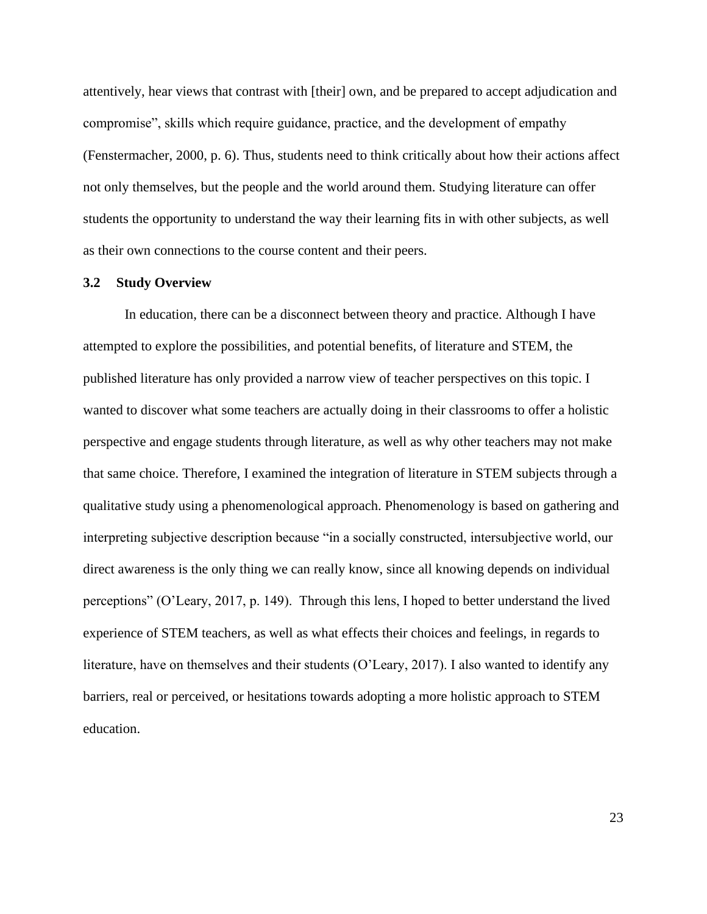attentively, hear views that contrast with [their] own, and be prepared to accept adjudication and compromise", skills which require guidance, practice, and the development of empathy (Fenstermacher, 2000, p. 6). Thus, students need to think critically about how their actions affect not only themselves, but the people and the world around them. Studying literature can offer students the opportunity to understand the way their learning fits in with other subjects, as well as their own connections to the course content and their peers.

#### **3.2 Study Overview**

In education, there can be a disconnect between theory and practice. Although I have attempted to explore the possibilities, and potential benefits, of literature and STEM, the published literature has only provided a narrow view of teacher perspectives on this topic. I wanted to discover what some teachers are actually doing in their classrooms to offer a holistic perspective and engage students through literature, as well as why other teachers may not make that same choice. Therefore, I examined the integration of literature in STEM subjects through a qualitative study using a phenomenological approach. Phenomenology is based on gathering and interpreting subjective description because "in a socially constructed, intersubjective world, our direct awareness is the only thing we can really know, since all knowing depends on individual perceptions" (O'Leary, 2017, p. 149). Through this lens, I hoped to better understand the lived experience of STEM teachers, as well as what effects their choices and feelings, in regards to literature, have on themselves and their students (O'Leary, 2017). I also wanted to identify any barriers, real or perceived, or hesitations towards adopting a more holistic approach to STEM education.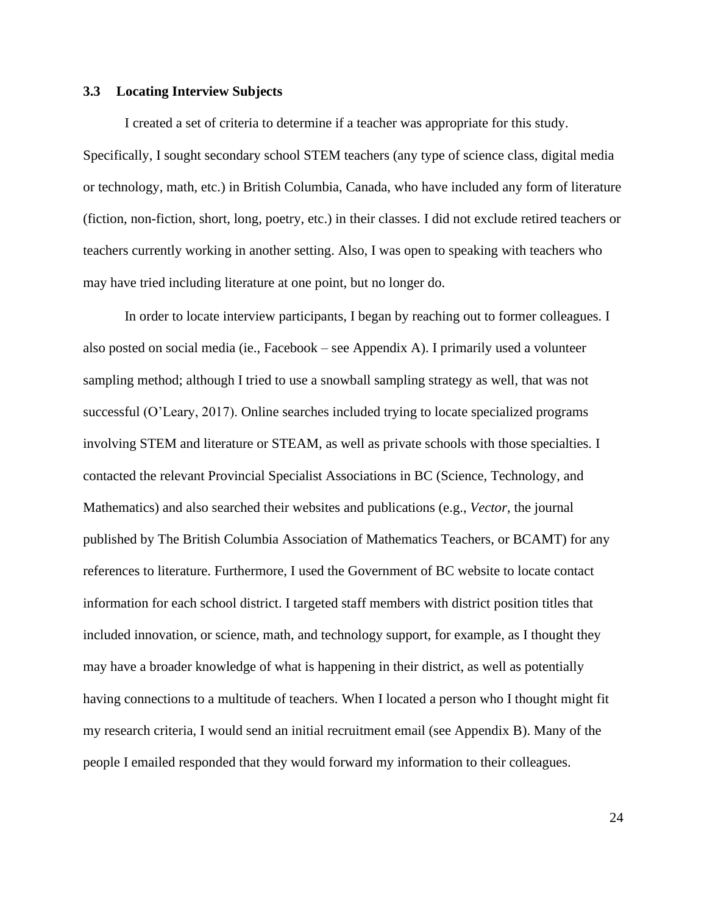# **3.3 Locating Interview Subjects**

I created a set of criteria to determine if a teacher was appropriate for this study. Specifically, I sought secondary school STEM teachers (any type of science class, digital media or technology, math, etc.) in British Columbia, Canada, who have included any form of literature (fiction, non-fiction, short, long, poetry, etc.) in their classes. I did not exclude retired teachers or teachers currently working in another setting. Also, I was open to speaking with teachers who may have tried including literature at one point, but no longer do.

In order to locate interview participants, I began by reaching out to former colleagues. I also posted on social media (ie., Facebook – see Appendix A). I primarily used a volunteer sampling method; although I tried to use a snowball sampling strategy as well, that was not successful (O'Leary, 2017). Online searches included trying to locate specialized programs involving STEM and literature or STEAM, as well as private schools with those specialties. I contacted the relevant Provincial Specialist Associations in BC (Science, Technology, and Mathematics) and also searched their websites and publications (e.g., *Vector*, the journal published by The British Columbia Association of Mathematics Teachers, or BCAMT) for any references to literature. Furthermore, I used the Government of BC website to locate contact information for each school district. I targeted staff members with district position titles that included innovation, or science, math, and technology support, for example, as I thought they may have a broader knowledge of what is happening in their district, as well as potentially having connections to a multitude of teachers. When I located a person who I thought might fit my research criteria, I would send an initial recruitment email (see Appendix B). Many of the people I emailed responded that they would forward my information to their colleagues.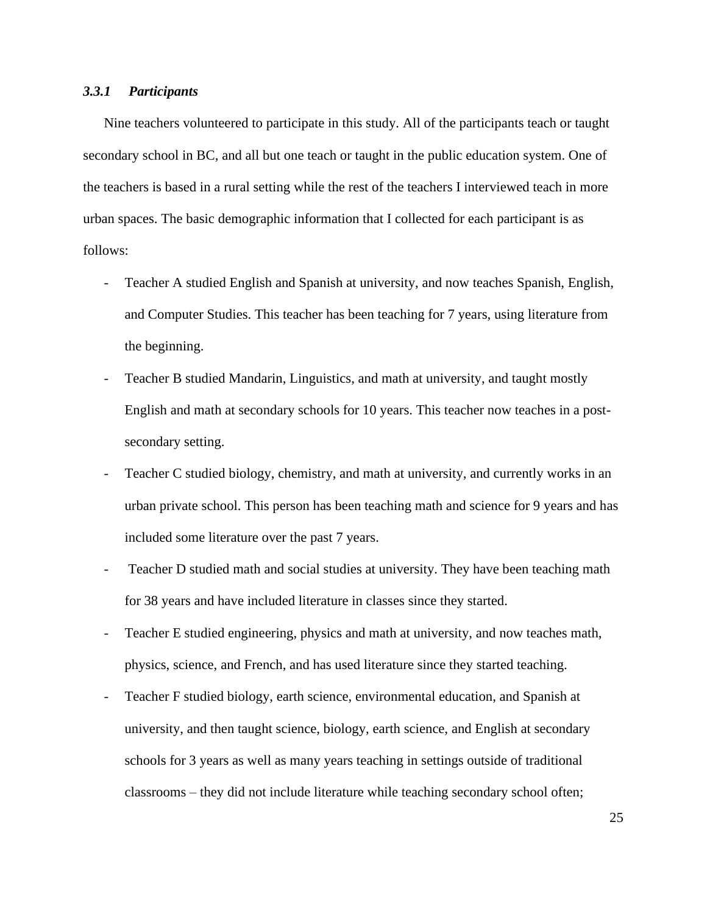# *3.3.1 Participants*

Nine teachers volunteered to participate in this study. All of the participants teach or taught secondary school in BC, and all but one teach or taught in the public education system. One of the teachers is based in a rural setting while the rest of the teachers I interviewed teach in more urban spaces. The basic demographic information that I collected for each participant is as follows:

- Teacher A studied English and Spanish at university, and now teaches Spanish, English, and Computer Studies. This teacher has been teaching for 7 years, using literature from the beginning.
- Teacher B studied Mandarin, Linguistics, and math at university, and taught mostly English and math at secondary schools for 10 years. This teacher now teaches in a postsecondary setting.
- Teacher C studied biology, chemistry, and math at university, and currently works in an urban private school. This person has been teaching math and science for 9 years and has included some literature over the past 7 years.
- Teacher D studied math and social studies at university. They have been teaching math for 38 years and have included literature in classes since they started.
- Teacher E studied engineering, physics and math at university, and now teaches math, physics, science, and French, and has used literature since they started teaching.
- Teacher F studied biology, earth science, environmental education, and Spanish at university, and then taught science, biology, earth science, and English at secondary schools for 3 years as well as many years teaching in settings outside of traditional classrooms – they did not include literature while teaching secondary school often;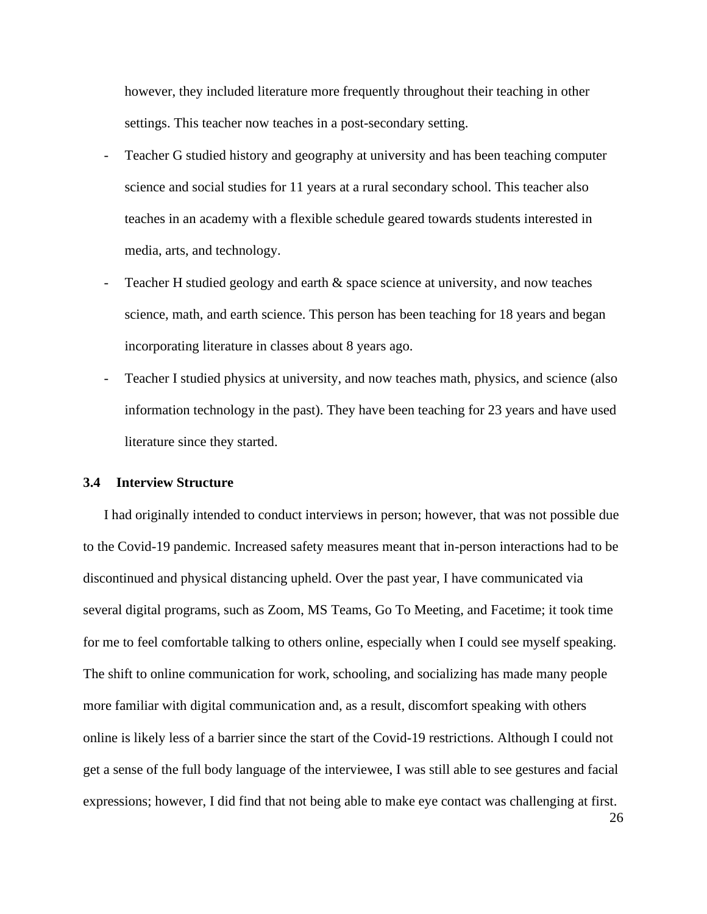however, they included literature more frequently throughout their teaching in other settings. This teacher now teaches in a post-secondary setting.

- Teacher G studied history and geography at university and has been teaching computer science and social studies for 11 years at a rural secondary school. This teacher also teaches in an academy with a flexible schedule geared towards students interested in media, arts, and technology.
- Teacher H studied geology and earth  $\&$  space science at university, and now teaches science, math, and earth science. This person has been teaching for 18 years and began incorporating literature in classes about 8 years ago.
- Teacher I studied physics at university, and now teaches math, physics, and science (also information technology in the past). They have been teaching for 23 years and have used literature since they started.

# **3.4 Interview Structure**

I had originally intended to conduct interviews in person; however, that was not possible due to the Covid-19 pandemic. Increased safety measures meant that in-person interactions had to be discontinued and physical distancing upheld. Over the past year, I have communicated via several digital programs, such as Zoom, MS Teams, Go To Meeting, and Facetime; it took time for me to feel comfortable talking to others online, especially when I could see myself speaking. The shift to online communication for work, schooling, and socializing has made many people more familiar with digital communication and, as a result, discomfort speaking with others online is likely less of a barrier since the start of the Covid-19 restrictions. Although I could not get a sense of the full body language of the interviewee, I was still able to see gestures and facial expressions; however, I did find that not being able to make eye contact was challenging at first.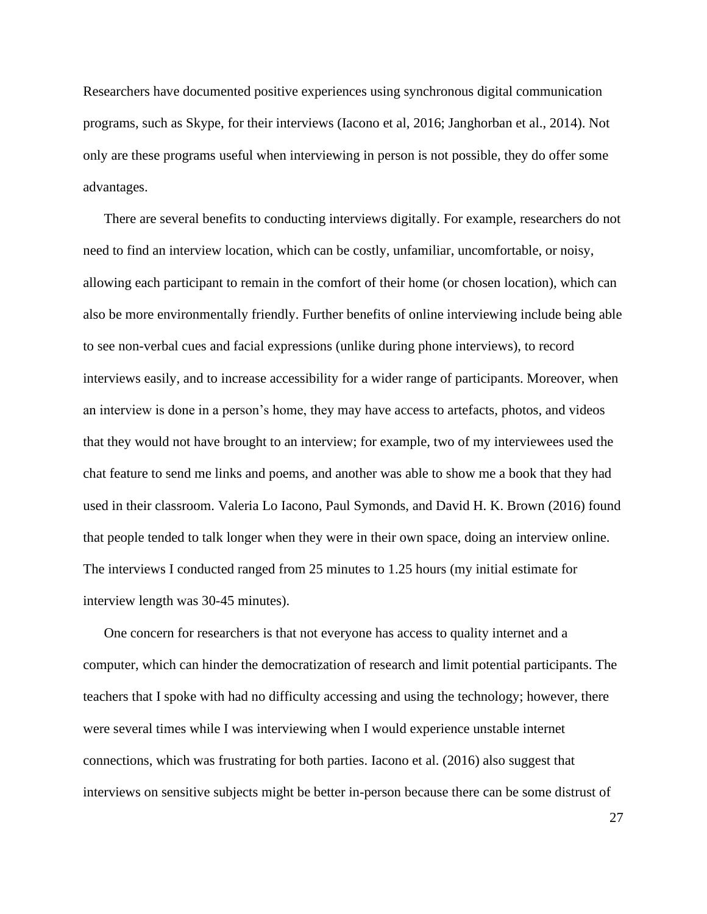Researchers have documented positive experiences using synchronous digital communication programs, such as Skype, for their interviews (Iacono et al, 2016; Janghorban et al., 2014). Not only are these programs useful when interviewing in person is not possible, they do offer some advantages.

There are several benefits to conducting interviews digitally. For example, researchers do not need to find an interview location, which can be costly, unfamiliar, uncomfortable, or noisy, allowing each participant to remain in the comfort of their home (or chosen location), which can also be more environmentally friendly. Further benefits of online interviewing include being able to see non-verbal cues and facial expressions (unlike during phone interviews), to record interviews easily, and to increase accessibility for a wider range of participants. Moreover, when an interview is done in a person's home, they may have access to artefacts, photos, and videos that they would not have brought to an interview; for example, two of my interviewees used the chat feature to send me links and poems, and another was able to show me a book that they had used in their classroom. Valeria Lo Iacono, Paul Symonds, and David H. K. Brown (2016) found that people tended to talk longer when they were in their own space, doing an interview online. The interviews I conducted ranged from 25 minutes to 1.25 hours (my initial estimate for interview length was 30-45 minutes).

One concern for researchers is that not everyone has access to quality internet and a computer, which can hinder the democratization of research and limit potential participants. The teachers that I spoke with had no difficulty accessing and using the technology; however, there were several times while I was interviewing when I would experience unstable internet connections, which was frustrating for both parties. Iacono et al. (2016) also suggest that interviews on sensitive subjects might be better in-person because there can be some distrust of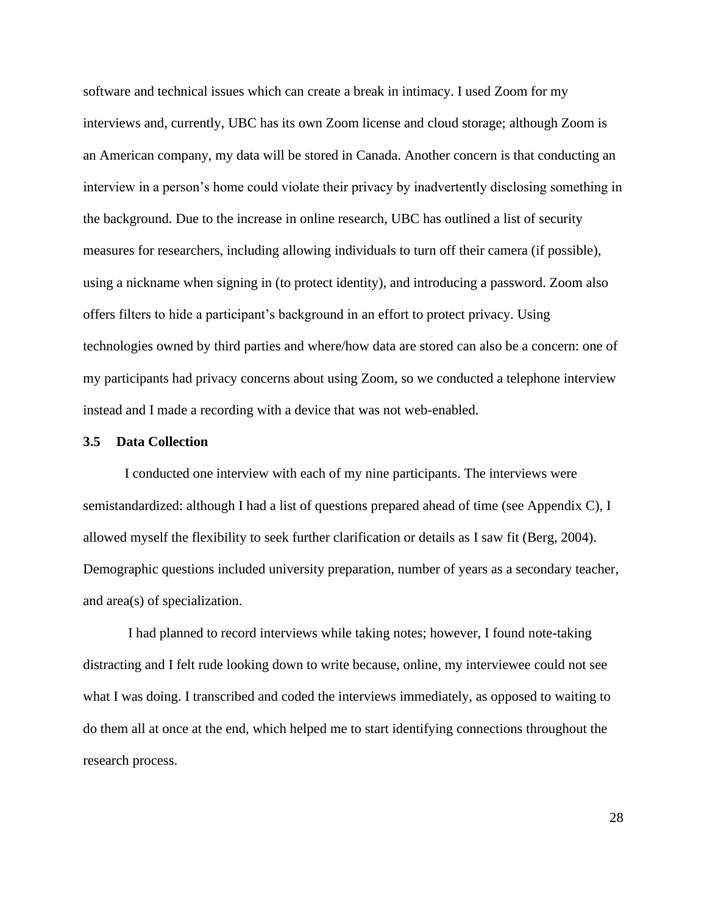software and technical issues which can create a break in intimacy. I used Zoom for my interviews and, currently, UBC has its own Zoom license and cloud storage; although Zoom is an American company, my data will be stored in Canada. Another concern is that conducting an interview in a person's home could violate their privacy by inadvertently disclosing something in the background. Due to the increase in online research, UBC has outlined a list of security measures for researchers, including allowing individuals to turn off their camera (if possible), using a nickname when signing in (to protect identity), and introducing a password. Zoom also offers filters to hide a participant's background in an effort to protect privacy. Using technologies owned by third parties and where/how data are stored can also be a concern: one of my participants had privacy concerns about using Zoom, so we conducted a telephone interview instead and I made a recording with a device that was not web-enabled.

#### **3.5 Data Collection**

I conducted one interview with each of my nine participants. The interviews were semistandardized: although I had a list of questions prepared ahead of time (see Appendix C), I allowed myself the flexibility to seek further clarification or details as I saw fit (Berg, 2004). Demographic questions included university preparation, number of years as a secondary teacher, and area(s) of specialization.

I had planned to record interviews while taking notes; however, I found note-taking distracting and I felt rude looking down to write because, online, my interviewee could not see what I was doing. I transcribed and coded the interviews immediately, as opposed to waiting to do them all at once at the end, which helped me to start identifying connections throughout the research process.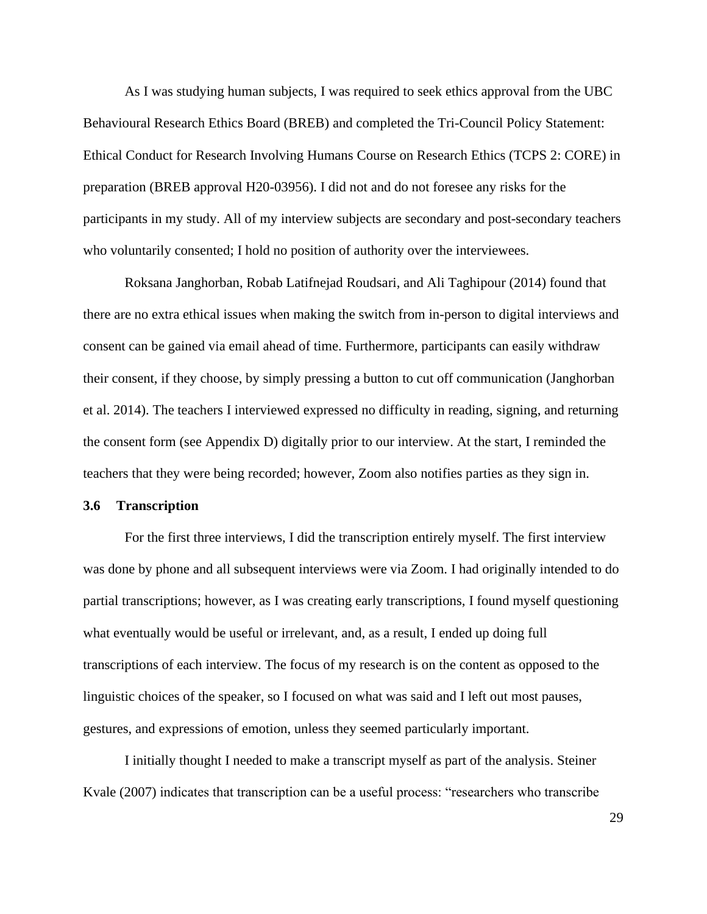As I was studying human subjects, I was required to seek ethics approval from the UBC Behavioural Research Ethics Board (BREB) and completed the Tri-Council Policy Statement: Ethical Conduct for Research Involving Humans Course on Research Ethics (TCPS 2: CORE) in preparation (BREB approval H20-03956). I did not and do not foresee any risks for the participants in my study. All of my interview subjects are secondary and post-secondary teachers who voluntarily consented; I hold no position of authority over the interviewees.

Roksana Janghorban, Robab Latifnejad Roudsari, and Ali Taghipour (2014) found that there are no extra ethical issues when making the switch from in-person to digital interviews and consent can be gained via email ahead of time. Furthermore, participants can easily withdraw their consent, if they choose, by simply pressing a button to cut off communication (Janghorban et al. 2014). The teachers I interviewed expressed no difficulty in reading, signing, and returning the consent form (see Appendix D) digitally prior to our interview. At the start, I reminded the teachers that they were being recorded; however, Zoom also notifies parties as they sign in.

#### **3.6 Transcription**

For the first three interviews, I did the transcription entirely myself. The first interview was done by phone and all subsequent interviews were via Zoom. I had originally intended to do partial transcriptions; however, as I was creating early transcriptions, I found myself questioning what eventually would be useful or irrelevant, and, as a result, I ended up doing full transcriptions of each interview. The focus of my research is on the content as opposed to the linguistic choices of the speaker, so I focused on what was said and I left out most pauses, gestures, and expressions of emotion, unless they seemed particularly important.

I initially thought I needed to make a transcript myself as part of the analysis. Steiner Kvale (2007) indicates that transcription can be a useful process: "researchers who transcribe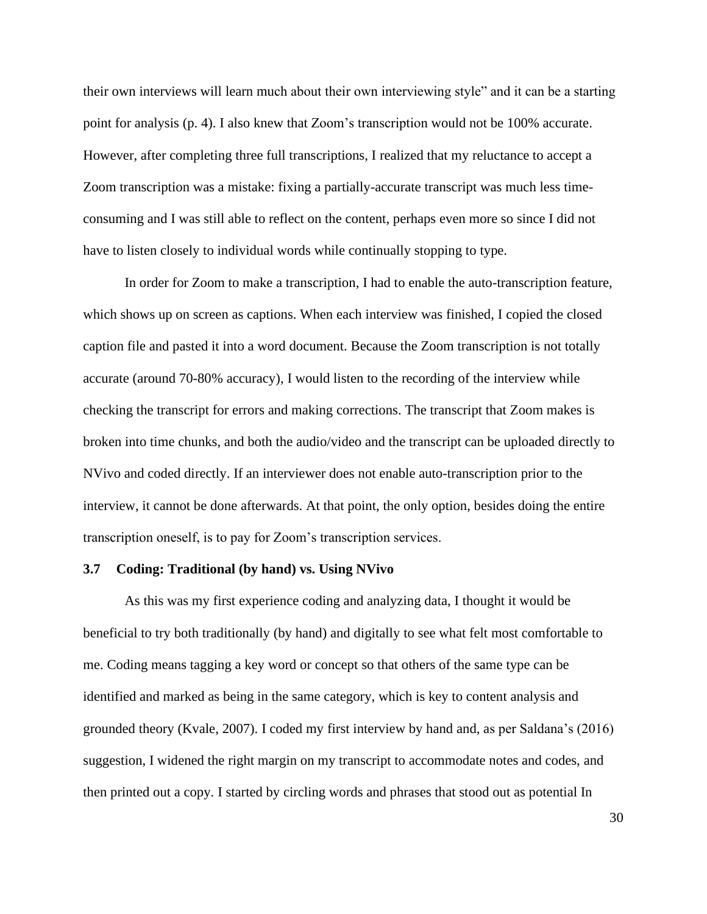their own interviews will learn much about their own interviewing style" and it can be a starting point for analysis (p. 4). I also knew that Zoom's transcription would not be 100% accurate. However, after completing three full transcriptions, I realized that my reluctance to accept a Zoom transcription was a mistake: fixing a partially-accurate transcript was much less timeconsuming and I was still able to reflect on the content, perhaps even more so since I did not have to listen closely to individual words while continually stopping to type.

In order for Zoom to make a transcription, I had to enable the auto-transcription feature, which shows up on screen as captions. When each interview was finished, I copied the closed caption file and pasted it into a word document. Because the Zoom transcription is not totally accurate (around 70-80% accuracy), I would listen to the recording of the interview while checking the transcript for errors and making corrections. The transcript that Zoom makes is broken into time chunks, and both the audio/video and the transcript can be uploaded directly to NVivo and coded directly. If an interviewer does not enable auto-transcription prior to the interview, it cannot be done afterwards. At that point, the only option, besides doing the entire transcription oneself, is to pay for Zoom's transcription services.

# **3.7 Coding: Traditional (by hand) vs. Using NVivo**

As this was my first experience coding and analyzing data, I thought it would be beneficial to try both traditionally (by hand) and digitally to see what felt most comfortable to me. Coding means tagging a key word or concept so that others of the same type can be identified and marked as being in the same category, which is key to content analysis and grounded theory (Kvale, 2007). I coded my first interview by hand and, as per Saldana's (2016) suggestion, I widened the right margin on my transcript to accommodate notes and codes, and then printed out a copy. I started by circling words and phrases that stood out as potential In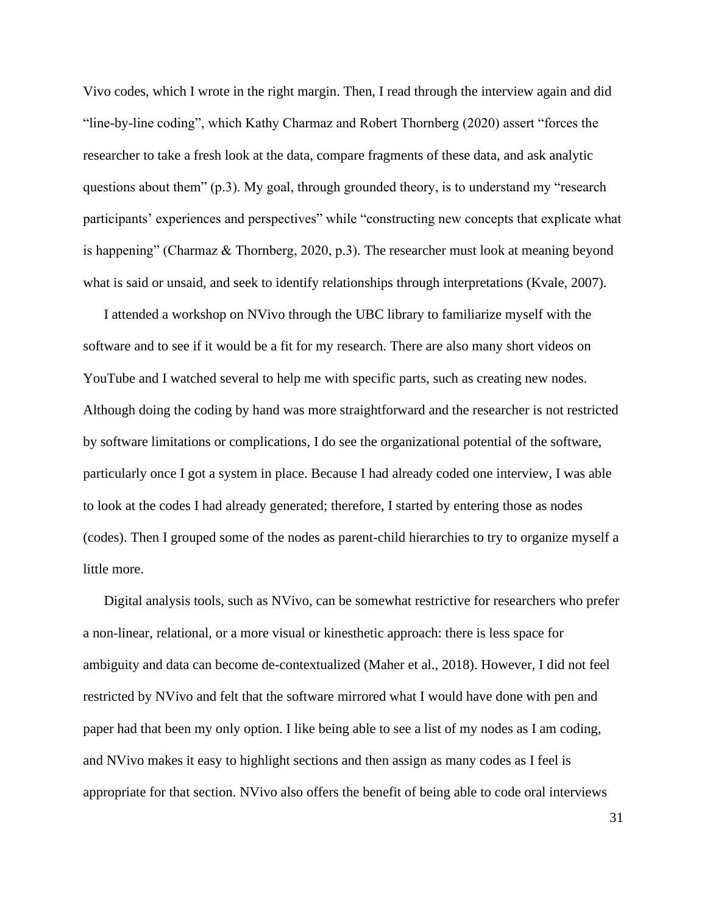Vivo codes, which I wrote in the right margin. Then, I read through the interview again and did "line-by-line coding", which Kathy Charmaz and Robert Thornberg (2020) assert "forces the researcher to take a fresh look at the data, compare fragments of these data, and ask analytic questions about them" (p.3). My goal, through grounded theory, is to understand my "research participants' experiences and perspectives" while "constructing new concepts that explicate what is happening" (Charmaz & Thornberg, 2020, p.3). The researcher must look at meaning beyond what is said or unsaid, and seek to identify relationships through interpretations (Kvale, 2007).

I attended a workshop on NVivo through the UBC library to familiarize myself with the software and to see if it would be a fit for my research. There are also many short videos on YouTube and I watched several to help me with specific parts, such as creating new nodes. Although doing the coding by hand was more straightforward and the researcher is not restricted by software limitations or complications, I do see the organizational potential of the software, particularly once I got a system in place. Because I had already coded one interview, I was able to look at the codes I had already generated; therefore, I started by entering those as nodes (codes). Then I grouped some of the nodes as parent-child hierarchies to try to organize myself a little more.

Digital analysis tools, such as NVivo, can be somewhat restrictive for researchers who prefer a non-linear, relational, or a more visual or kinesthetic approach: there is less space for ambiguity and data can become de-contextualized (Maher et al., 2018). However, I did not feel restricted by NVivo and felt that the software mirrored what I would have done with pen and paper had that been my only option. I like being able to see a list of my nodes as I am coding, and NVivo makes it easy to highlight sections and then assign as many codes as I feel is appropriate for that section. NVivo also offers the benefit of being able to code oral interviews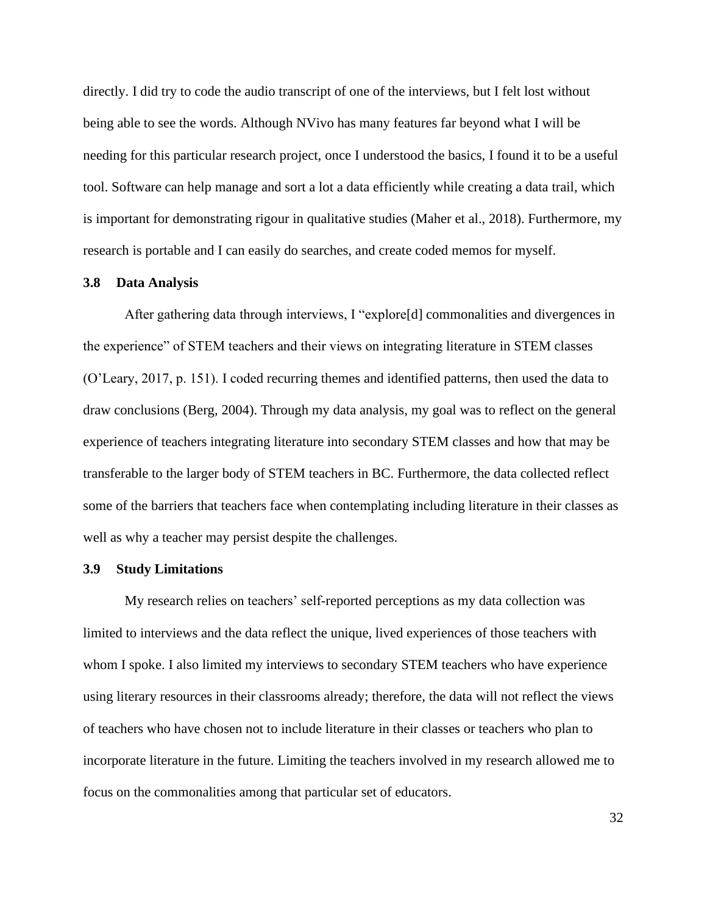directly. I did try to code the audio transcript of one of the interviews, but I felt lost without being able to see the words. Although NVivo has many features far beyond what I will be needing for this particular research project, once I understood the basics, I found it to be a useful tool. Software can help manage and sort a lot a data efficiently while creating a data trail, which is important for demonstrating rigour in qualitative studies (Maher et al., 2018). Furthermore, my research is portable and I can easily do searches, and create coded memos for myself.

## **3.8 Data Analysis**

After gathering data through interviews, I "explore[d] commonalities and divergences in the experience" of STEM teachers and their views on integrating literature in STEM classes (O'Leary, 2017, p. 151). I coded recurring themes and identified patterns, then used the data to draw conclusions (Berg, 2004). Through my data analysis, my goal was to reflect on the general experience of teachers integrating literature into secondary STEM classes and how that may be transferable to the larger body of STEM teachers in BC. Furthermore, the data collected reflect some of the barriers that teachers face when contemplating including literature in their classes as well as why a teacher may persist despite the challenges.

#### **3.9 Study Limitations**

My research relies on teachers' self-reported perceptions as my data collection was limited to interviews and the data reflect the unique, lived experiences of those teachers with whom I spoke. I also limited my interviews to secondary STEM teachers who have experience using literary resources in their classrooms already; therefore, the data will not reflect the views of teachers who have chosen not to include literature in their classes or teachers who plan to incorporate literature in the future. Limiting the teachers involved in my research allowed me to focus on the commonalities among that particular set of educators.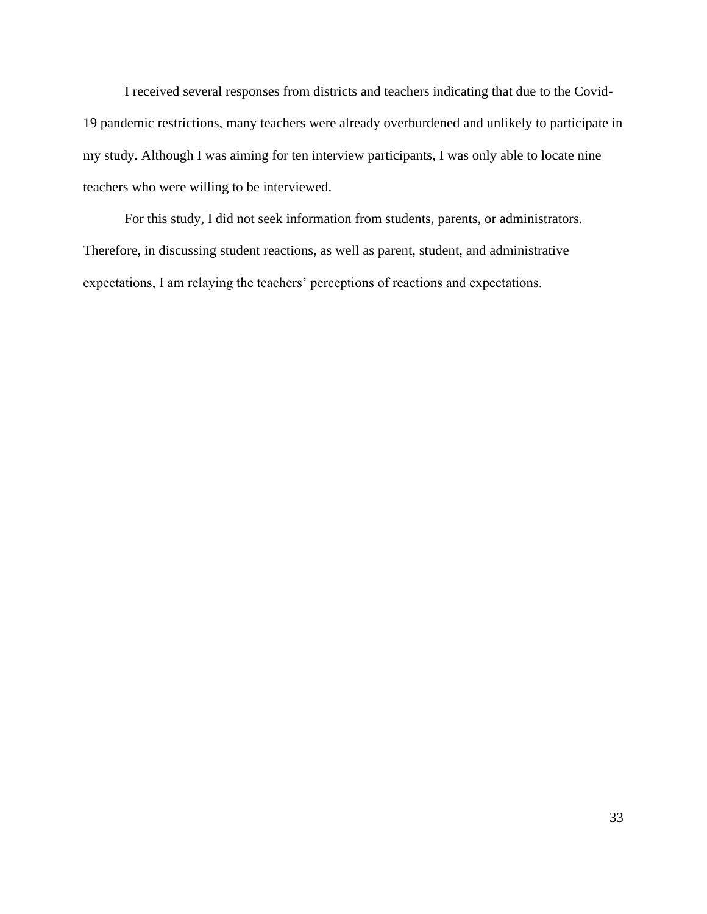I received several responses from districts and teachers indicating that due to the Covid-19 pandemic restrictions, many teachers were already overburdened and unlikely to participate in my study. Although I was aiming for ten interview participants, I was only able to locate nine teachers who were willing to be interviewed.

For this study, I did not seek information from students, parents, or administrators. Therefore, in discussing student reactions, as well as parent, student, and administrative expectations, I am relaying the teachers' perceptions of reactions and expectations.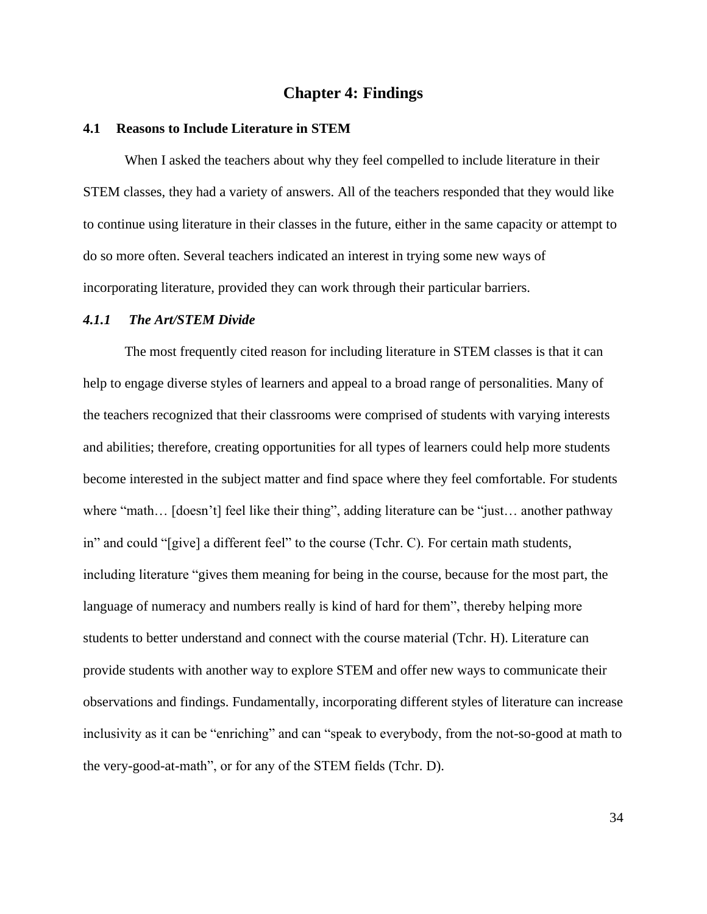# **Chapter 4: Findings**

#### **4.1 Reasons to Include Literature in STEM**

When I asked the teachers about why they feel compelled to include literature in their STEM classes, they had a variety of answers. All of the teachers responded that they would like to continue using literature in their classes in the future, either in the same capacity or attempt to do so more often. Several teachers indicated an interest in trying some new ways of incorporating literature, provided they can work through their particular barriers.

#### *4.1.1 The Art/STEM Divide*

The most frequently cited reason for including literature in STEM classes is that it can help to engage diverse styles of learners and appeal to a broad range of personalities. Many of the teachers recognized that their classrooms were comprised of students with varying interests and abilities; therefore, creating opportunities for all types of learners could help more students become interested in the subject matter and find space where they feel comfortable. For students where "math... [doesn't] feel like their thing", adding literature can be "just... another pathway in" and could "[give] a different feel" to the course (Tchr. C). For certain math students, including literature "gives them meaning for being in the course, because for the most part, the language of numeracy and numbers really is kind of hard for them", thereby helping more students to better understand and connect with the course material (Tchr. H). Literature can provide students with another way to explore STEM and offer new ways to communicate their observations and findings. Fundamentally, incorporating different styles of literature can increase inclusivity as it can be "enriching" and can "speak to everybody, from the not-so-good at math to the very-good-at-math", or for any of the STEM fields (Tchr. D).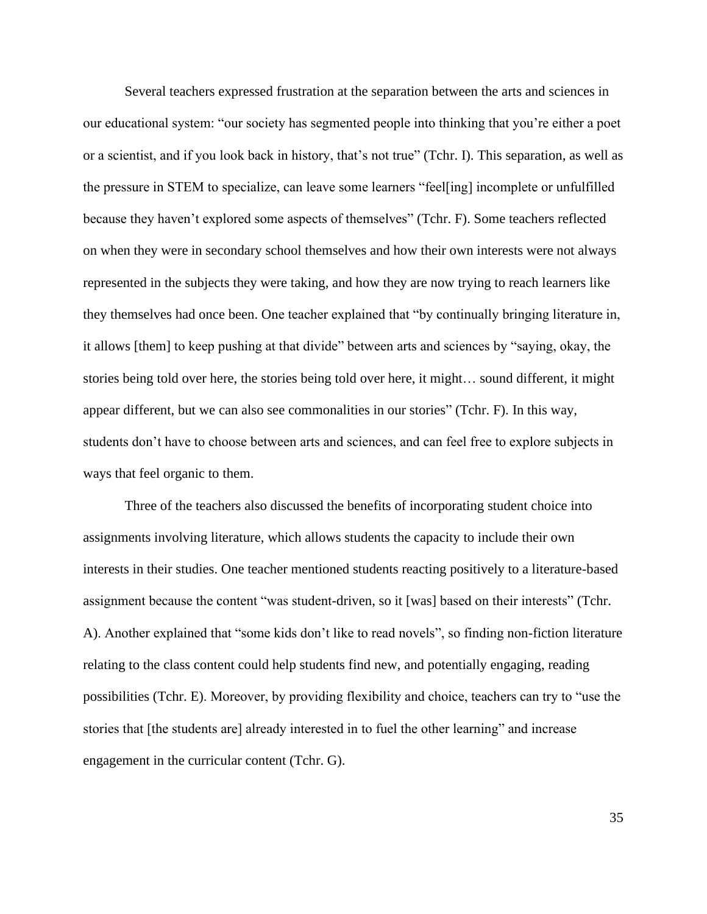Several teachers expressed frustration at the separation between the arts and sciences in our educational system: "our society has segmented people into thinking that you're either a poet or a scientist, and if you look back in history, that's not true" (Tchr. I). This separation, as well as the pressure in STEM to specialize, can leave some learners "feel[ing] incomplete or unfulfilled because they haven't explored some aspects of themselves" (Tchr. F). Some teachers reflected on when they were in secondary school themselves and how their own interests were not always represented in the subjects they were taking, and how they are now trying to reach learners like they themselves had once been. One teacher explained that "by continually bringing literature in, it allows [them] to keep pushing at that divide" between arts and sciences by "saying, okay, the stories being told over here, the stories being told over here, it might… sound different, it might appear different, but we can also see commonalities in our stories" (Tchr. F). In this way, students don't have to choose between arts and sciences, and can feel free to explore subjects in ways that feel organic to them.

Three of the teachers also discussed the benefits of incorporating student choice into assignments involving literature, which allows students the capacity to include their own interests in their studies. One teacher mentioned students reacting positively to a literature-based assignment because the content "was student-driven, so it [was] based on their interests" (Tchr. A). Another explained that "some kids don't like to read novels", so finding non-fiction literature relating to the class content could help students find new, and potentially engaging, reading possibilities (Tchr. E). Moreover, by providing flexibility and choice, teachers can try to "use the stories that [the students are] already interested in to fuel the other learning" and increase engagement in the curricular content (Tchr. G).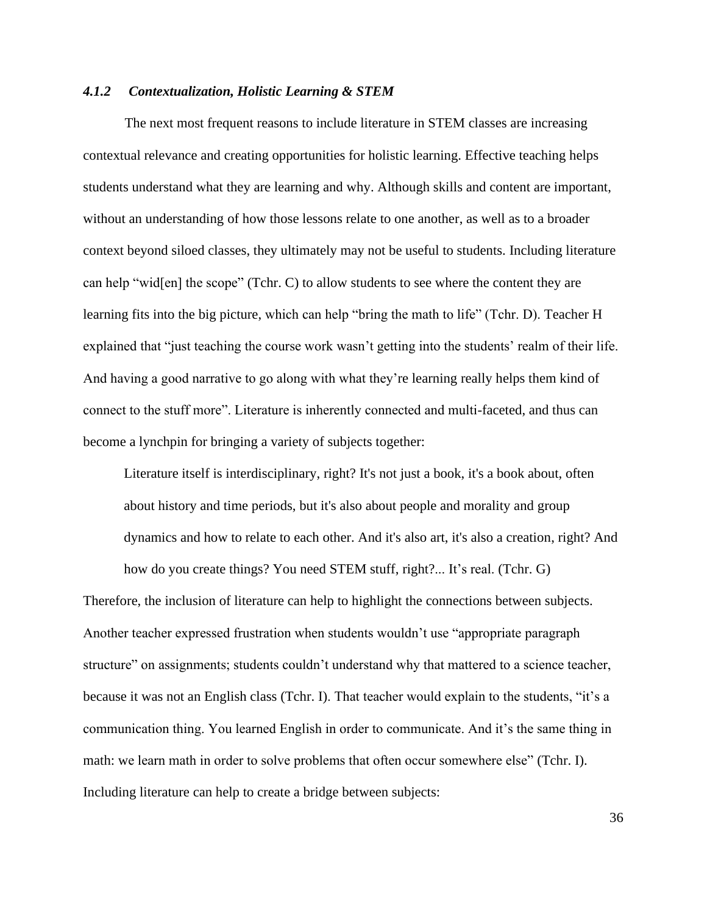# *4.1.2 Contextualization, Holistic Learning & STEM*

The next most frequent reasons to include literature in STEM classes are increasing contextual relevance and creating opportunities for holistic learning. Effective teaching helps students understand what they are learning and why. Although skills and content are important, without an understanding of how those lessons relate to one another, as well as to a broader context beyond siloed classes, they ultimately may not be useful to students. Including literature can help "wid[en] the scope" (Tchr. C) to allow students to see where the content they are learning fits into the big picture, which can help "bring the math to life" (Tchr. D). Teacher H explained that "just teaching the course work wasn't getting into the students' realm of their life. And having a good narrative to go along with what they're learning really helps them kind of connect to the stuff more". Literature is inherently connected and multi-faceted, and thus can become a lynchpin for bringing a variety of subjects together:

Literature itself is interdisciplinary, right? It's not just a book, it's a book about, often about history and time periods, but it's also about people and morality and group dynamics and how to relate to each other. And it's also art, it's also a creation, right? And how do you create things? You need STEM stuff, right?... It's real. (Tchr. G)

Therefore, the inclusion of literature can help to highlight the connections between subjects. Another teacher expressed frustration when students wouldn't use "appropriate paragraph structure" on assignments; students couldn't understand why that mattered to a science teacher, because it was not an English class (Tchr. I). That teacher would explain to the students, "it's a communication thing. You learned English in order to communicate. And it's the same thing in math: we learn math in order to solve problems that often occur somewhere else" (Tchr. I). Including literature can help to create a bridge between subjects: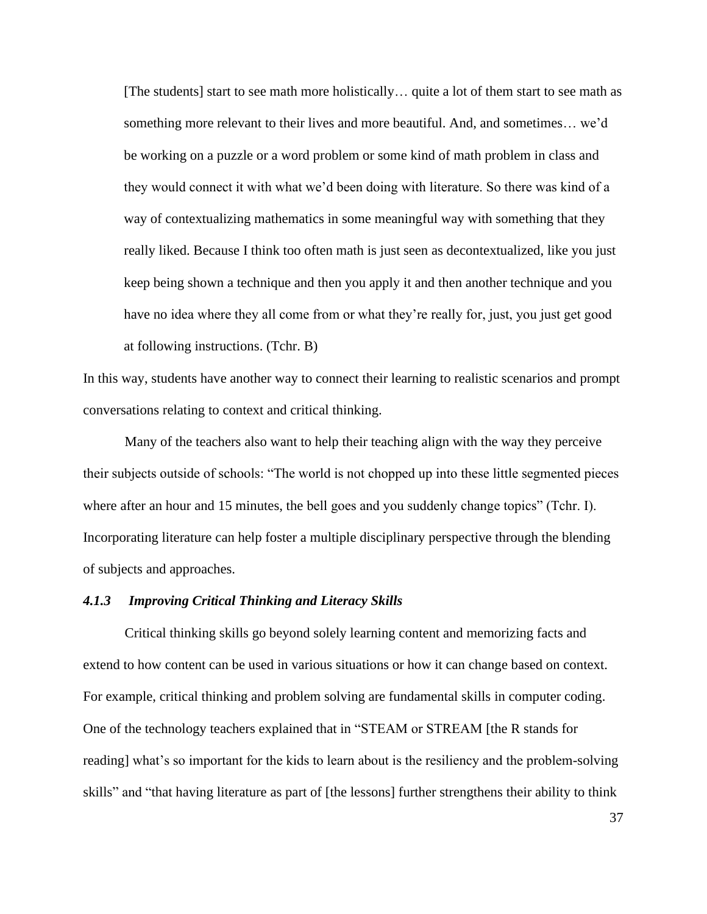[The students] start to see math more holistically… quite a lot of them start to see math as something more relevant to their lives and more beautiful. And, and sometimes… we'd be working on a puzzle or a word problem or some kind of math problem in class and they would connect it with what we'd been doing with literature. So there was kind of a way of contextualizing mathematics in some meaningful way with something that they really liked. Because I think too often math is just seen as decontextualized, like you just keep being shown a technique and then you apply it and then another technique and you have no idea where they all come from or what they're really for, just, you just get good at following instructions. (Tchr. B)

In this way, students have another way to connect their learning to realistic scenarios and prompt conversations relating to context and critical thinking.

Many of the teachers also want to help their teaching align with the way they perceive their subjects outside of schools: "The world is not chopped up into these little segmented pieces where after an hour and 15 minutes, the bell goes and you suddenly change topics" (Tchr. I). Incorporating literature can help foster a multiple disciplinary perspective through the blending of subjects and approaches.

# *4.1.3 Improving Critical Thinking and Literacy Skills*

Critical thinking skills go beyond solely learning content and memorizing facts and extend to how content can be used in various situations or how it can change based on context. For example, critical thinking and problem solving are fundamental skills in computer coding. One of the technology teachers explained that in "STEAM or STREAM [the R stands for reading] what's so important for the kids to learn about is the resiliency and the problem-solving skills" and "that having literature as part of [the lessons] further strengthens their ability to think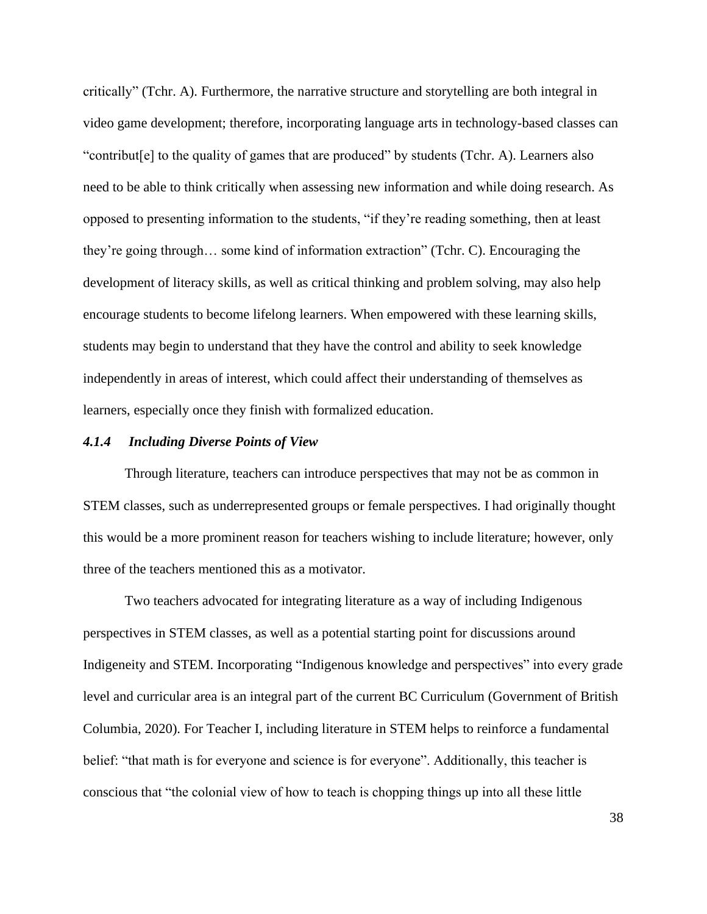critically" (Tchr. A). Furthermore, the narrative structure and storytelling are both integral in video game development; therefore, incorporating language arts in technology-based classes can "contribut[e] to the quality of games that are produced" by students (Tchr. A). Learners also need to be able to think critically when assessing new information and while doing research. As opposed to presenting information to the students, "if they're reading something, then at least they're going through… some kind of information extraction" (Tchr. C). Encouraging the development of literacy skills, as well as critical thinking and problem solving, may also help encourage students to become lifelong learners. When empowered with these learning skills, students may begin to understand that they have the control and ability to seek knowledge independently in areas of interest, which could affect their understanding of themselves as learners, especially once they finish with formalized education.

## *4.1.4 Including Diverse Points of View*

Through literature, teachers can introduce perspectives that may not be as common in STEM classes, such as underrepresented groups or female perspectives. I had originally thought this would be a more prominent reason for teachers wishing to include literature; however, only three of the teachers mentioned this as a motivator.

Two teachers advocated for integrating literature as a way of including Indigenous perspectives in STEM classes, as well as a potential starting point for discussions around Indigeneity and STEM. Incorporating "Indigenous knowledge and perspectives" into every grade level and curricular area is an integral part of the current BC Curriculum (Government of British Columbia, 2020). For Teacher I, including literature in STEM helps to reinforce a fundamental belief: "that math is for everyone and science is for everyone". Additionally, this teacher is conscious that "the colonial view of how to teach is chopping things up into all these little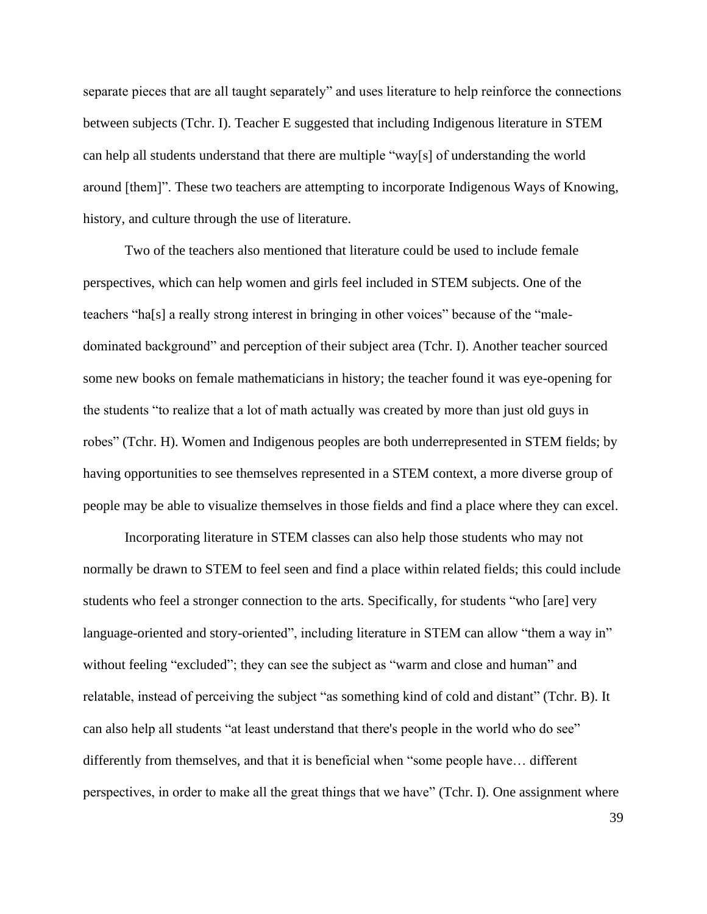separate pieces that are all taught separately" and uses literature to help reinforce the connections between subjects (Tchr. I). Teacher E suggested that including Indigenous literature in STEM can help all students understand that there are multiple "way[s] of understanding the world around [them]". These two teachers are attempting to incorporate Indigenous Ways of Knowing, history, and culture through the use of literature.

Two of the teachers also mentioned that literature could be used to include female perspectives, which can help women and girls feel included in STEM subjects. One of the teachers "ha[s] a really strong interest in bringing in other voices" because of the "maledominated background" and perception of their subject area (Tchr. I). Another teacher sourced some new books on female mathematicians in history; the teacher found it was eye-opening for the students "to realize that a lot of math actually was created by more than just old guys in robes" (Tchr. H). Women and Indigenous peoples are both underrepresented in STEM fields; by having opportunities to see themselves represented in a STEM context, a more diverse group of people may be able to visualize themselves in those fields and find a place where they can excel.

Incorporating literature in STEM classes can also help those students who may not normally be drawn to STEM to feel seen and find a place within related fields; this could include students who feel a stronger connection to the arts. Specifically, for students "who [are] very language-oriented and story-oriented", including literature in STEM can allow "them a way in" without feeling "excluded"; they can see the subject as "warm and close and human" and relatable, instead of perceiving the subject "as something kind of cold and distant" (Tchr. B). It can also help all students "at least understand that there's people in the world who do see" differently from themselves, and that it is beneficial when "some people have… different perspectives, in order to make all the great things that we have" (Tchr. I). One assignment where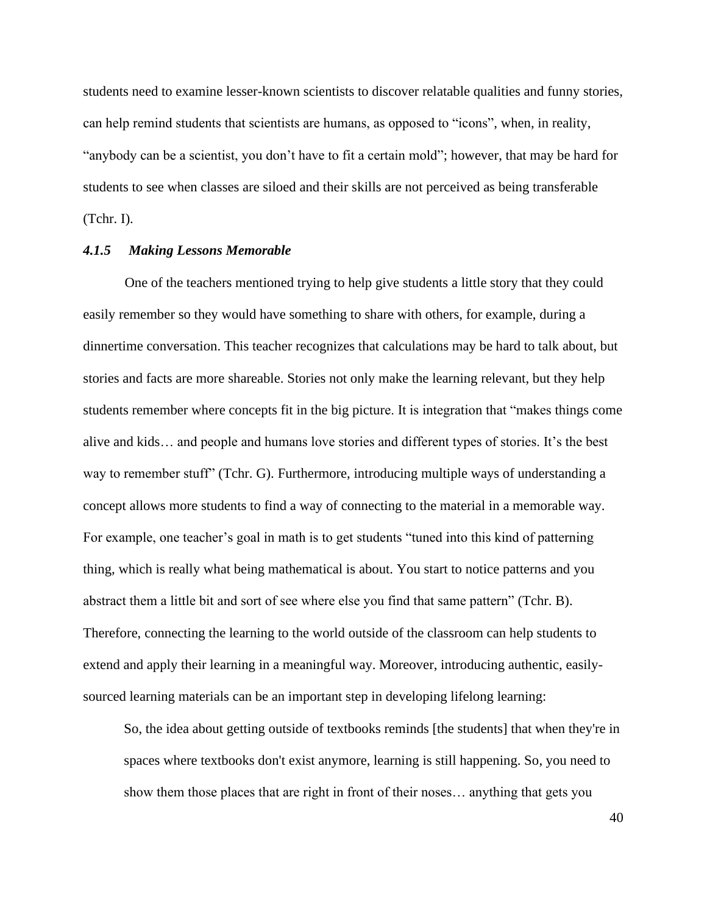students need to examine lesser-known scientists to discover relatable qualities and funny stories, can help remind students that scientists are humans, as opposed to "icons", when, in reality, "anybody can be a scientist, you don't have to fit a certain mold"; however, that may be hard for students to see when classes are siloed and their skills are not perceived as being transferable (Tchr. I).

# *4.1.5 Making Lessons Memorable*

One of the teachers mentioned trying to help give students a little story that they could easily remember so they would have something to share with others, for example, during a dinnertime conversation. This teacher recognizes that calculations may be hard to talk about, but stories and facts are more shareable. Stories not only make the learning relevant, but they help students remember where concepts fit in the big picture. It is integration that "makes things come alive and kids… and people and humans love stories and different types of stories. It's the best way to remember stuff" (Tchr. G). Furthermore, introducing multiple ways of understanding a concept allows more students to find a way of connecting to the material in a memorable way. For example, one teacher's goal in math is to get students "tuned into this kind of patterning thing, which is really what being mathematical is about. You start to notice patterns and you abstract them a little bit and sort of see where else you find that same pattern" (Tchr. B). Therefore, connecting the learning to the world outside of the classroom can help students to extend and apply their learning in a meaningful way. Moreover, introducing authentic, easilysourced learning materials can be an important step in developing lifelong learning:

So, the idea about getting outside of textbooks reminds [the students] that when they're in spaces where textbooks don't exist anymore, learning is still happening. So, you need to show them those places that are right in front of their noses… anything that gets you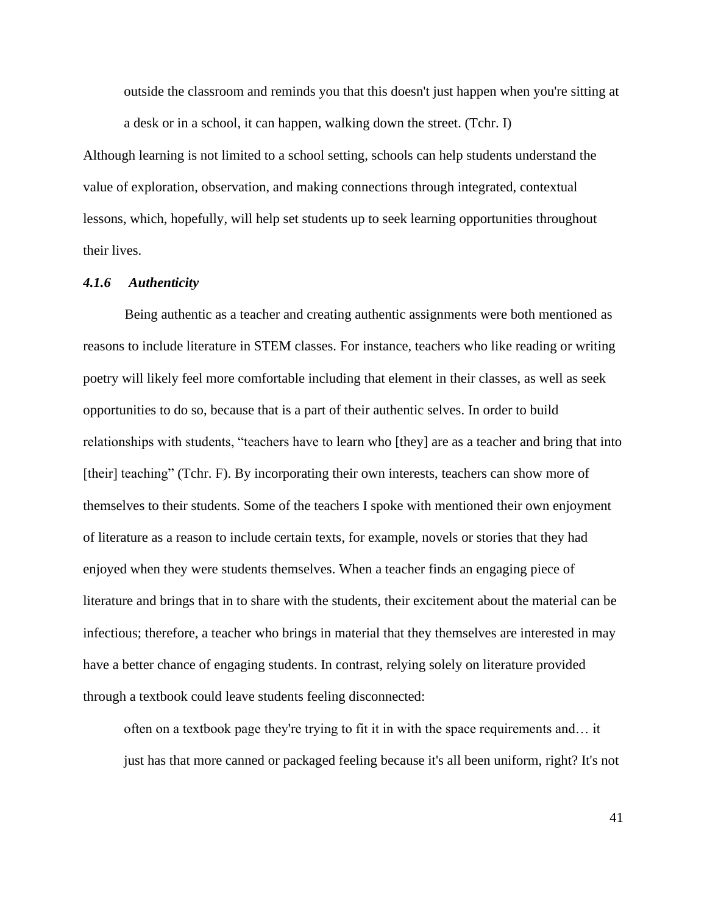outside the classroom and reminds you that this doesn't just happen when you're sitting at a desk or in a school, it can happen, walking down the street. (Tchr. I)

Although learning is not limited to a school setting, schools can help students understand the value of exploration, observation, and making connections through integrated, contextual lessons, which, hopefully, will help set students up to seek learning opportunities throughout their lives.

# *4.1.6 Authenticity*

Being authentic as a teacher and creating authentic assignments were both mentioned as reasons to include literature in STEM classes. For instance, teachers who like reading or writing poetry will likely feel more comfortable including that element in their classes, as well as seek opportunities to do so, because that is a part of their authentic selves. In order to build relationships with students, "teachers have to learn who [they] are as a teacher and bring that into [their] teaching" (Tchr. F). By incorporating their own interests, teachers can show more of themselves to their students. Some of the teachers I spoke with mentioned their own enjoyment of literature as a reason to include certain texts, for example, novels or stories that they had enjoyed when they were students themselves. When a teacher finds an engaging piece of literature and brings that in to share with the students, their excitement about the material can be infectious; therefore, a teacher who brings in material that they themselves are interested in may have a better chance of engaging students. In contrast, relying solely on literature provided through a textbook could leave students feeling disconnected:

often on a textbook page they're trying to fit it in with the space requirements and… it just has that more canned or packaged feeling because it's all been uniform, right? It's not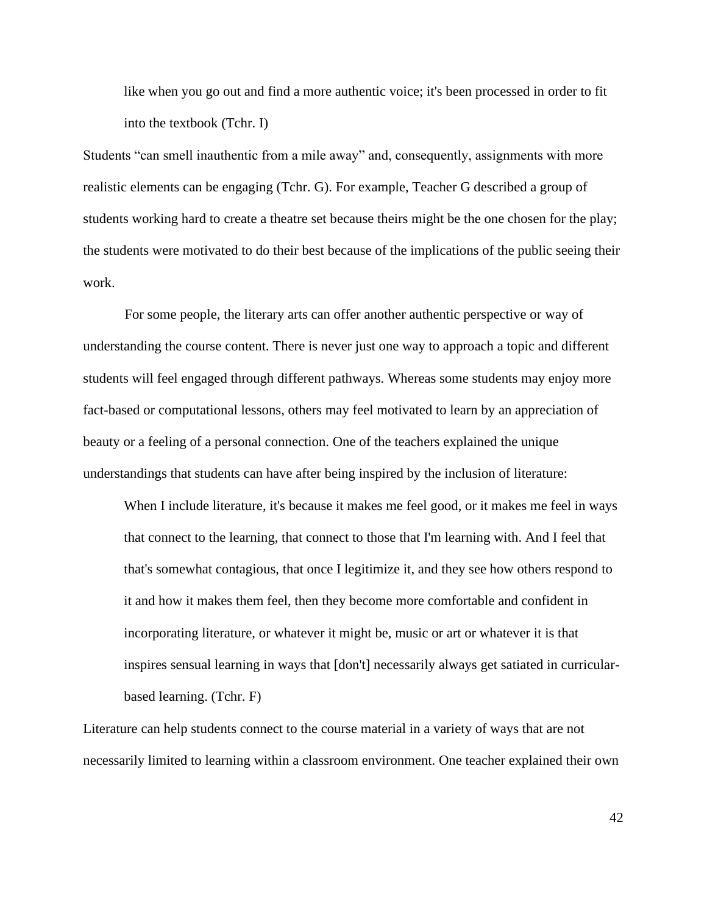like when you go out and find a more authentic voice; it's been processed in order to fit into the textbook (Tchr. I)

Students "can smell inauthentic from a mile away" and, consequently, assignments with more realistic elements can be engaging (Tchr. G). For example, Teacher G described a group of students working hard to create a theatre set because theirs might be the one chosen for the play; the students were motivated to do their best because of the implications of the public seeing their work.

For some people, the literary arts can offer another authentic perspective or way of understanding the course content. There is never just one way to approach a topic and different students will feel engaged through different pathways. Whereas some students may enjoy more fact-based or computational lessons, others may feel motivated to learn by an appreciation of beauty or a feeling of a personal connection. One of the teachers explained the unique understandings that students can have after being inspired by the inclusion of literature:

When I include literature, it's because it makes me feel good, or it makes me feel in ways that connect to the learning, that connect to those that I'm learning with. And I feel that that's somewhat contagious, that once I legitimize it, and they see how others respond to it and how it makes them feel, then they become more comfortable and confident in incorporating literature, or whatever it might be, music or art or whatever it is that inspires sensual learning in ways that [don't] necessarily always get satiated in curricularbased learning. (Tchr. F)

Literature can help students connect to the course material in a variety of ways that are not necessarily limited to learning within a classroom environment. One teacher explained their own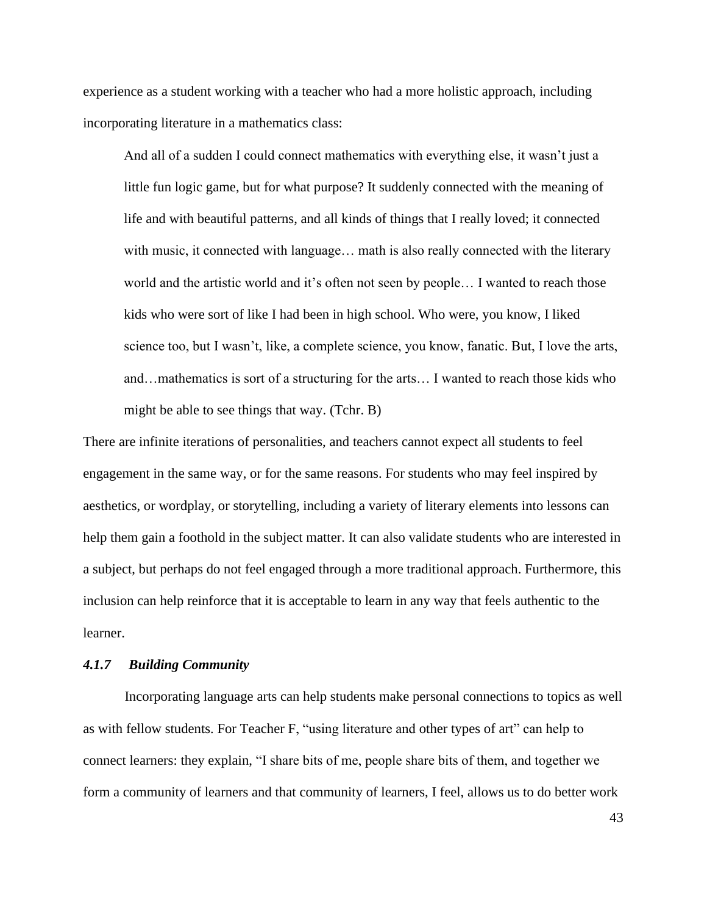experience as a student working with a teacher who had a more holistic approach, including incorporating literature in a mathematics class:

And all of a sudden I could connect mathematics with everything else, it wasn't just a little fun logic game, but for what purpose? It suddenly connected with the meaning of life and with beautiful patterns, and all kinds of things that I really loved; it connected with music, it connected with language... math is also really connected with the literary world and the artistic world and it's often not seen by people… I wanted to reach those kids who were sort of like I had been in high school. Who were, you know, I liked science too, but I wasn't, like, a complete science, you know, fanatic. But, I love the arts, and…mathematics is sort of a structuring for the arts… I wanted to reach those kids who might be able to see things that way. (Tchr. B)

There are infinite iterations of personalities, and teachers cannot expect all students to feel engagement in the same way, or for the same reasons. For students who may feel inspired by aesthetics, or wordplay, or storytelling, including a variety of literary elements into lessons can help them gain a foothold in the subject matter. It can also validate students who are interested in a subject, but perhaps do not feel engaged through a more traditional approach. Furthermore, this inclusion can help reinforce that it is acceptable to learn in any way that feels authentic to the learner.

# *4.1.7 Building Community*

Incorporating language arts can help students make personal connections to topics as well as with fellow students. For Teacher F, "using literature and other types of art" can help to connect learners: they explain, "I share bits of me, people share bits of them, and together we form a community of learners and that community of learners, I feel, allows us to do better work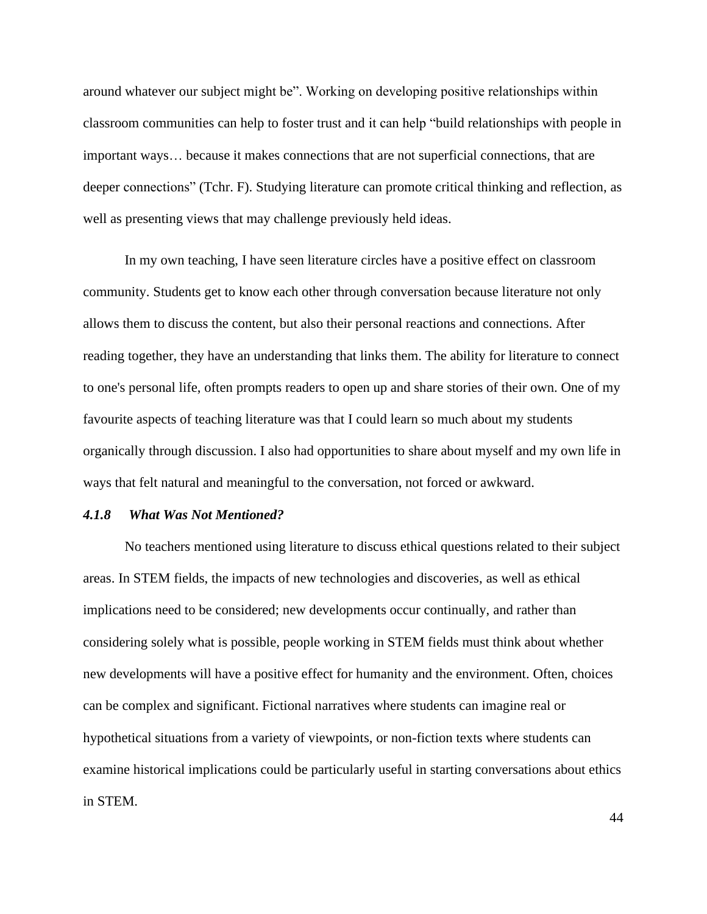around whatever our subject might be". Working on developing positive relationships within classroom communities can help to foster trust and it can help "build relationships with people in important ways… because it makes connections that are not superficial connections, that are deeper connections" (Tchr. F). Studying literature can promote critical thinking and reflection, as well as presenting views that may challenge previously held ideas.

In my own teaching, I have seen literature circles have a positive effect on classroom community. Students get to know each other through conversation because literature not only allows them to discuss the content, but also their personal reactions and connections. After reading together, they have an understanding that links them. The ability for literature to connect to one's personal life, often prompts readers to open up and share stories of their own. One of my favourite aspects of teaching literature was that I could learn so much about my students organically through discussion. I also had opportunities to share about myself and my own life in ways that felt natural and meaningful to the conversation, not forced or awkward.

# *4.1.8 What Was Not Mentioned?*

No teachers mentioned using literature to discuss ethical questions related to their subject areas. In STEM fields, the impacts of new technologies and discoveries, as well as ethical implications need to be considered; new developments occur continually, and rather than considering solely what is possible, people working in STEM fields must think about whether new developments will have a positive effect for humanity and the environment. Often, choices can be complex and significant. Fictional narratives where students can imagine real or hypothetical situations from a variety of viewpoints, or non-fiction texts where students can examine historical implications could be particularly useful in starting conversations about ethics in STEM.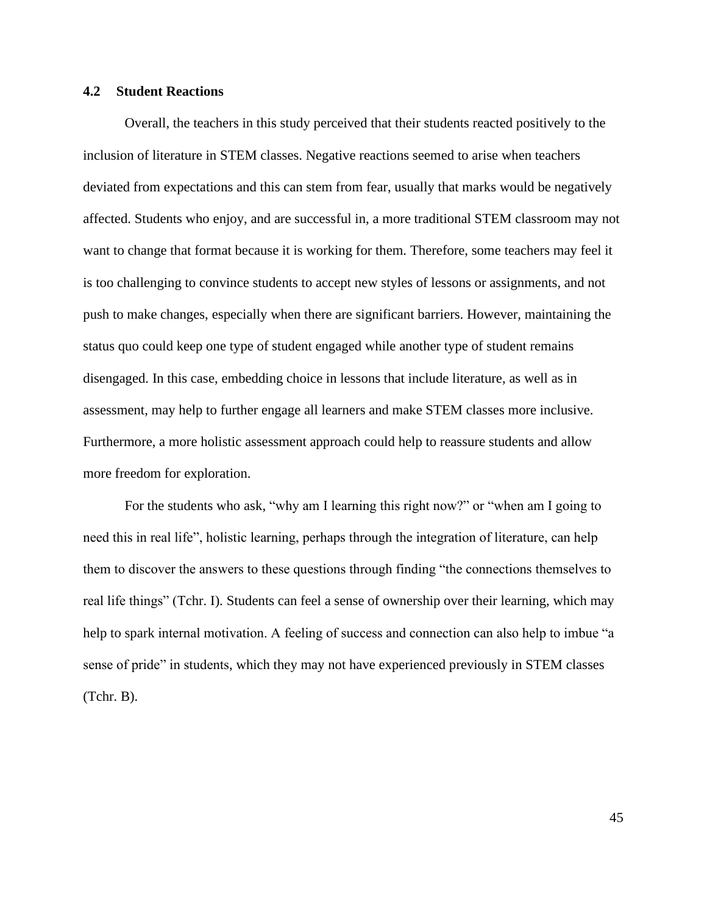# **4.2 Student Reactions**

Overall, the teachers in this study perceived that their students reacted positively to the inclusion of literature in STEM classes. Negative reactions seemed to arise when teachers deviated from expectations and this can stem from fear, usually that marks would be negatively affected. Students who enjoy, and are successful in, a more traditional STEM classroom may not want to change that format because it is working for them. Therefore, some teachers may feel it is too challenging to convince students to accept new styles of lessons or assignments, and not push to make changes, especially when there are significant barriers. However, maintaining the status quo could keep one type of student engaged while another type of student remains disengaged. In this case, embedding choice in lessons that include literature, as well as in assessment, may help to further engage all learners and make STEM classes more inclusive. Furthermore, a more holistic assessment approach could help to reassure students and allow more freedom for exploration.

For the students who ask, "why am I learning this right now?" or "when am I going to need this in real life", holistic learning, perhaps through the integration of literature, can help them to discover the answers to these questions through finding "the connections themselves to real life things" (Tchr. I). Students can feel a sense of ownership over their learning, which may help to spark internal motivation. A feeling of success and connection can also help to imbue "a sense of pride" in students, which they may not have experienced previously in STEM classes (Tchr. B).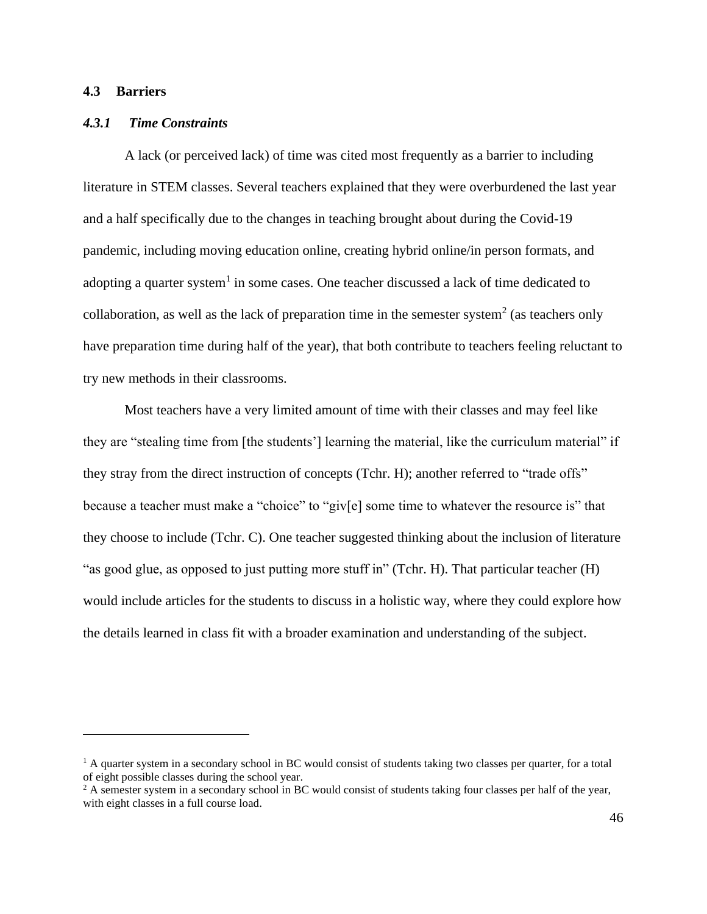# **4.3 Barriers**

# *4.3.1 Time Constraints*

A lack (or perceived lack) of time was cited most frequently as a barrier to including literature in STEM classes. Several teachers explained that they were overburdened the last year and a half specifically due to the changes in teaching brought about during the Covid-19 pandemic, including moving education online, creating hybrid online/in person formats, and adopting a quarter system<sup>1</sup> in some cases. One teacher discussed a lack of time dedicated to collaboration, as well as the lack of preparation time in the semester system<sup>2</sup> (as teachers only have preparation time during half of the year), that both contribute to teachers feeling reluctant to try new methods in their classrooms.

Most teachers have a very limited amount of time with their classes and may feel like they are "stealing time from [the students'] learning the material, like the curriculum material" if they stray from the direct instruction of concepts (Tchr. H); another referred to "trade offs" because a teacher must make a "choice" to "giv[e] some time to whatever the resource is" that they choose to include (Tchr. C). One teacher suggested thinking about the inclusion of literature "as good glue, as opposed to just putting more stuff in" (Tchr. H). That particular teacher (H) would include articles for the students to discuss in a holistic way, where they could explore how the details learned in class fit with a broader examination and understanding of the subject.

<sup>&</sup>lt;sup>1</sup> A quarter system in a secondary school in BC would consist of students taking two classes per quarter, for a total of eight possible classes during the school year.

 $2A$  semester system in a secondary school in BC would consist of students taking four classes per half of the year, with eight classes in a full course load.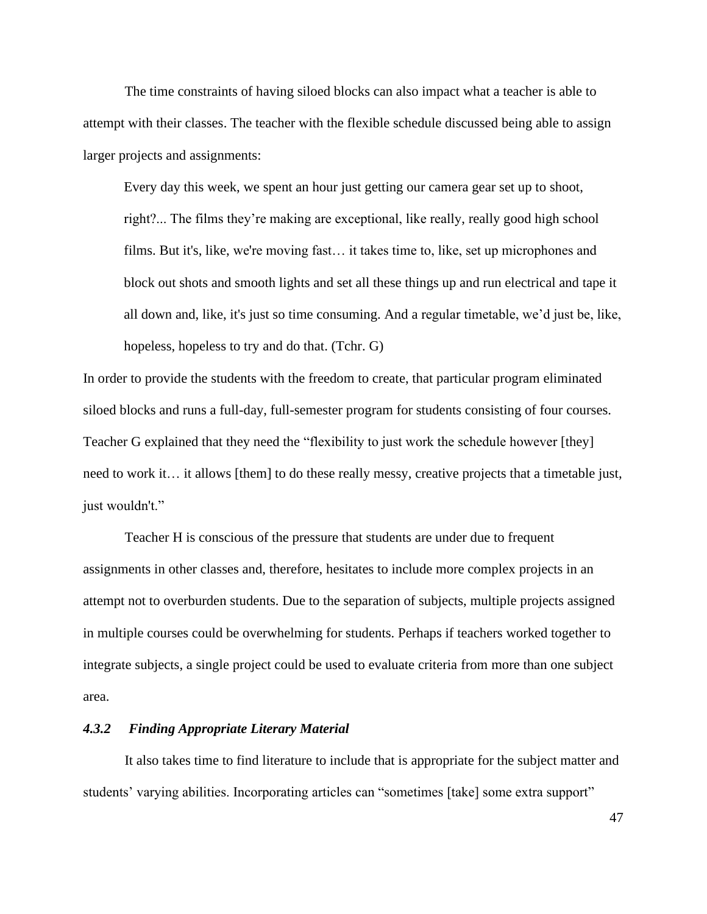The time constraints of having siloed blocks can also impact what a teacher is able to attempt with their classes. The teacher with the flexible schedule discussed being able to assign larger projects and assignments:

Every day this week, we spent an hour just getting our camera gear set up to shoot, right?... The films they're making are exceptional, like really, really good high school films. But it's, like, we're moving fast… it takes time to, like, set up microphones and block out shots and smooth lights and set all these things up and run electrical and tape it all down and, like, it's just so time consuming. And a regular timetable, we'd just be, like, hopeless, hopeless to try and do that. (Tchr. G)

In order to provide the students with the freedom to create, that particular program eliminated siloed blocks and runs a full-day, full-semester program for students consisting of four courses. Teacher G explained that they need the "flexibility to just work the schedule however [they] need to work it… it allows [them] to do these really messy, creative projects that a timetable just, just wouldn't."

Teacher H is conscious of the pressure that students are under due to frequent assignments in other classes and, therefore, hesitates to include more complex projects in an attempt not to overburden students. Due to the separation of subjects, multiple projects assigned in multiple courses could be overwhelming for students. Perhaps if teachers worked together to integrate subjects, a single project could be used to evaluate criteria from more than one subject area.

#### *4.3.2 Finding Appropriate Literary Material*

It also takes time to find literature to include that is appropriate for the subject matter and students' varying abilities. Incorporating articles can "sometimes [take] some extra support"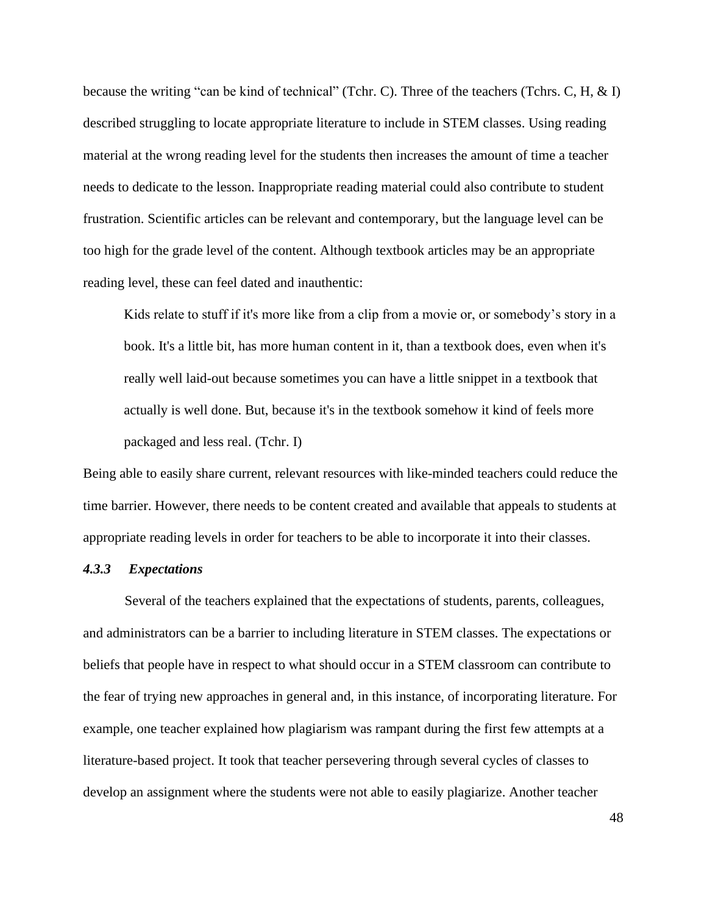because the writing "can be kind of technical" (Tchr. C). Three of the teachers (Tchrs. C, H, & I) described struggling to locate appropriate literature to include in STEM classes. Using reading material at the wrong reading level for the students then increases the amount of time a teacher needs to dedicate to the lesson. Inappropriate reading material could also contribute to student frustration. Scientific articles can be relevant and contemporary, but the language level can be too high for the grade level of the content. Although textbook articles may be an appropriate reading level, these can feel dated and inauthentic:

Kids relate to stuff if it's more like from a clip from a movie or, or somebody's story in a book. It's a little bit, has more human content in it, than a textbook does, even when it's really well laid-out because sometimes you can have a little snippet in a textbook that actually is well done. But, because it's in the textbook somehow it kind of feels more packaged and less real. (Tchr. I)

Being able to easily share current, relevant resources with like-minded teachers could reduce the time barrier. However, there needs to be content created and available that appeals to students at appropriate reading levels in order for teachers to be able to incorporate it into their classes.

# *4.3.3 Expectations*

Several of the teachers explained that the expectations of students, parents, colleagues, and administrators can be a barrier to including literature in STEM classes. The expectations or beliefs that people have in respect to what should occur in a STEM classroom can contribute to the fear of trying new approaches in general and, in this instance, of incorporating literature. For example, one teacher explained how plagiarism was rampant during the first few attempts at a literature-based project. It took that teacher persevering through several cycles of classes to develop an assignment where the students were not able to easily plagiarize. Another teacher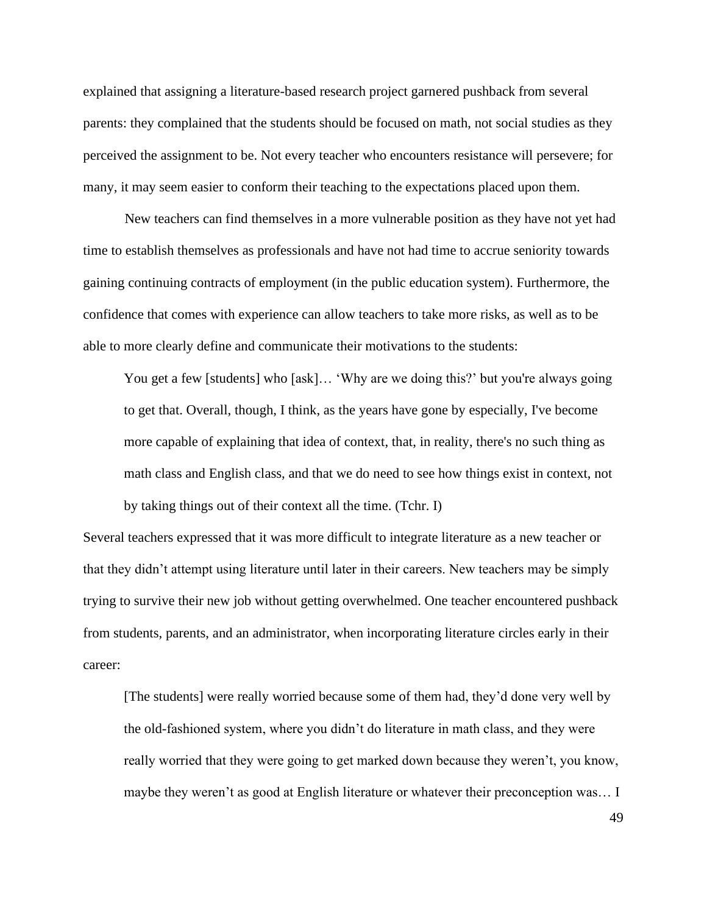explained that assigning a literature-based research project garnered pushback from several parents: they complained that the students should be focused on math, not social studies as they perceived the assignment to be. Not every teacher who encounters resistance will persevere; for many, it may seem easier to conform their teaching to the expectations placed upon them.

New teachers can find themselves in a more vulnerable position as they have not yet had time to establish themselves as professionals and have not had time to accrue seniority towards gaining continuing contracts of employment (in the public education system). Furthermore, the confidence that comes with experience can allow teachers to take more risks, as well as to be able to more clearly define and communicate their motivations to the students:

You get a few [students] who [ask]... 'Why are we doing this?' but you're always going to get that. Overall, though, I think, as the years have gone by especially, I've become more capable of explaining that idea of context, that, in reality, there's no such thing as math class and English class, and that we do need to see how things exist in context, not by taking things out of their context all the time. (Tchr. I)

Several teachers expressed that it was more difficult to integrate literature as a new teacher or that they didn't attempt using literature until later in their careers. New teachers may be simply trying to survive their new job without getting overwhelmed. One teacher encountered pushback from students, parents, and an administrator, when incorporating literature circles early in their career:

[The students] were really worried because some of them had, they'd done very well by the old-fashioned system, where you didn't do literature in math class, and they were really worried that they were going to get marked down because they weren't, you know, maybe they weren't as good at English literature or whatever their preconception was… I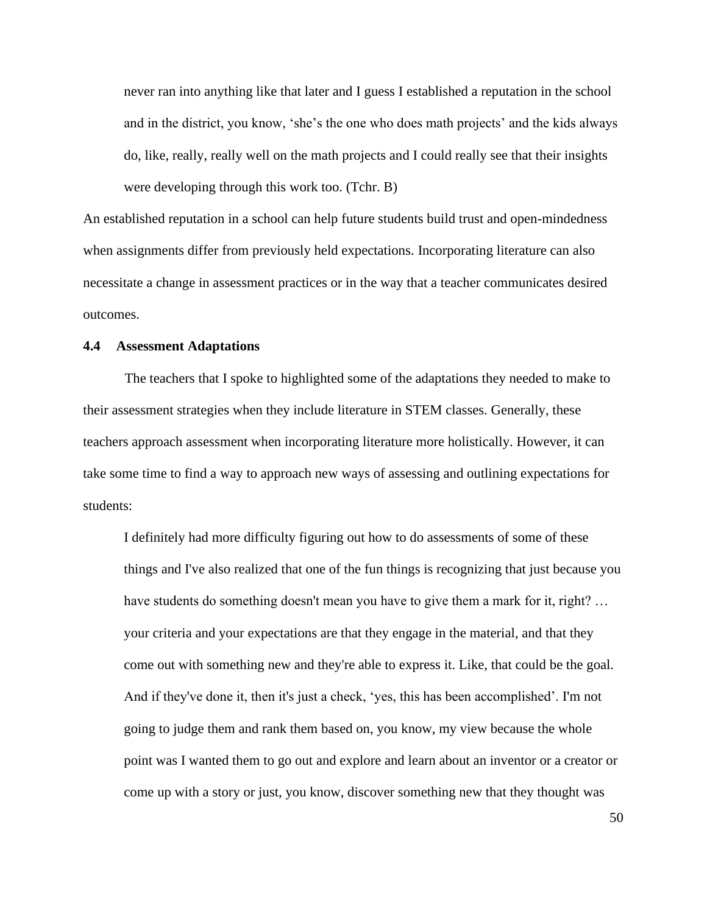never ran into anything like that later and I guess I established a reputation in the school and in the district, you know, 'she's the one who does math projects' and the kids always do, like, really, really well on the math projects and I could really see that their insights were developing through this work too. (Tchr. B)

An established reputation in a school can help future students build trust and open-mindedness when assignments differ from previously held expectations. Incorporating literature can also necessitate a change in assessment practices or in the way that a teacher communicates desired outcomes.

## **4.4 Assessment Adaptations**

The teachers that I spoke to highlighted some of the adaptations they needed to make to their assessment strategies when they include literature in STEM classes. Generally, these teachers approach assessment when incorporating literature more holistically. However, it can take some time to find a way to approach new ways of assessing and outlining expectations for students:

I definitely had more difficulty figuring out how to do assessments of some of these things and I've also realized that one of the fun things is recognizing that just because you have students do something doesn't mean you have to give them a mark for it, right? … your criteria and your expectations are that they engage in the material, and that they come out with something new and they're able to express it. Like, that could be the goal. And if they've done it, then it's just a check, 'yes, this has been accomplished'. I'm not going to judge them and rank them based on, you know, my view because the whole point was I wanted them to go out and explore and learn about an inventor or a creator or come up with a story or just, you know, discover something new that they thought was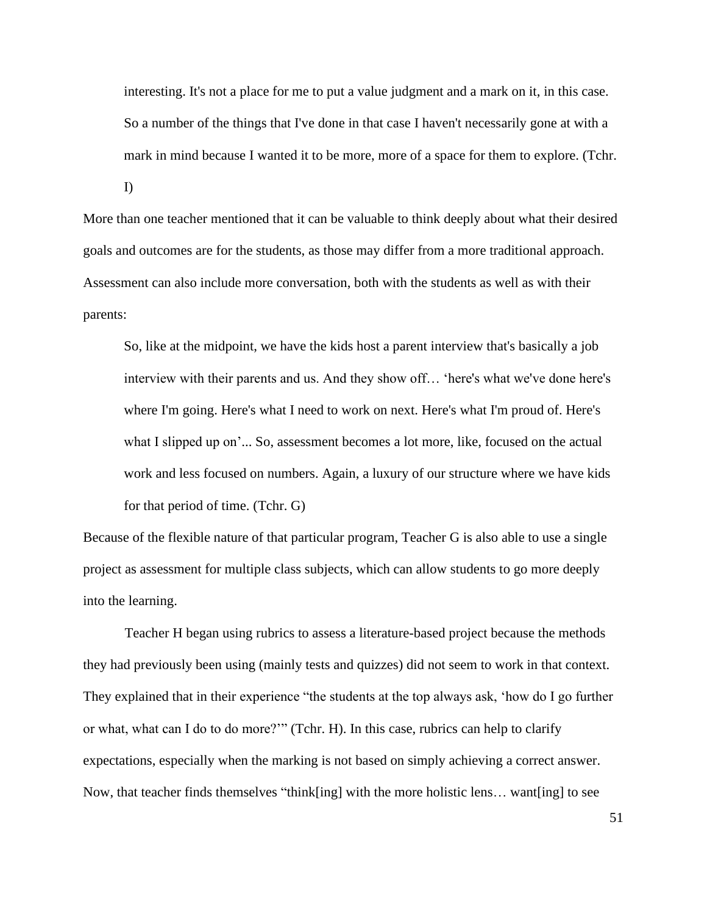interesting. It's not a place for me to put a value judgment and a mark on it, in this case. So a number of the things that I've done in that case I haven't necessarily gone at with a mark in mind because I wanted it to be more, more of a space for them to explore. (Tchr.

I)

More than one teacher mentioned that it can be valuable to think deeply about what their desired goals and outcomes are for the students, as those may differ from a more traditional approach. Assessment can also include more conversation, both with the students as well as with their parents:

So, like at the midpoint, we have the kids host a parent interview that's basically a job interview with their parents and us. And they show off… 'here's what we've done here's where I'm going. Here's what I need to work on next. Here's what I'm proud of. Here's what I slipped up on'... So, assessment becomes a lot more, like, focused on the actual work and less focused on numbers. Again, a luxury of our structure where we have kids for that period of time. (Tchr. G)

Because of the flexible nature of that particular program, Teacher G is also able to use a single project as assessment for multiple class subjects, which can allow students to go more deeply into the learning.

Teacher H began using rubrics to assess a literature-based project because the methods they had previously been using (mainly tests and quizzes) did not seem to work in that context. They explained that in their experience "the students at the top always ask, 'how do I go further or what, what can I do to do more?'" (Tchr. H). In this case, rubrics can help to clarify expectations, especially when the marking is not based on simply achieving a correct answer. Now, that teacher finds themselves "think[ing] with the more holistic lens… want[ing] to see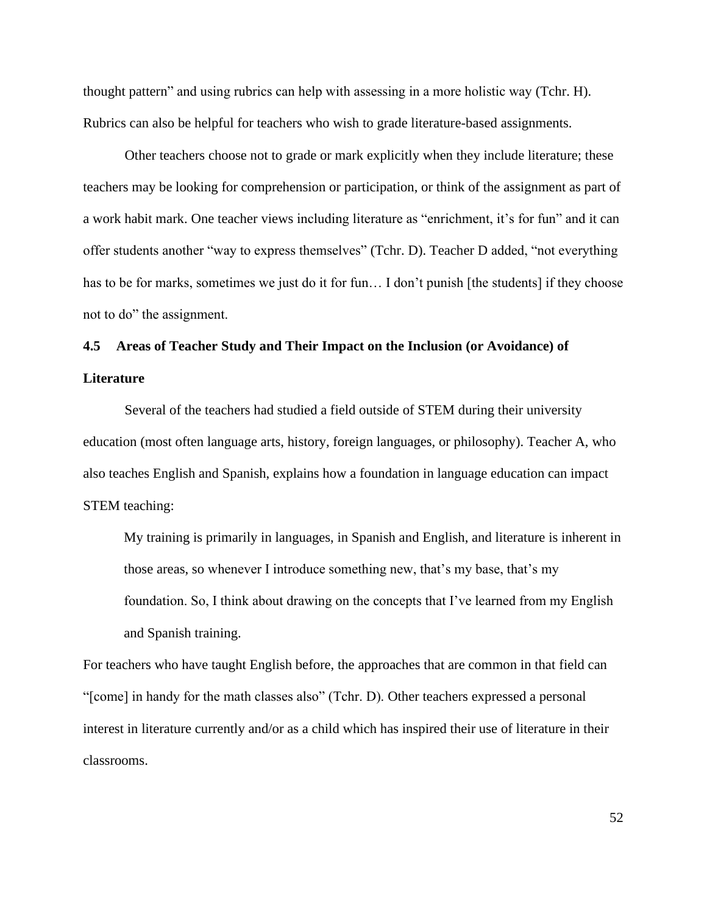thought pattern" and using rubrics can help with assessing in a more holistic way (Tchr. H). Rubrics can also be helpful for teachers who wish to grade literature-based assignments.

Other teachers choose not to grade or mark explicitly when they include literature; these teachers may be looking for comprehension or participation, or think of the assignment as part of a work habit mark. One teacher views including literature as "enrichment, it's for fun" and it can offer students another "way to express themselves" (Tchr. D). Teacher D added, "not everything has to be for marks, sometimes we just do it for fun... I don't punish [the students] if they choose not to do" the assignment.

# **4.5 Areas of Teacher Study and Their Impact on the Inclusion (or Avoidance) of Literature**

Several of the teachers had studied a field outside of STEM during their university education (most often language arts, history, foreign languages, or philosophy). Teacher A, who also teaches English and Spanish, explains how a foundation in language education can impact STEM teaching:

My training is primarily in languages, in Spanish and English, and literature is inherent in those areas, so whenever I introduce something new, that's my base, that's my foundation. So, I think about drawing on the concepts that I've learned from my English and Spanish training.

For teachers who have taught English before, the approaches that are common in that field can "[come] in handy for the math classes also" (Tchr. D). Other teachers expressed a personal interest in literature currently and/or as a child which has inspired their use of literature in their classrooms.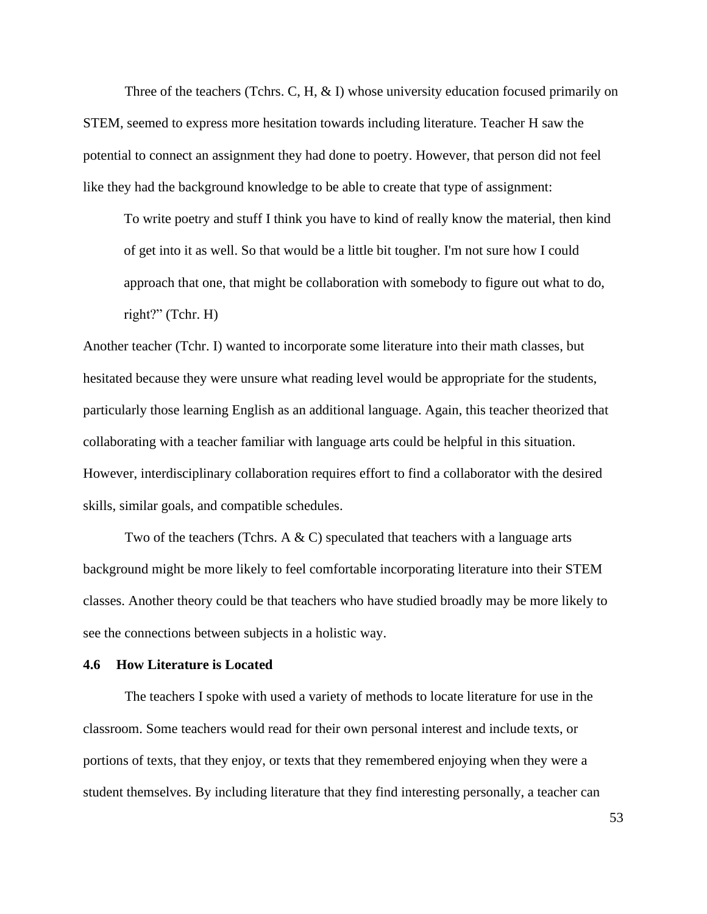Three of the teachers (Tchrs. C, H,  $\&$  I) whose university education focused primarily on STEM, seemed to express more hesitation towards including literature. Teacher H saw the potential to connect an assignment they had done to poetry. However, that person did not feel like they had the background knowledge to be able to create that type of assignment:

To write poetry and stuff I think you have to kind of really know the material, then kind of get into it as well. So that would be a little bit tougher. I'm not sure how I could approach that one, that might be collaboration with somebody to figure out what to do, right?" (Tchr. H)

Another teacher (Tchr. I) wanted to incorporate some literature into their math classes, but hesitated because they were unsure what reading level would be appropriate for the students, particularly those learning English as an additional language. Again, this teacher theorized that collaborating with a teacher familiar with language arts could be helpful in this situation. However, interdisciplinary collaboration requires effort to find a collaborator with the desired skills, similar goals, and compatible schedules.

Two of the teachers (Tchrs. A  $\& C$ ) speculated that teachers with a language arts background might be more likely to feel comfortable incorporating literature into their STEM classes. Another theory could be that teachers who have studied broadly may be more likely to see the connections between subjects in a holistic way.

#### **4.6 How Literature is Located**

The teachers I spoke with used a variety of methods to locate literature for use in the classroom. Some teachers would read for their own personal interest and include texts, or portions of texts, that they enjoy, or texts that they remembered enjoying when they were a student themselves. By including literature that they find interesting personally, a teacher can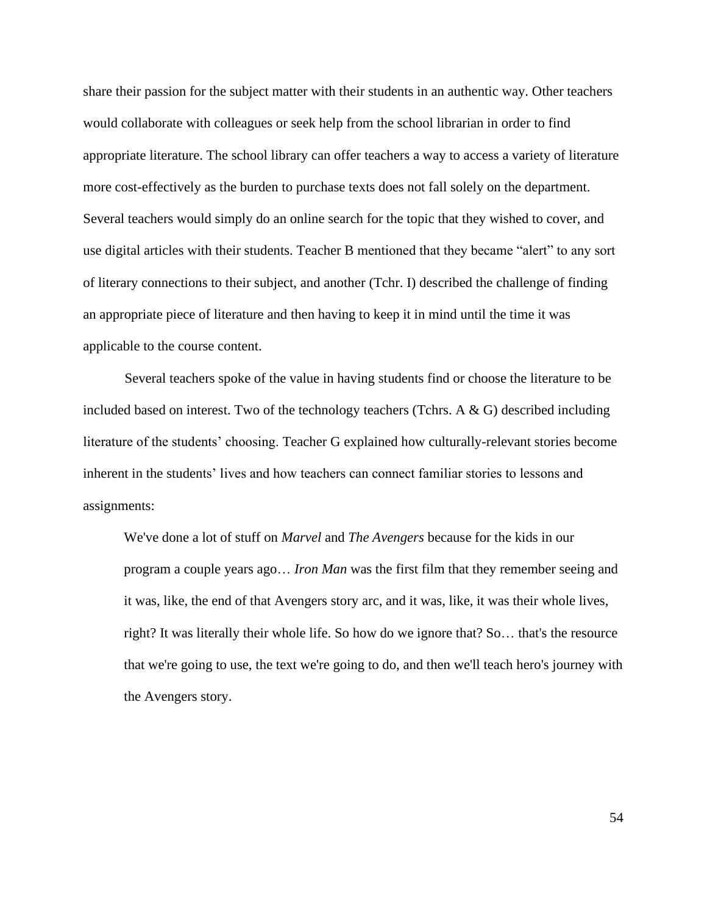share their passion for the subject matter with their students in an authentic way. Other teachers would collaborate with colleagues or seek help from the school librarian in order to find appropriate literature. The school library can offer teachers a way to access a variety of literature more cost-effectively as the burden to purchase texts does not fall solely on the department. Several teachers would simply do an online search for the topic that they wished to cover, and use digital articles with their students. Teacher B mentioned that they became "alert" to any sort of literary connections to their subject, and another (Tchr. I) described the challenge of finding an appropriate piece of literature and then having to keep it in mind until the time it was applicable to the course content.

Several teachers spoke of the value in having students find or choose the literature to be included based on interest. Two of the technology teachers (Tchrs. A & G) described including literature of the students' choosing. Teacher G explained how culturally-relevant stories become inherent in the students' lives and how teachers can connect familiar stories to lessons and assignments:

We've done a lot of stuff on *Marvel* and *The Avengers* because for the kids in our program a couple years ago… *Iron Man* was the first film that they remember seeing and it was, like, the end of that Avengers story arc, and it was, like, it was their whole lives, right? It was literally their whole life. So how do we ignore that? So… that's the resource that we're going to use, the text we're going to do, and then we'll teach hero's journey with the Avengers story.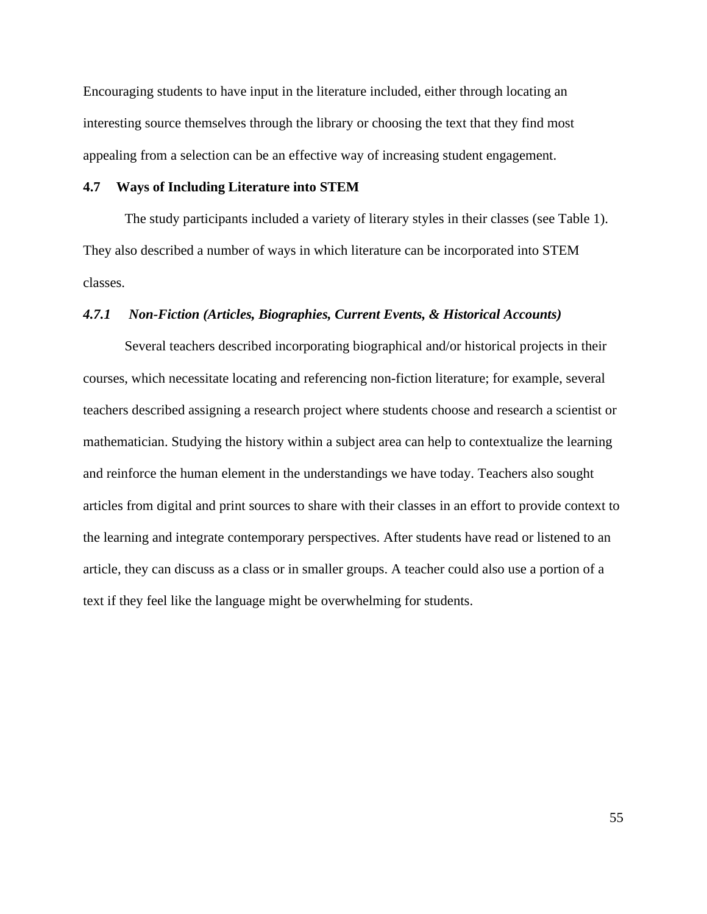Encouraging students to have input in the literature included, either through locating an interesting source themselves through the library or choosing the text that they find most appealing from a selection can be an effective way of increasing student engagement.

# **4.7 Ways of Including Literature into STEM**

The study participants included a variety of literary styles in their classes (see Table 1). They also described a number of ways in which literature can be incorporated into STEM classes.

# *4.7.1 Non-Fiction (Articles, Biographies, Current Events, & Historical Accounts)*

Several teachers described incorporating biographical and/or historical projects in their courses, which necessitate locating and referencing non-fiction literature; for example, several teachers described assigning a research project where students choose and research a scientist or mathematician. Studying the history within a subject area can help to contextualize the learning and reinforce the human element in the understandings we have today. Teachers also sought articles from digital and print sources to share with their classes in an effort to provide context to the learning and integrate contemporary perspectives. After students have read or listened to an article, they can discuss as a class or in smaller groups. A teacher could also use a portion of a text if they feel like the language might be overwhelming for students.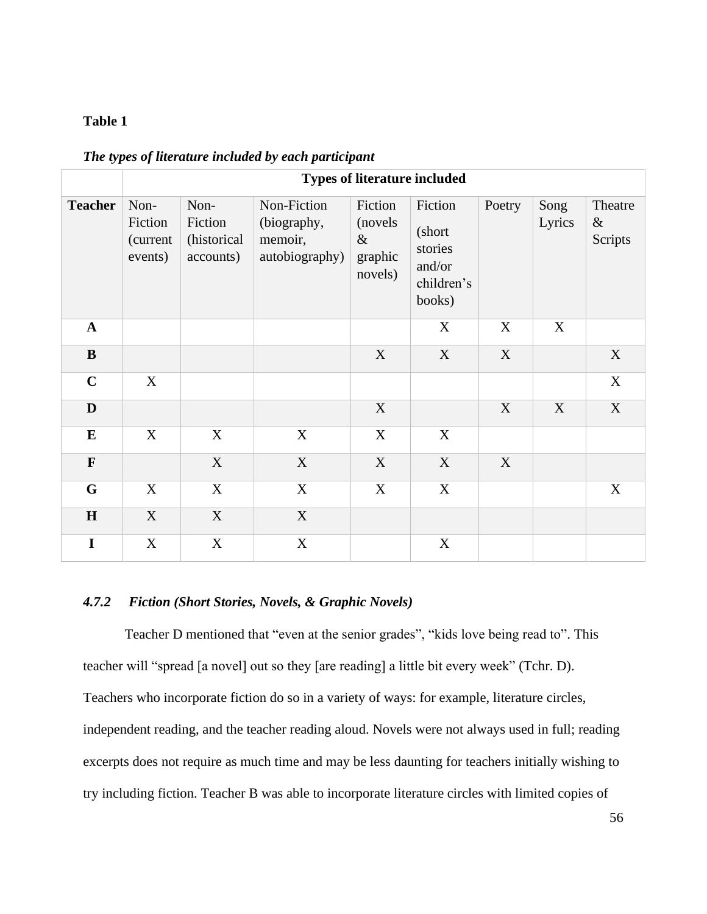# **Table 1**

|                | <b>Types of literature included</b>    |                                             |                                                         |                                                   |                                                                |             |                |                            |
|----------------|----------------------------------------|---------------------------------------------|---------------------------------------------------------|---------------------------------------------------|----------------------------------------------------------------|-------------|----------------|----------------------------|
| <b>Teacher</b> | Non-<br>Fiction<br>(current<br>events) | Non-<br>Fiction<br>(historical<br>accounts) | Non-Fiction<br>(biography,<br>memoir,<br>autobiography) | Fiction<br>(novels)<br>$\&$<br>graphic<br>novels) | Fiction<br>(short<br>stories<br>and/or<br>children's<br>books) | Poetry      | Song<br>Lyrics | Theatre<br>$\&$<br>Scripts |
| $\mathbf{A}$   |                                        |                                             |                                                         |                                                   | X                                                              | X           | X              |                            |
| $\bf{B}$       |                                        |                                             |                                                         | $\mathbf X$                                       | X                                                              | X           |                | X                          |
| $\mathbf C$    | X                                      |                                             |                                                         |                                                   |                                                                |             |                | X                          |
| $\mathbf D$    |                                        |                                             |                                                         | $\mathbf X$                                       |                                                                | $\mathbf X$ | X              | $\mathbf X$                |
| $\bf{E}$       | X                                      | X                                           | X                                                       | X                                                 | X                                                              |             |                |                            |
| $\mathbf F$    |                                        | $\mathbf X$                                 | $\mathbf X$                                             | $\mathbf X$                                       | X                                                              | X           |                |                            |
| $\mathbf G$    | X                                      | X                                           | X                                                       | X                                                 | X                                                              |             |                | X                          |
| H              | $\mathbf X$                            | $\mathbf X$                                 | $\mathbf X$                                             |                                                   |                                                                |             |                |                            |
| $\mathbf I$    | X                                      | $\mathbf X$                                 | X                                                       |                                                   | X                                                              |             |                |                            |

*The types of literature included by each participant*

# *4.7.2 Fiction (Short Stories, Novels, & Graphic Novels)*

Teacher D mentioned that "even at the senior grades", "kids love being read to". This teacher will "spread [a novel] out so they [are reading] a little bit every week" (Tchr. D). Teachers who incorporate fiction do so in a variety of ways: for example, literature circles, independent reading, and the teacher reading aloud. Novels were not always used in full; reading excerpts does not require as much time and may be less daunting for teachers initially wishing to try including fiction. Teacher B was able to incorporate literature circles with limited copies of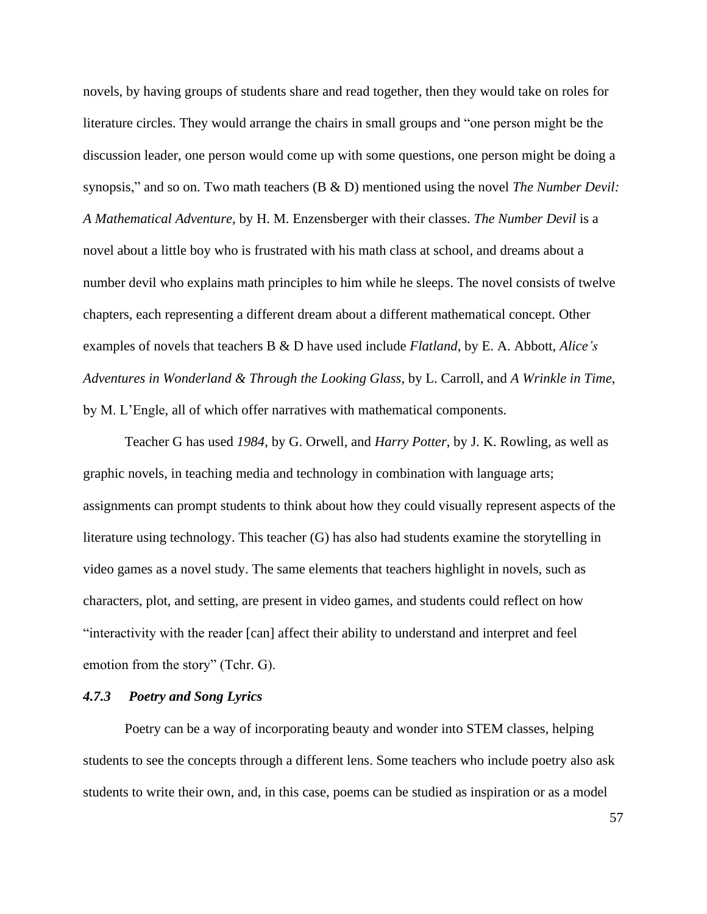novels, by having groups of students share and read together, then they would take on roles for literature circles. They would arrange the chairs in small groups and "one person might be the discussion leader, one person would come up with some questions, one person might be doing a synopsis," and so on. Two math teachers (B & D) mentioned using the novel *The Number Devil: A Mathematical Adventure*, by H. M. Enzensberger with their classes. *The Number Devil* is a novel about a little boy who is frustrated with his math class at school, and dreams about a number devil who explains math principles to him while he sleeps. The novel consists of twelve chapters, each representing a different dream about a different mathematical concept. Other examples of novels that teachers B & D have used include *Flatland*, by E. A. Abbott, *Alice's Adventures in Wonderland & Through the Looking Glass*, by L. Carroll, and *A Wrinkle in Time*, by M. L'Engle, all of which offer narratives with mathematical components.

Teacher G has used *1984*, by G. Orwell, and *Harry Potter*, by J. K. Rowling, as well as graphic novels, in teaching media and technology in combination with language arts; assignments can prompt students to think about how they could visually represent aspects of the literature using technology. This teacher (G) has also had students examine the storytelling in video games as a novel study. The same elements that teachers highlight in novels, such as characters, plot, and setting, are present in video games, and students could reflect on how "interactivity with the reader [can] affect their ability to understand and interpret and feel emotion from the story" (Tchr. G).

# *4.7.3 Poetry and Song Lyrics*

Poetry can be a way of incorporating beauty and wonder into STEM classes, helping students to see the concepts through a different lens. Some teachers who include poetry also ask students to write their own, and, in this case, poems can be studied as inspiration or as a model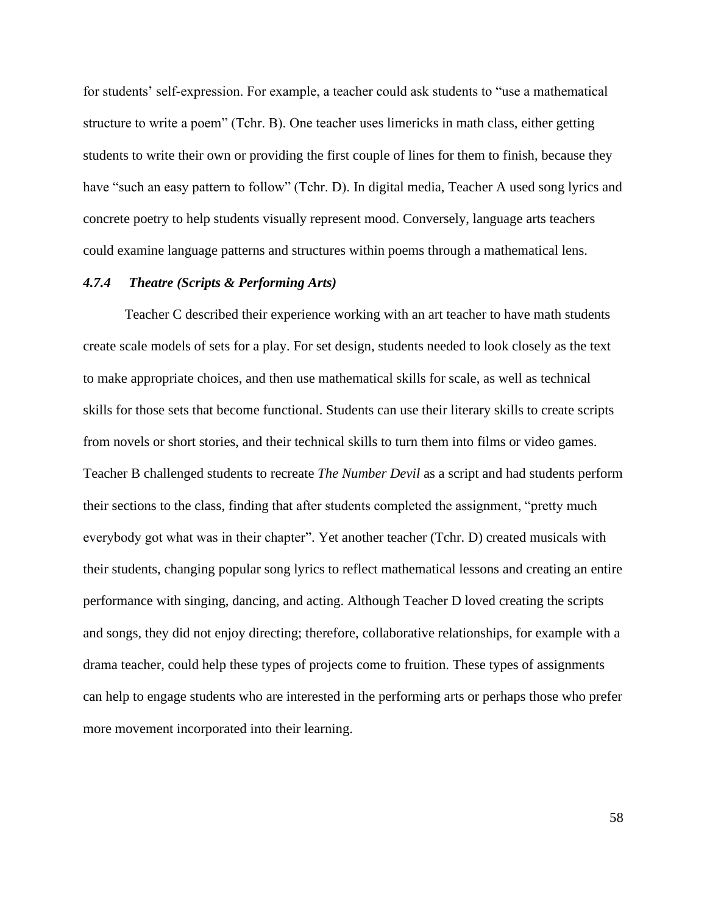for students' self-expression. For example, a teacher could ask students to "use a mathematical structure to write a poem" (Tchr. B). One teacher uses limericks in math class, either getting students to write their own or providing the first couple of lines for them to finish, because they have "such an easy pattern to follow" (Tchr. D). In digital media, Teacher A used song lyrics and concrete poetry to help students visually represent mood. Conversely, language arts teachers could examine language patterns and structures within poems through a mathematical lens.

# *4.7.4 Theatre (Scripts & Performing Arts)*

Teacher C described their experience working with an art teacher to have math students create scale models of sets for a play. For set design, students needed to look closely as the text to make appropriate choices, and then use mathematical skills for scale, as well as technical skills for those sets that become functional. Students can use their literary skills to create scripts from novels or short stories, and their technical skills to turn them into films or video games. Teacher B challenged students to recreate *The Number Devil* as a script and had students perform their sections to the class, finding that after students completed the assignment, "pretty much everybody got what was in their chapter". Yet another teacher (Tchr. D) created musicals with their students, changing popular song lyrics to reflect mathematical lessons and creating an entire performance with singing, dancing, and acting. Although Teacher D loved creating the scripts and songs, they did not enjoy directing; therefore, collaborative relationships, for example with a drama teacher, could help these types of projects come to fruition. These types of assignments can help to engage students who are interested in the performing arts or perhaps those who prefer more movement incorporated into their learning.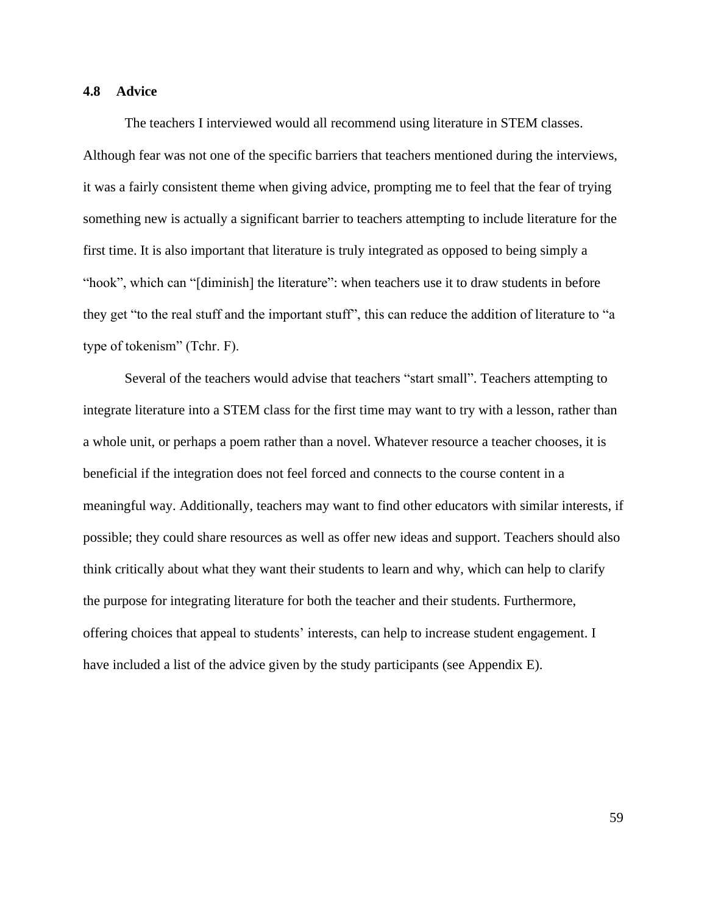# **4.8 Advice**

The teachers I interviewed would all recommend using literature in STEM classes. Although fear was not one of the specific barriers that teachers mentioned during the interviews, it was a fairly consistent theme when giving advice, prompting me to feel that the fear of trying something new is actually a significant barrier to teachers attempting to include literature for the first time. It is also important that literature is truly integrated as opposed to being simply a "hook", which can "[diminish] the literature": when teachers use it to draw students in before they get "to the real stuff and the important stuff", this can reduce the addition of literature to "a type of tokenism" (Tchr. F).

Several of the teachers would advise that teachers "start small". Teachers attempting to integrate literature into a STEM class for the first time may want to try with a lesson, rather than a whole unit, or perhaps a poem rather than a novel. Whatever resource a teacher chooses, it is beneficial if the integration does not feel forced and connects to the course content in a meaningful way. Additionally, teachers may want to find other educators with similar interests, if possible; they could share resources as well as offer new ideas and support. Teachers should also think critically about what they want their students to learn and why, which can help to clarify the purpose for integrating literature for both the teacher and their students. Furthermore, offering choices that appeal to students' interests, can help to increase student engagement. I have included a list of the advice given by the study participants (see Appendix E).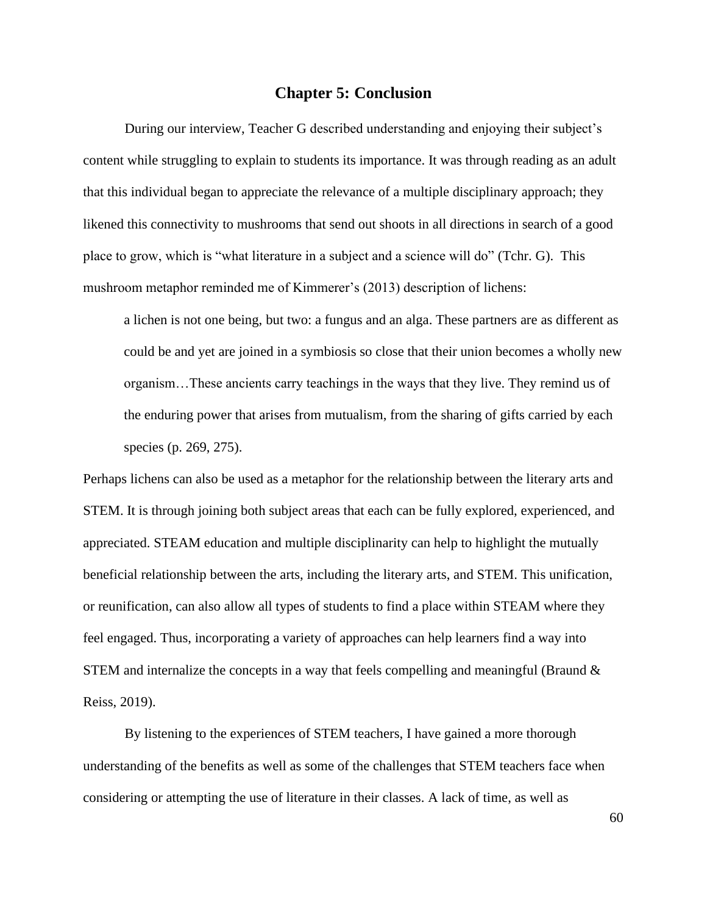#### **Chapter 5: Conclusion**

During our interview, Teacher G described understanding and enjoying their subject's content while struggling to explain to students its importance. It was through reading as an adult that this individual began to appreciate the relevance of a multiple disciplinary approach; they likened this connectivity to mushrooms that send out shoots in all directions in search of a good place to grow, which is "what literature in a subject and a science will do" (Tchr. G). This mushroom metaphor reminded me of Kimmerer's (2013) description of lichens:

a lichen is not one being, but two: a fungus and an alga. These partners are as different as could be and yet are joined in a symbiosis so close that their union becomes a wholly new organism…These ancients carry teachings in the ways that they live. They remind us of the enduring power that arises from mutualism, from the sharing of gifts carried by each species (p. 269, 275).

Perhaps lichens can also be used as a metaphor for the relationship between the literary arts and STEM. It is through joining both subject areas that each can be fully explored, experienced, and appreciated. STEAM education and multiple disciplinarity can help to highlight the mutually beneficial relationship between the arts, including the literary arts, and STEM. This unification, or reunification, can also allow all types of students to find a place within STEAM where they feel engaged. Thus, incorporating a variety of approaches can help learners find a way into STEM and internalize the concepts in a way that feels compelling and meaningful (Braund  $\&$ Reiss, 2019).

By listening to the experiences of STEM teachers, I have gained a more thorough understanding of the benefits as well as some of the challenges that STEM teachers face when considering or attempting the use of literature in their classes. A lack of time, as well as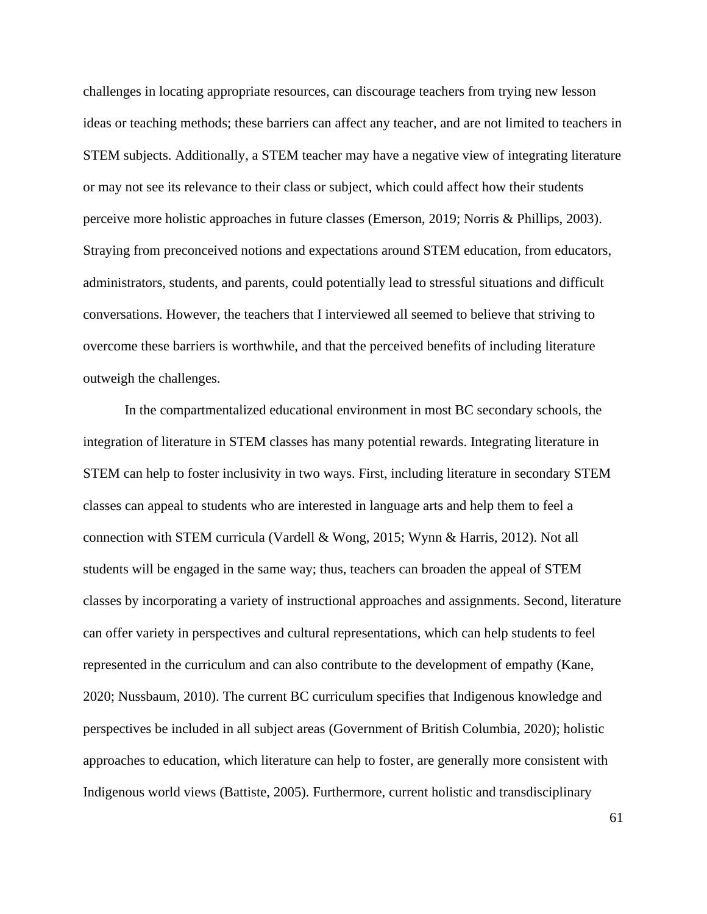challenges in locating appropriate resources, can discourage teachers from trying new lesson ideas or teaching methods; these barriers can affect any teacher, and are not limited to teachers in STEM subjects. Additionally, a STEM teacher may have a negative view of integrating literature or may not see its relevance to their class or subject, which could affect how their students perceive more holistic approaches in future classes (Emerson, 2019; Norris & Phillips, 2003). Straying from preconceived notions and expectations around STEM education, from educators, administrators, students, and parents, could potentially lead to stressful situations and difficult conversations. However, the teachers that I interviewed all seemed to believe that striving to overcome these barriers is worthwhile, and that the perceived benefits of including literature outweigh the challenges.

In the compartmentalized educational environment in most BC secondary schools, the integration of literature in STEM classes has many potential rewards. Integrating literature in STEM can help to foster inclusivity in two ways. First, including literature in secondary STEM classes can appeal to students who are interested in language arts and help them to feel a connection with STEM curricula (Vardell & Wong, 2015; Wynn & Harris, 2012). Not all students will be engaged in the same way; thus, teachers can broaden the appeal of STEM classes by incorporating a variety of instructional approaches and assignments. Second, literature can offer variety in perspectives and cultural representations, which can help students to feel represented in the curriculum and can also contribute to the development of empathy (Kane, 2020; Nussbaum, 2010). The current BC curriculum specifies that Indigenous knowledge and perspectives be included in all subject areas (Government of British Columbia, 2020); holistic approaches to education, which literature can help to foster, are generally more consistent with Indigenous world views (Battiste, 2005). Furthermore, current holistic and transdisciplinary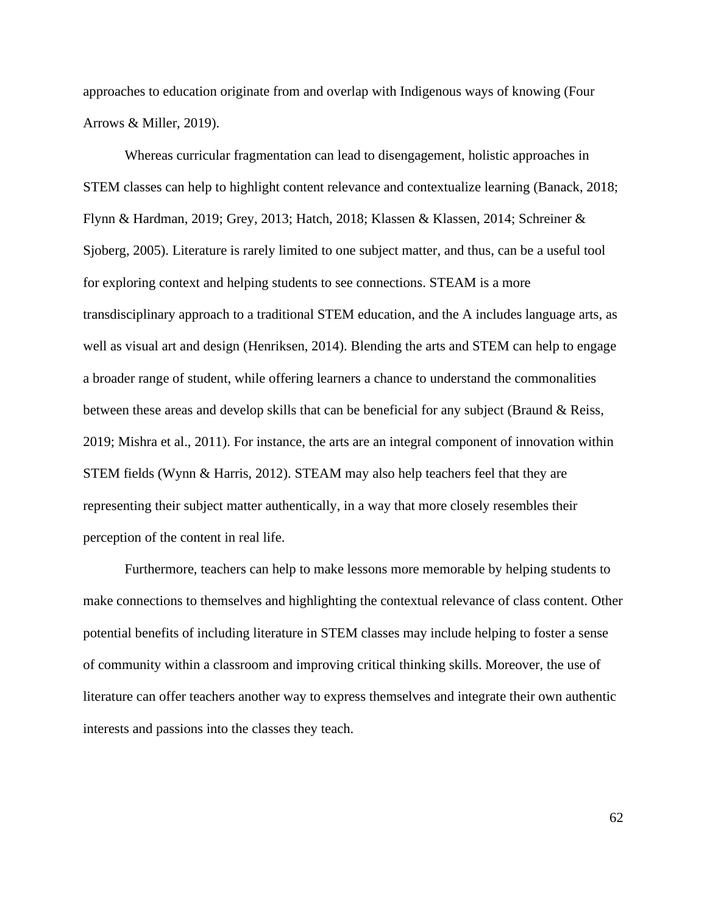approaches to education originate from and overlap with Indigenous ways of knowing (Four Arrows & Miller, 2019).

Whereas curricular fragmentation can lead to disengagement, holistic approaches in STEM classes can help to highlight content relevance and contextualize learning (Banack, 2018; Flynn & Hardman, 2019; Grey, 2013; Hatch, 2018; Klassen & Klassen, 2014; Schreiner & Sjoberg, 2005). Literature is rarely limited to one subject matter, and thus, can be a useful tool for exploring context and helping students to see connections. STEAM is a more transdisciplinary approach to a traditional STEM education, and the A includes language arts, as well as visual art and design (Henriksen, 2014). Blending the arts and STEM can help to engage a broader range of student, while offering learners a chance to understand the commonalities between these areas and develop skills that can be beneficial for any subject (Braund & Reiss, 2019; Mishra et al., 2011). For instance, the arts are an integral component of innovation within STEM fields (Wynn & Harris, 2012). STEAM may also help teachers feel that they are representing their subject matter authentically, in a way that more closely resembles their perception of the content in real life.

Furthermore, teachers can help to make lessons more memorable by helping students to make connections to themselves and highlighting the contextual relevance of class content. Other potential benefits of including literature in STEM classes may include helping to foster a sense of community within a classroom and improving critical thinking skills. Moreover, the use of literature can offer teachers another way to express themselves and integrate their own authentic interests and passions into the classes they teach.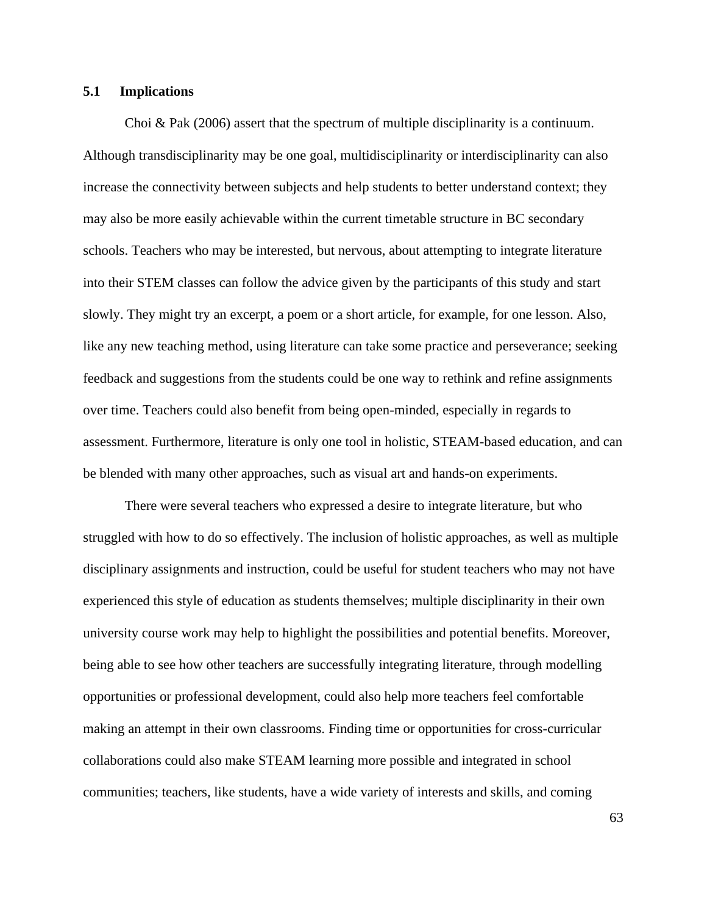#### **5.1 Implications**

Choi & Pak (2006) assert that the spectrum of multiple disciplinarity is a continuum. Although transdisciplinarity may be one goal, multidisciplinarity or interdisciplinarity can also increase the connectivity between subjects and help students to better understand context; they may also be more easily achievable within the current timetable structure in BC secondary schools. Teachers who may be interested, but nervous, about attempting to integrate literature into their STEM classes can follow the advice given by the participants of this study and start slowly. They might try an excerpt, a poem or a short article, for example, for one lesson. Also, like any new teaching method, using literature can take some practice and perseverance; seeking feedback and suggestions from the students could be one way to rethink and refine assignments over time. Teachers could also benefit from being open-minded, especially in regards to assessment. Furthermore, literature is only one tool in holistic, STEAM-based education, and can be blended with many other approaches, such as visual art and hands-on experiments.

There were several teachers who expressed a desire to integrate literature, but who struggled with how to do so effectively. The inclusion of holistic approaches, as well as multiple disciplinary assignments and instruction, could be useful for student teachers who may not have experienced this style of education as students themselves; multiple disciplinarity in their own university course work may help to highlight the possibilities and potential benefits. Moreover, being able to see how other teachers are successfully integrating literature, through modelling opportunities or professional development, could also help more teachers feel comfortable making an attempt in their own classrooms. Finding time or opportunities for cross-curricular collaborations could also make STEAM learning more possible and integrated in school communities; teachers, like students, have a wide variety of interests and skills, and coming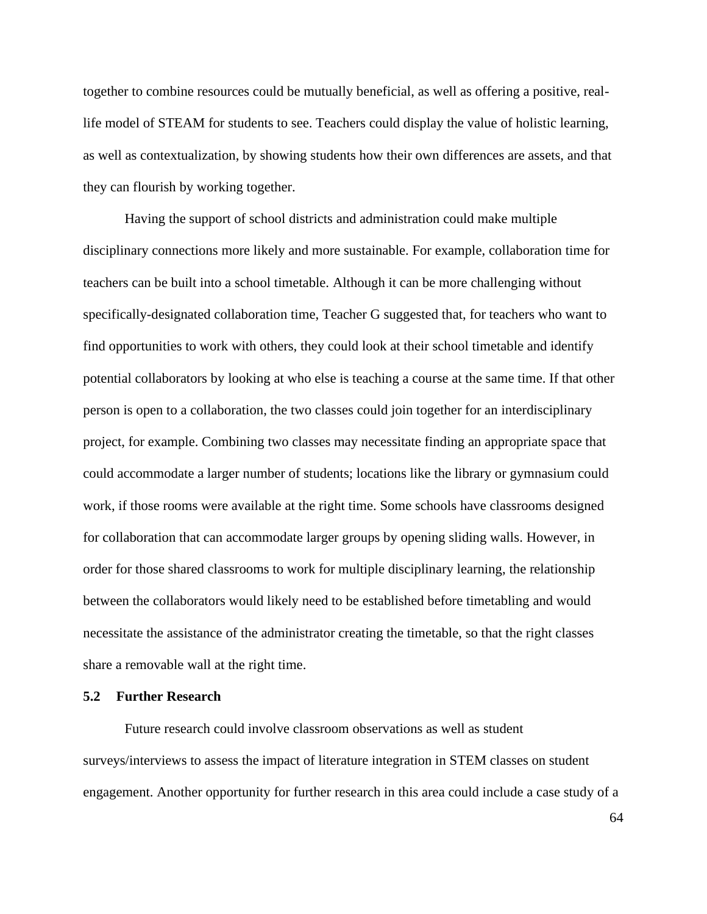together to combine resources could be mutually beneficial, as well as offering a positive, reallife model of STEAM for students to see. Teachers could display the value of holistic learning, as well as contextualization, by showing students how their own differences are assets, and that they can flourish by working together.

Having the support of school districts and administration could make multiple disciplinary connections more likely and more sustainable. For example, collaboration time for teachers can be built into a school timetable. Although it can be more challenging without specifically-designated collaboration time, Teacher G suggested that, for teachers who want to find opportunities to work with others, they could look at their school timetable and identify potential collaborators by looking at who else is teaching a course at the same time. If that other person is open to a collaboration, the two classes could join together for an interdisciplinary project, for example. Combining two classes may necessitate finding an appropriate space that could accommodate a larger number of students; locations like the library or gymnasium could work, if those rooms were available at the right time. Some schools have classrooms designed for collaboration that can accommodate larger groups by opening sliding walls. However, in order for those shared classrooms to work for multiple disciplinary learning, the relationship between the collaborators would likely need to be established before timetabling and would necessitate the assistance of the administrator creating the timetable, so that the right classes share a removable wall at the right time.

#### **5.2 Further Research**

Future research could involve classroom observations as well as student surveys/interviews to assess the impact of literature integration in STEM classes on student engagement. Another opportunity for further research in this area could include a case study of a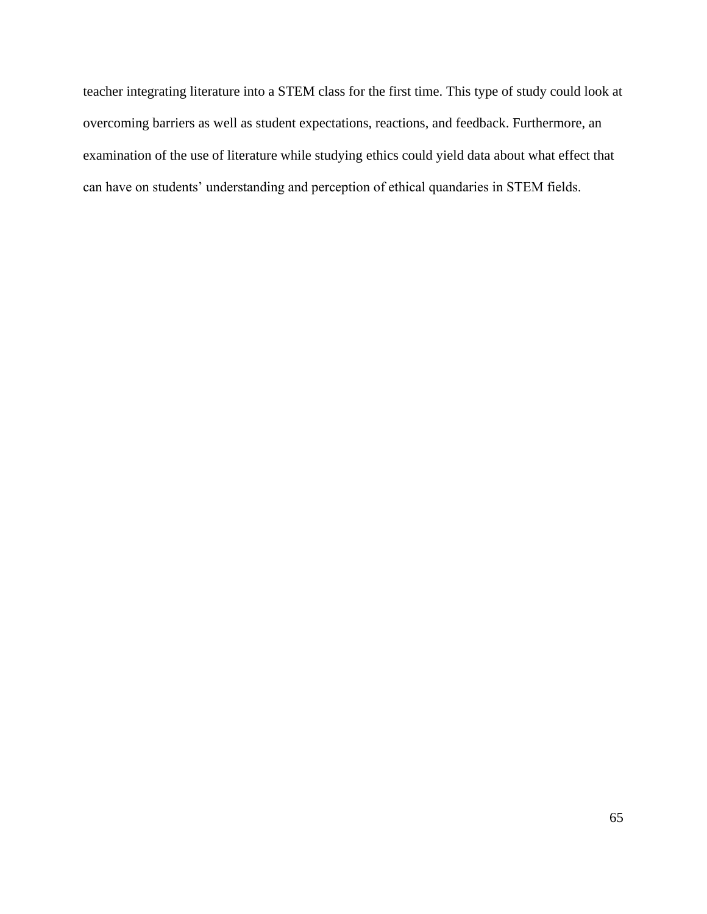teacher integrating literature into a STEM class for the first time. This type of study could look at overcoming barriers as well as student expectations, reactions, and feedback. Furthermore, an examination of the use of literature while studying ethics could yield data about what effect that can have on students' understanding and perception of ethical quandaries in STEM fields.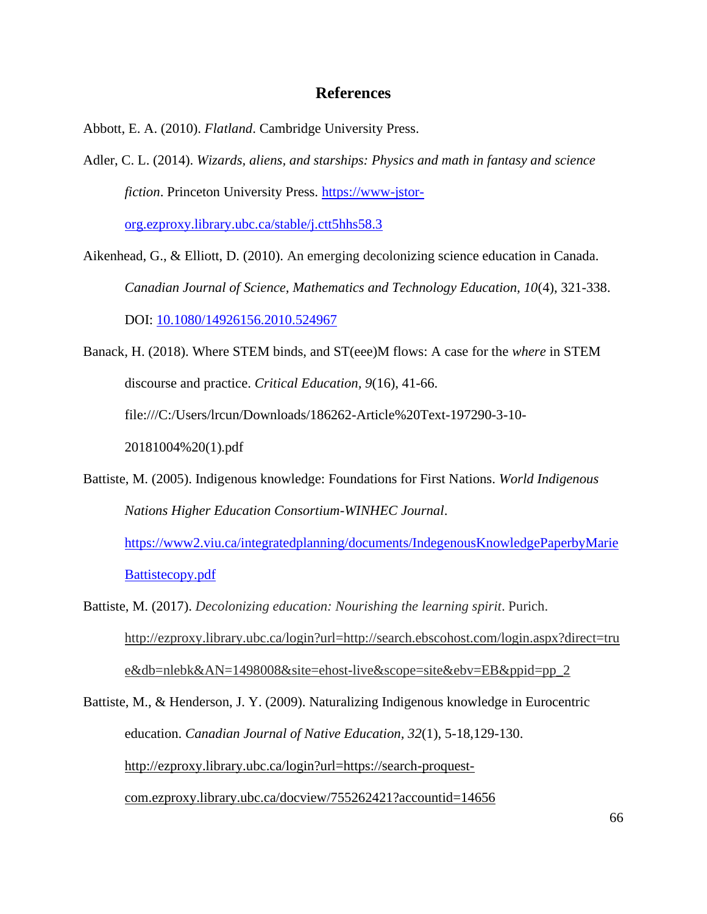### **References**

Abbott, E. A. (2010). *Flatland*. Cambridge University Press.

Adler, C. L. (2014). *Wizards, aliens, and starships: Physics and math in fantasy and science fiction*. Princeton University Press. [https://www-jstor-](https://www-jstor-org.ezproxy.library.ubc.ca/stable/j.ctt5hhs58.3)

[org.ezproxy.library.ubc.ca/stable/j.ctt5hhs58.3](https://www-jstor-org.ezproxy.library.ubc.ca/stable/j.ctt5hhs58.3)

- Aikenhead, G., & Elliott, D. (2010). An emerging decolonizing science education in Canada. *Canadian Journal of Science, Mathematics and Technology Education, 10*(4), 321-338. DOI: [10.1080/14926156.2010.524967](https://www.researchgate.net/deref/http%3A%2F%2Fdx.doi.org%2F10.1080%2F14926156.2010.524967?_sg%5B0%5D=oQCQjshDF0Cp2pL1Vu93ePIGKMzqu9WIo3a7bHc1r6pE4bSlU6giHni18XGQPkU6WPlGprY67u9jHyRcqZQgdvvpFQ.Es-0og5_n1yfBOw5KRvJSEuFaS3wfh2h8OHa5LnlIbNI3gbzU__L05acdzuMeBP8FEDK-SXvPseDjDIyUfCeig)
- Banack, H. (2018). Where STEM binds, and ST(eee)M flows: A case for the *where* in STEM discourse and practice. *Critical Education, 9*(16), 41-66. file:///C:/Users/lrcun/Downloads/186262-Article%20Text-197290-3-10- 20181004%20(1).pdf
- Battiste, M. (2005). Indigenous knowledge: Foundations for First Nations. *World Indigenous Nations Higher Education Consortium-WINHEC Journal*.

[https://www2.viu.ca/integratedplanning/documents/IndegenousKnowledgePaperbyMarie](https://www2.viu.ca/integratedplanning/documents/IndegenousKnowledgePaperbyMarieBattistecopy.pdf) [Battistecopy.pdf](https://www2.viu.ca/integratedplanning/documents/IndegenousKnowledgePaperbyMarieBattistecopy.pdf)

Battiste, M. (2017). *Decolonizing education: Nourishing the learning spirit*. Purich. [http://ezproxy.library.ubc.ca/login?url=http://search.ebscohost.com/login.aspx?direct=tru](http://ezproxy.library.ubc.ca/login?url=http://search.ebscohost.com/login.aspx?direct=true&db=nlebk&AN=1498008&site=ehost-live&scope=site&ebv=EB&ppid=pp_2) [e&db=nlebk&AN=1498008&site=ehost-live&scope=site&ebv=EB&ppid=pp\\_2](http://ezproxy.library.ubc.ca/login?url=http://search.ebscohost.com/login.aspx?direct=true&db=nlebk&AN=1498008&site=ehost-live&scope=site&ebv=EB&ppid=pp_2)

Battiste, M., & Henderson, J. Y. (2009). Naturalizing Indigenous knowledge in Eurocentric education. *Canadian Journal of Native Education, 32*(1), 5-18,129-130. [http://ezproxy.library.ubc.ca/login?url=https://search-proquest](http://ezproxy.library.ubc.ca/login?url=https://search-proquest-com.ezproxy.library.ubc.ca/docview/755262421?accountid=14656)[com.ezproxy.library.ubc.ca/docview/755262421?accountid=14656](http://ezproxy.library.ubc.ca/login?url=https://search-proquest-com.ezproxy.library.ubc.ca/docview/755262421?accountid=14656)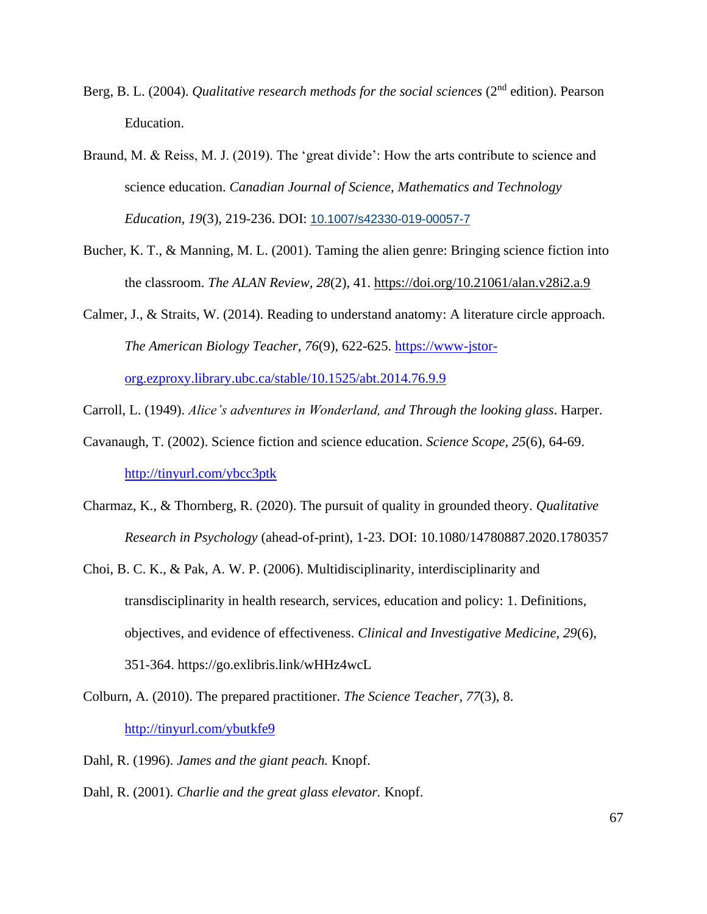- Berg, B. L. (2004). *Qualitative research methods for the social sciences* (2nd edition). Pearson Education.
- Braund, M. & Reiss, M. J. (2019). The 'great divide': How the arts contribute to science and science education. *Canadian Journal of Science, Mathematics and Technology Education, 19*(3), 219-236. DOI: 10.1007/s42330-019-00057-7
- Bucher, K. T., & Manning, M. L. (2001). Taming the alien genre: Bringing science fiction into the classroom. *The ALAN Review, 28*(2), 41.<https://doi.org/10.21061/alan.v28i2.a.9>
- Calmer, J., & Straits, W. (2014). Reading to understand anatomy: A literature circle approach. *The American Biology Teacher, 76*(9), 622-625. [https://www-jstor-](https://www-jstor-org.ezproxy.library.ubc.ca/stable/10.1525/abt.2014.76.9.9)

[org.ezproxy.library.ubc.ca/stable/10.1525/abt.2014.76.9.9](https://www-jstor-org.ezproxy.library.ubc.ca/stable/10.1525/abt.2014.76.9.9)

Carroll, L. (1949). *Alice's adventures in Wonderland, and Through the looking glass*. Harper.

- Cavanaugh, T. (2002). Science fiction and science education. *Science Scope, 25*(6), 64-69. <http://tinyurl.com/ybcc3ptk>
- Charmaz, K., & Thornberg, R. (2020). The pursuit of quality in grounded theory. *Qualitative Research in Psychology* (ahead-of-print), 1-23. DOI: 10.1080/14780887.2020.1780357
- Choi, B. C. K., & Pak, A. W. P. (2006). Multidisciplinarity, interdisciplinarity and transdisciplinarity in health research, services, education and policy: 1. Definitions, objectives, and evidence of effectiveness. *Clinical and Investigative Medicine, 29*(6), 351-364. https://go.exlibris.link/wHHz4wcL
- Colburn, A. (2010). The prepared practitioner. *The Science Teacher, 77*(3), 8. <http://tinyurl.com/ybutkfe9>
- Dahl, R. (1996). *James and the giant peach.* Knopf.
- Dahl, R. (2001). *Charlie and the great glass elevator.* Knopf.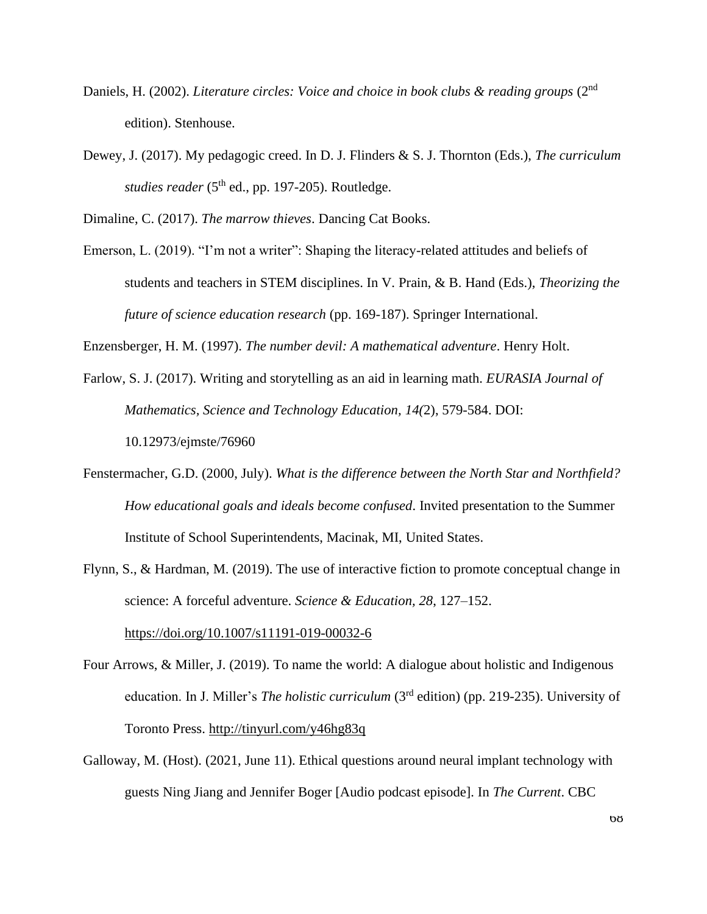- Daniels, H. (2002). *Literature circles: Voice and choice in book clubs & reading groups* (2<sup>nd</sup> edition). Stenhouse.
- Dewey, J. (2017). My pedagogic creed. In D. J. Flinders & S. J. Thornton (Eds.), *The curriculum studies reader* ( $5<sup>th</sup>$  ed., pp. 197-205). Routledge.

Dimaline, C. (2017). *The marrow thieves*. Dancing Cat Books.

Emerson, L. (2019). "I'm not a writer": Shaping the literacy-related attitudes and beliefs of students and teachers in STEM disciplines. In V. Prain, & B. Hand (Eds.), *Theorizing the future of science education research* (pp. 169-187). Springer International.

Enzensberger, H. M. (1997). *The number devil: A mathematical adventure*. Henry Holt.

- Farlow, S. J. (2017). Writing and storytelling as an aid in learning math. *EURASIA Journal of Mathematics, Science and Technology Education, 14(*2), 579-584. DOI: 10.12973/ejmste/76960
- Fenstermacher, G.D. (2000, July). *What is the difference between the North Star and Northfield? How educational goals and ideals become confused*. Invited presentation to the Summer Institute of School Superintendents, Macinak, MI, United States.
- Flynn, S., & Hardman, M. (2019). The use of interactive fiction to promote conceptual change in science: A forceful adventure. *Science & Education, 28*, 127–152.

<https://doi.org/10.1007/s11191-019-00032-6>

- Four Arrows, & Miller, J. (2019). To name the world: A dialogue about holistic and Indigenous education. In J. Miller's *The holistic curriculum* (3rd edition) (pp. 219-235). University of Toronto Press.<http://tinyurl.com/y46hg83q>
- Galloway, M. (Host). (2021, June 11). Ethical questions around neural implant technology with guests Ning Jiang and Jennifer Boger [Audio podcast episode]. In *The Current*. CBC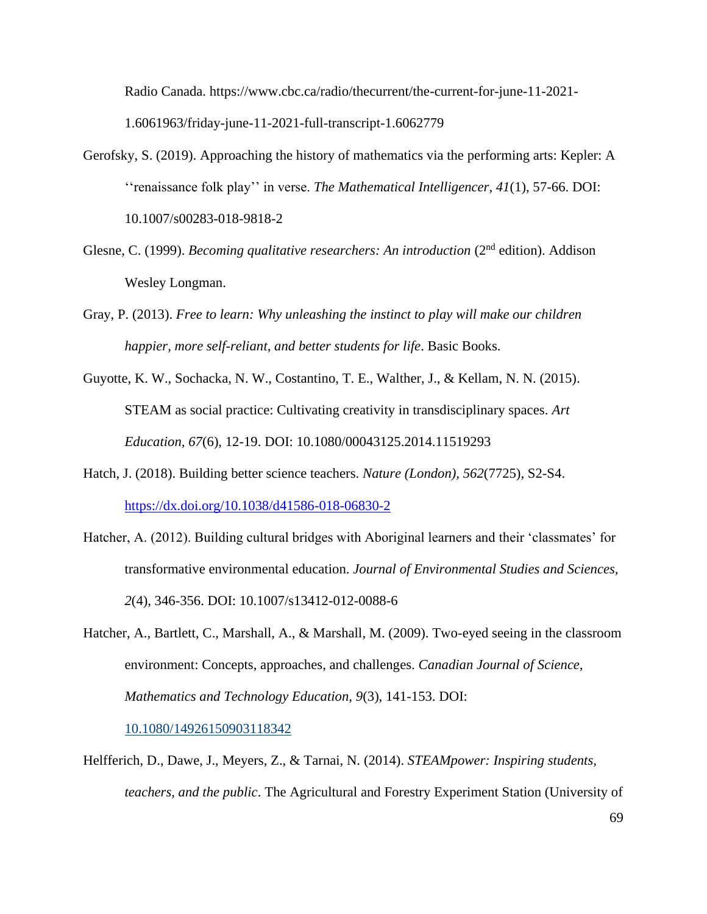Radio Canada. https://www.cbc.ca/radio/thecurrent/the-current-for-june-11-2021- 1.6061963/friday-june-11-2021-full-transcript-1.6062779

- Gerofsky, S. (2019). Approaching the history of mathematics via the performing arts: Kepler: A ''renaissance folk play'' in verse. *The Mathematical Intelligencer, 41*(1), 57-66. DOI: 10.1007/s00283-018-9818-2
- Glesne, C. (1999). *Becoming qualitative researchers: An introduction* (2nd edition). Addison Wesley Longman.
- Gray, P. (2013). *Free to learn: Why unleashing the instinct to play will make our children happier, more self-reliant, and better students for life*. Basic Books.
- Guyotte, K. W., Sochacka, N. W., Costantino, T. E., Walther, J., & Kellam, N. N. (2015). STEAM as social practice: Cultivating creativity in transdisciplinary spaces. *Art Education, 67*(6), 12-19. DOI: 10.1080/00043125.2014.11519293
- Hatch, J. (2018). Building better science teachers. *Nature (London), 562*(7725), S2-S4. <https://dx.doi.org/10.1038/d41586-018-06830-2>
- Hatcher, A. (2012). Building cultural bridges with Aboriginal learners and their 'classmates' for transformative environmental education. *Journal of Environmental Studies and Sciences, 2*(4), 346-356. DOI: 10.1007/s13412-012-0088-6
- Hatcher, A., Bartlett, C., Marshall, A., & Marshall, M. (2009). Two-eyed seeing in the classroom environment: Concepts, approaches, and challenges. *Canadian Journal of Science, Mathematics and Technology Education, 9*(3), 141-153. DOI:

10.1080/14926150903118342

Helfferich, D., Dawe, J., Meyers, Z., & Tarnai, N. (2014). *STEAMpower: Inspiring students, teachers, and the public*. The Agricultural and Forestry Experiment Station (University of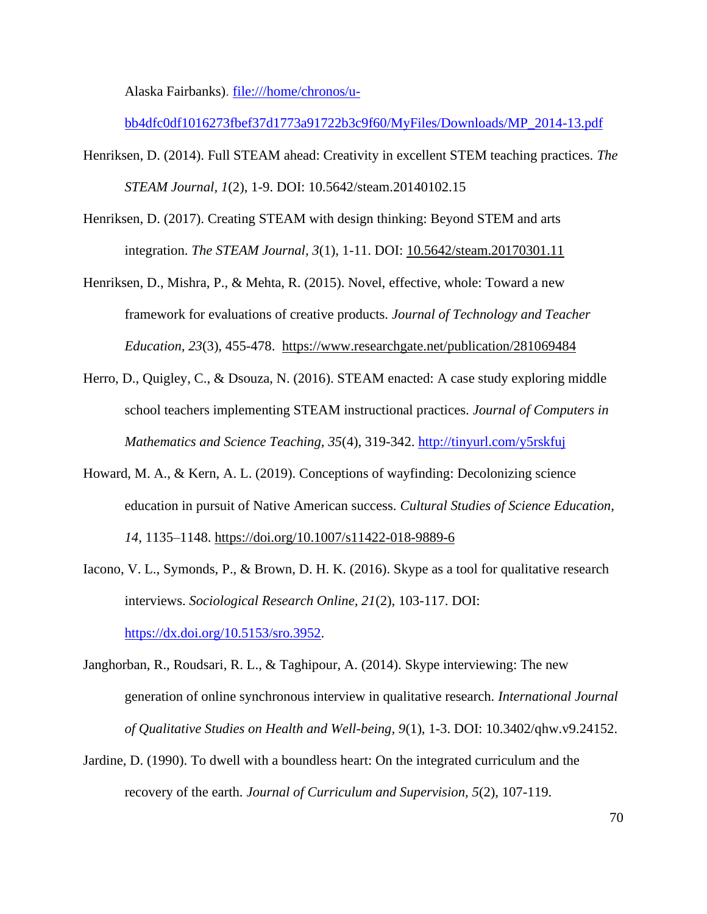Alaska Fairbanks). [file:///home/chronos/u-](file:///C:/home/chronos/u-bb4dfc0df1016273fbef37d1773a91722b3c9f60/MyFiles/Downloads/MP_2014-13.pdf)

[bb4dfc0df1016273fbef37d1773a91722b3c9f60/MyFiles/Downloads/MP\\_2014-13.pdf](file:///C:/home/chronos/u-bb4dfc0df1016273fbef37d1773a91722b3c9f60/MyFiles/Downloads/MP_2014-13.pdf)

- Henriksen, D. (2014). Full STEAM ahead: Creativity in excellent STEM teaching practices. *The STEAM Journal, 1*(2), 1-9. DOI: 10.5642/steam.20140102.15
- Henriksen, D. (2017). Creating STEAM with design thinking: Beyond STEM and arts integration. *The STEAM Journal, 3*(1), 1-11. DOI: 10.5642/steam.20170301.11
- Henriksen, D., Mishra, P., & Mehta, R. (2015). Novel, effective, whole: Toward a new framework for evaluations of creative products. *Journal of Technology and Teacher Education, 23*(3), 455-478. <https://www.researchgate.net/publication/281069484>
- Herro, D., Quigley, C., & Dsouza, N. (2016). STEAM enacted: A case study exploring middle school teachers implementing STEAM instructional practices. *Journal of Computers in Mathematics and Science Teaching, 35*(4), 319-342.<http://tinyurl.com/y5rskfuj>
- Howard, M. A., & Kern, A. L. (2019). Conceptions of wayfinding: Decolonizing science education in pursuit of Native American success. *Cultural Studies of Science Education, 14*, 1135–1148.<https://doi.org/10.1007/s11422-018-9889-6>
- Iacono, V. L., Symonds, P., & Brown, D. H. K. (2016). Skype as a tool for qualitative research interviews. *Sociological Research Online, 21*(2), 103-117. DOI:

[https://dx.doi.org/10.5153/sro.3952.](https://dx.doi.org/10.5153/sro.3952)

- Janghorban, R., Roudsari, R. L., & Taghipour, A. (2014). Skype interviewing: The new generation of online synchronous interview in qualitative research*. International Journal of Qualitative Studies on Health and Well-being, 9*(1), 1-3. DOI: 10.3402/qhw.v9.24152.
- Jardine, D. (1990). To dwell with a boundless heart: On the integrated curriculum and the recovery of the earth. *Journal of Curriculum and Supervision, 5*(2), 107-119.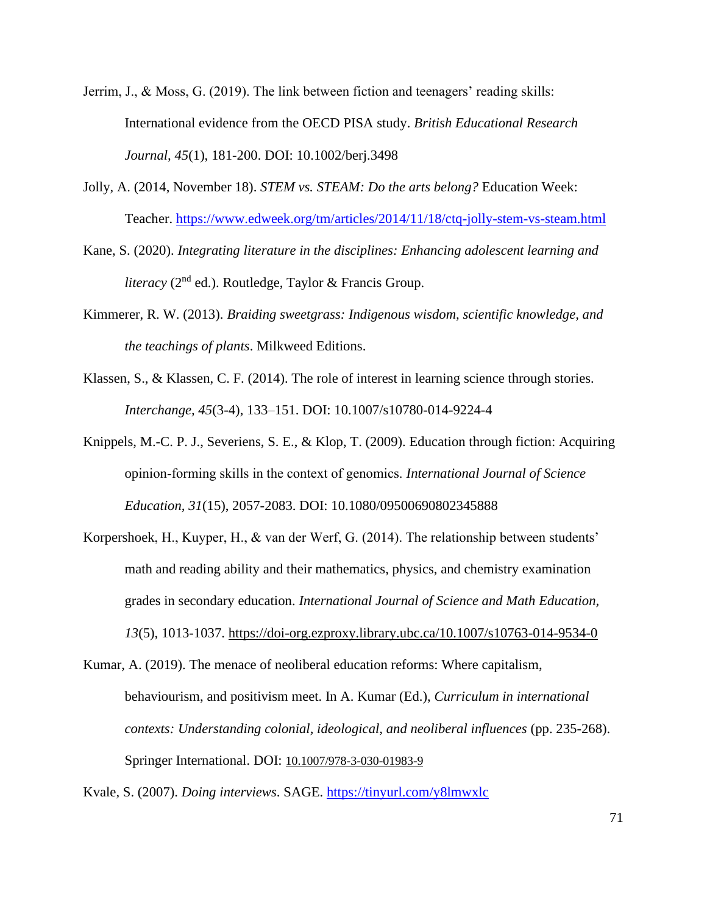- Jerrim, J., & Moss, G. (2019). The link between fiction and teenagers' reading skills: International evidence from the OECD PISA study. *British Educational Research Journal, 45*(1), 181-200. DOI: 10.1002/berj.3498
- Jolly, A. (2014, November 18). *STEM vs. STEAM: Do the arts belong?* Education Week: Teacher.<https://www.edweek.org/tm/articles/2014/11/18/ctq-jolly-stem-vs-steam.html>
- Kane, S. (2020). *Integrating literature in the disciplines: Enhancing adolescent learning and literacy* (2nd ed.). Routledge, Taylor & Francis Group.
- Kimmerer, R. W. (2013). *Braiding sweetgrass: Indigenous wisdom, scientific knowledge, and the teachings of plants*. Milkweed Editions.
- Klassen, S., & Klassen, C. F. (2014). The role of interest in learning science through stories. *Interchange, 45*(3-4), 133–151. DOI: 10.1007/s10780-014-9224-4
- Knippels, M.-C. P. J., Severiens, S. E., & Klop, T. (2009). Education through fiction: Acquiring opinion‐forming skills in the context of genomics. *International Journal of Science Education, 31*(15), 2057-2083. DOI: 10.1080/09500690802345888
- Korpershoek, H., Kuyper, H., & van der Werf, G. (2014). The relationship between students' math and reading ability and their mathematics, physics, and chemistry examination grades in secondary education. *International Journal of Science and Math Education, 13*(5), 1013-1037.<https://doi-org.ezproxy.library.ubc.ca/10.1007/s10763-014-9534-0>
- Kumar, A. (2019). The menace of neoliberal education reforms: Where capitalism, behaviourism, and positivism meet. In A. Kumar (Ed.), *Curriculum in international contexts: Understanding colonial, ideological, and neoliberal influences* (pp. 235-268). Springer International. DOI: 10.1007/978-3-030-01983-9

Kvale, S. (2007). *Doing interviews*. SAGE.<https://tinyurl.com/y8lmwxlc>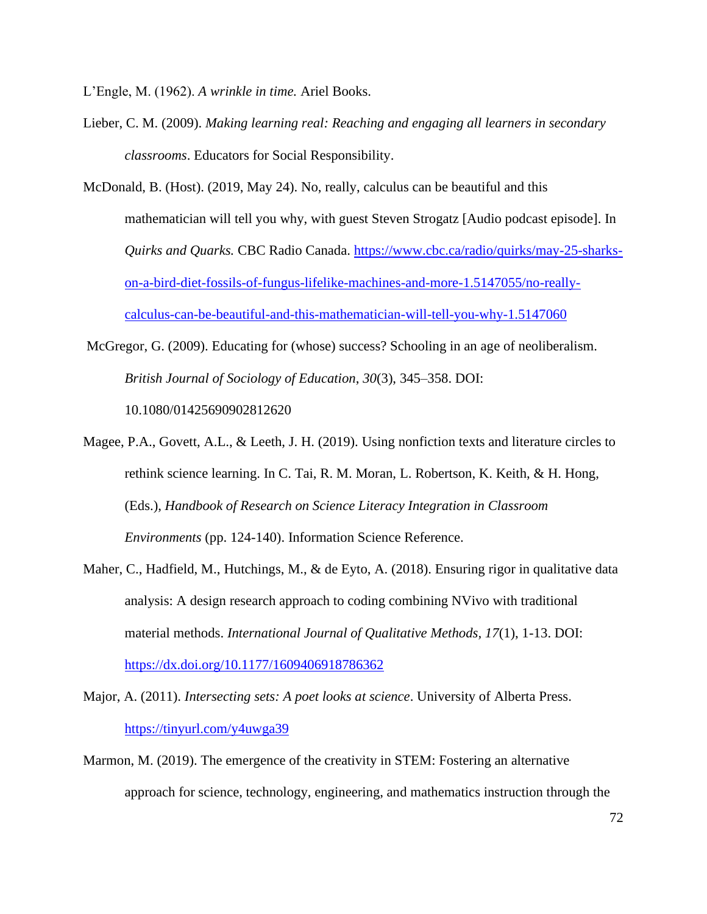L'Engle, M. (1962). *A wrinkle in time.* Ariel Books.

- Lieber, C. M. (2009). *Making learning real: Reaching and engaging all learners in secondary classrooms*. Educators for Social Responsibility.
- McDonald, B. (Host). (2019, May 24). No, really, calculus can be beautiful and this mathematician will tell you why, with guest Steven Strogatz [Audio podcast episode]. In *Quirks and Quarks.* CBC Radio Canada. [https://www.cbc.ca/radio/quirks/may-25-sharks](https://www.cbc.ca/radio/quirks/may-25-sharks-on-a-bird-diet-fossils-of-fungus-lifelike-machines-and-more-1.5147055/no-really-calculus-can-be-beautiful-and-this-mathematician-will-tell-you-why-1.5147060)[on-a-bird-diet-fossils-of-fungus-lifelike-machines-and-more-1.5147055/no-really](https://www.cbc.ca/radio/quirks/may-25-sharks-on-a-bird-diet-fossils-of-fungus-lifelike-machines-and-more-1.5147055/no-really-calculus-can-be-beautiful-and-this-mathematician-will-tell-you-why-1.5147060)[calculus-can-be-beautiful-and-this-mathematician-will-tell-you-why-1.5147060](https://www.cbc.ca/radio/quirks/may-25-sharks-on-a-bird-diet-fossils-of-fungus-lifelike-machines-and-more-1.5147055/no-really-calculus-can-be-beautiful-and-this-mathematician-will-tell-you-why-1.5147060)
- McGregor, G. (2009). Educating for (whose) success? Schooling in an age of neoliberalism. *British Journal of Sociology of Education*, *30*(3), 345–358. DOI: 10.1080/01425690902812620
- Magee, P.A., Govett, A.L., & Leeth, J. H. (2019). Using nonfiction texts and literature circles to rethink science learning. In C. Tai, R. M. Moran, L. Robertson, K. Keith, & H. Hong, (Eds.), *Handbook of Research on Science Literacy Integration in Classroom Environments* (pp. 124-140). Information Science Reference.
- Maher, C., Hadfield, M., Hutchings, M., & de Eyto, A. (2018). Ensuring rigor in qualitative data analysis: A design research approach to coding combining NVivo with traditional material methods. *International Journal of Qualitative Methods, 17*(1), 1-13. DOI: <https://dx.doi.org/10.1177/1609406918786362>
- Major, A. (2011). *Intersecting sets: A poet looks at science*. University of Alberta Press. <https://tinyurl.com/y4uwga39>
- Marmon, M. (2019). The emergence of the creativity in STEM: Fostering an alternative approach for science, technology, engineering, and mathematics instruction through the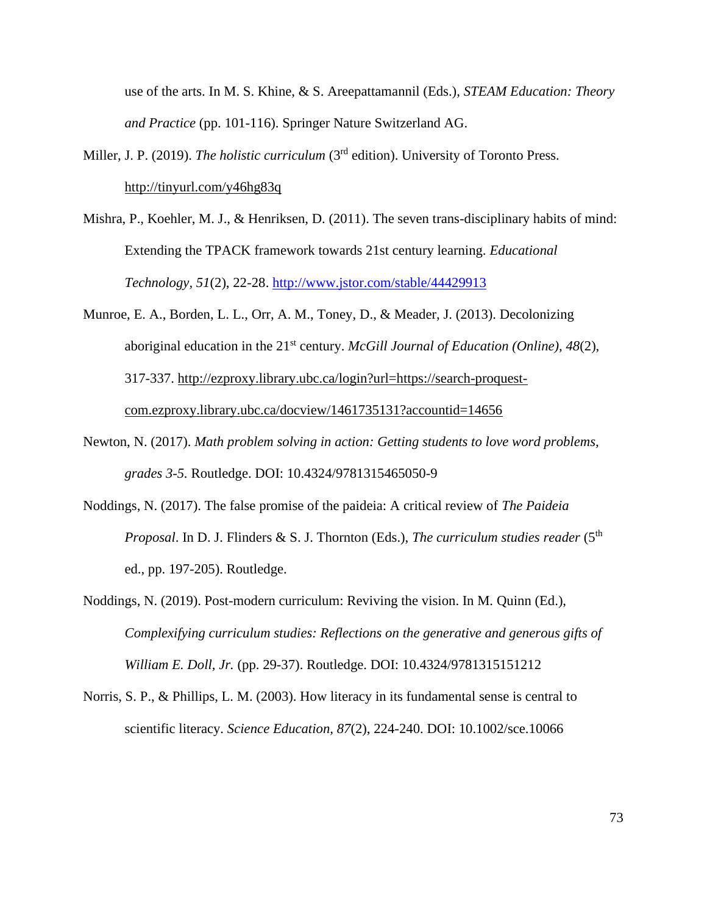use of the arts. In M. S. Khine, & S. Areepattamannil (Eds.), *STEAM Education: Theory and Practice* (pp. 101-116). Springer Nature Switzerland AG.

- Miller, J. P. (2019). *The holistic curriculum* (3<sup>rd</sup> edition). University of Toronto Press. <http://tinyurl.com/y46hg83q>
- Mishra, P., Koehler, M. J., & Henriksen, D. (2011). The seven trans-disciplinary habits of mind: Extending the TPACK framework towards 21st century learning. *Educational Technology, 51*(2), 22-28.<http://www.jstor.com/stable/44429913>
- Munroe, E. A., Borden, L. L., Orr, A. M., Toney, D., & Meader, J. (2013). Decolonizing aboriginal education in the 21<sup>st</sup> century. *McGill Journal of Education (Online)*, 48(2), 317-337. [http://ezproxy.library.ubc.ca/login?url=https://search-proquest](http://ezproxy.library.ubc.ca/login?url=https://search-proquest-com.ezproxy.library.ubc.ca/docview/1461735131?accountid=14656)[com.ezproxy.library.ubc.ca/docview/1461735131?accountid=14656](http://ezproxy.library.ubc.ca/login?url=https://search-proquest-com.ezproxy.library.ubc.ca/docview/1461735131?accountid=14656)
- Newton, N. (2017). *Math problem solving in action: Getting students to love word problems, grades 3-5.* Routledge. DOI: 10.4324/9781315465050-9
- Noddings, N. (2017). The false promise of the paideia: A critical review of *The Paideia Proposal*. In D. J. Flinders & S. J. Thornton (Eds.), *The curriculum studies reader* (5th ed., pp. 197-205). Routledge.
- Noddings, N. (2019). Post-modern curriculum: Reviving the vision. In M. Quinn (Ed.), *Complexifying curriculum studies: Reflections on the generative and generous gifts of William E. Doll, Jr.* (pp. 29-37). Routledge. DOI: 10.4324/9781315151212
- Norris, S. P., & Phillips, L. M. (2003). How literacy in its fundamental sense is central to scientific literacy. *Science Education, 87*(2), 224-240. DOI: 10.1002/sce.10066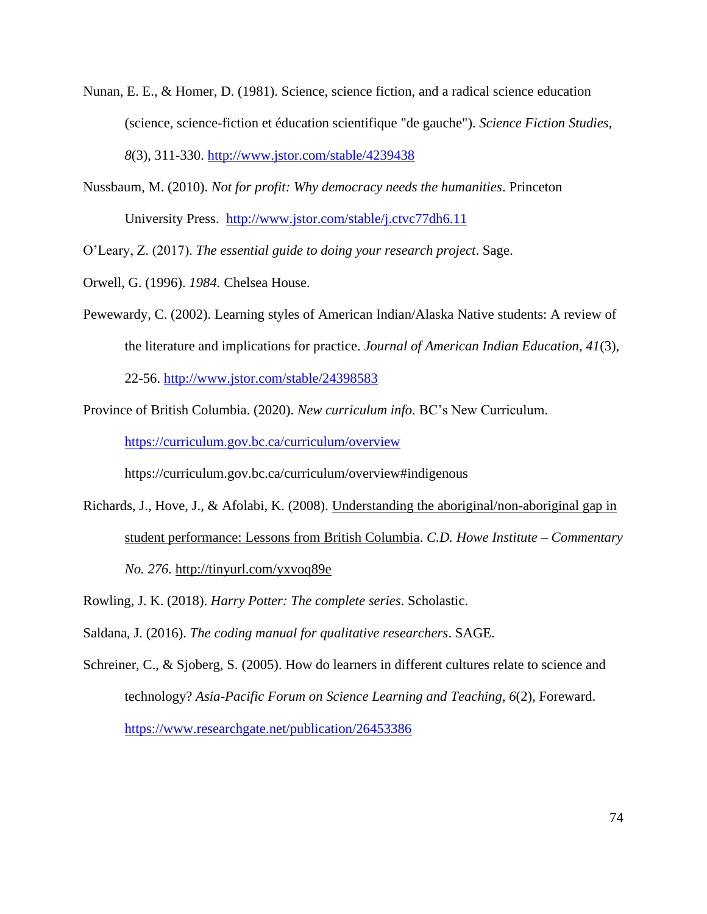- Nunan, E. E., & Homer, D. (1981). Science, science fiction, and a radical science education (science, science-fiction et éducation scientifique "de gauche"). *Science Fiction Studies, 8*(3), 311-330.<http://www.jstor.com/stable/4239438>
- Nussbaum, M. (2010). *Not for profit: Why democracy needs the humanities*. Princeton University Press. <http://www.jstor.com/stable/j.ctvc77dh6.11>

O'Leary, Z. (2017). *The essential guide to doing your research project*. Sage.

- Orwell, G. (1996). *1984.* Chelsea House.
- Pewewardy, C. (2002). Learning styles of American Indian/Alaska Native students: A review of the literature and implications for practice. *Journal of American Indian Education, 41*(3),

22-56.<http://www.jstor.com/stable/24398583>

Province of British Columbia. (2020). *New curriculum info.* BC's New Curriculum.

<https://curriculum.gov.bc.ca/curriculum/overview>

https://curriculum.gov.bc.ca/curriculum/overview#indigenous

- Richards, J., Hove, J., & Afolabi, K. (2008). [Understanding the aboriginal/non-aboriginal gap in](https://ubc.summon.serialssolutions.com/2.0.0/link/0/eLvHCXMwfV3NT4MwFH_R7eJNnUbmtvSiN7RrK4yjmy7GsxdPpB3FLFlgUff_-ysfAoZ4KeUl0B-FvC_eB5EUd9z_wxOkMsKVJZzzSCQLbSVYYsKDNJSGS1N092mH6tRdOxrafy--p8F06S-PFMRfeNvqI1Qni9wIDv0Ko_5tQOXqkOaZ3ybwD73H6Cx0_lWWmsRs30T042wHhpQ7lZe7fBAcqmJEmK0cfzFbaG_HD1yV3RUgwjZ218nxd4JsfUpD67IbzujIZiNKOmgZsLIG2H0XJwNKts1YhZC18LEKHXPYWIWM1bguaLx-flu9-MASV96iOBRSwWCWlzTAMvaKmFrA6EiVCLWRSmvobEbJIDDaCJigUerRCI8UJ_nmUGTlxdAiwnnk0XnPfT2atKn1L7bYldXHNzHuveiaTsowDef5mNDg-_Ngp8UWzopNndHwcfn-9PoDbOS-PQ)  [student performance: Lessons from British Columbia.](https://ubc.summon.serialssolutions.com/2.0.0/link/0/eLvHCXMwfV3NT4MwFH_R7eJNnUbmtvSiN7RrK4yjmy7GsxdPpB3FLFlgUff_-ysfAoZ4KeUl0B-FvC_eB5EUd9z_wxOkMsKVJZzzSCQLbSVYYsKDNJSGS1N092mH6tRdOxrafy--p8F06S-PFMRfeNvqI1Qni9wIDv0Ko_5tQOXqkOaZ3ybwD73H6Cx0_lWWmsRs30T042wHhpQ7lZe7fBAcqmJEmK0cfzFbaG_HD1yV3RUgwjZ218nxd4JsfUpD67IbzujIZiNKOmgZsLIG2H0XJwNKts1YhZC18LEKHXPYWIWM1bguaLx-flu9-MASV96iOBRSwWCWlzTAMvaKmFrA6EiVCLWRSmvobEbJIDDaCJigUerRCI8UJ_nmUGTlxdAiwnnk0XnPfT2atKn1L7bYldXHNzHuveiaTsowDef5mNDg-_Ngp8UWzopNndHwcfn-9PoDbOS-PQ) *C.D. Howe Institute – Commentary No. 276.* <http://tinyurl.com/yxvoq89e>
- Rowling, J. K. (2018). *Harry Potter: The complete series*. Scholastic.

Saldana, J. (2016). *The coding manual for qualitative researchers*. SAGE.

Schreiner, C., & Sjoberg, S. (2005). How do learners in different cultures relate to science and technology? *Asia-Pacific Forum on Science Learning and Teaching, 6*(2), Foreward. <https://www.researchgate.net/publication/26453386>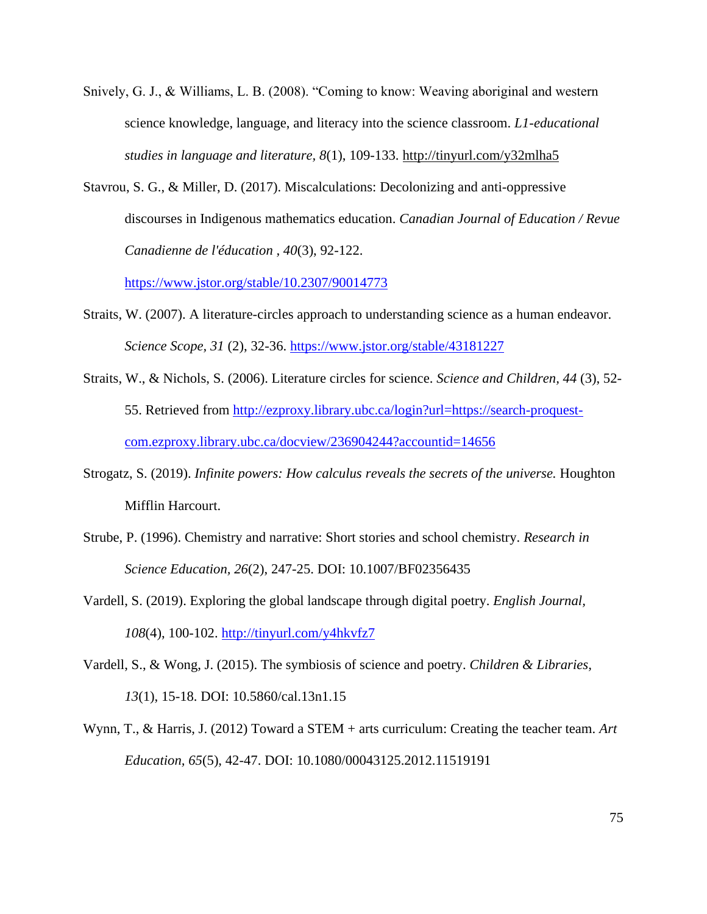- Snively, G. J., & Williams, L. B. (2008). "Coming to know: Weaving aboriginal and western science knowledge, language, and literacy into the science classroom. *L1-educational studies in language and literature, 8*(1), 109-133.<http://tinyurl.com/y32mlha5>
- Stavrou, S. G., & Miller, D. (2017). Miscalculations: Decolonizing and anti-oppressive discourses in Indigenous mathematics education. *Canadian Journal of Education / Revue Canadienne de l'éducation , 40*(3), 92-122.

<https://www.jstor.org/stable/10.2307/90014773>

- Straits, W. (2007). A literature-circles approach to understanding science as a human endeavor. *Science Scope, 31* (2), 32-36.<https://www.jstor.org/stable/43181227>
- Straits, W., & Nichols, S. (2006). Literature circles for science. *Science and Children, 44* (3), 52- 55. Retrieved from [http://ezproxy.library.ubc.ca/login?url=https://search-proquest](http://ezproxy.library.ubc.ca/login?url=https://search-proquest-com.ezproxy.library.ubc.ca/docview/236904244?accountid=14656)[com.ezproxy.library.ubc.ca/docview/236904244?accountid=14656](http://ezproxy.library.ubc.ca/login?url=https://search-proquest-com.ezproxy.library.ubc.ca/docview/236904244?accountid=14656)
- Strogatz, S. (2019). *Infinite powers: How calculus reveals the secrets of the universe.* Houghton Mifflin Harcourt.
- Strube, P. (1996). Chemistry and narrative: Short stories and school chemistry. *Research in Science Education, 26*(2), 247-25. DOI: 10.1007/BF02356435
- Vardell, S. (2019). Exploring the global landscape through digital poetry. *English Journal, 108*(4), 100-102.<http://tinyurl.com/y4hkvfz7>
- Vardell, S., & Wong, J. (2015). The symbiosis of science and poetry. *Children & Libraries, 13*(1), 15-18. DOI: 10.5860/cal.13n1.15
- Wynn, T., & Harris, J. (2012) Toward a STEM + arts curriculum: Creating the teacher team. *Art Education, 65*(5), 42-47. DOI: 10.1080/00043125.2012.11519191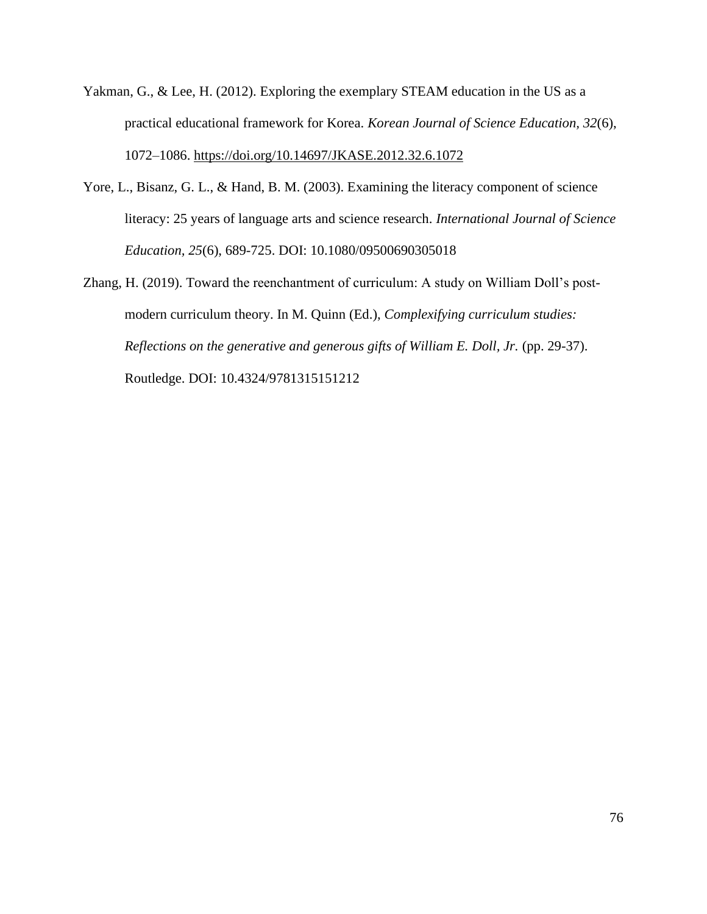- Yakman, G., & Lee, H. (2012). Exploring the exemplary STEAM education in the US as a practical educational framework for Korea. *Korean Journal of Science Education, 32*(6), 1072–1086.<https://doi.org/10.14697/JKASE.2012.32.6.1072>
- Yore, L., Bisanz, G. L., & Hand, B. M. (2003). Examining the literacy component of science literacy: 25 years of language arts and science research. *International Journal of Science Education, 25*(6), 689-725. DOI: 10.1080/09500690305018
- Zhang, H. (2019). Toward the reenchantment of curriculum: A study on William Doll's postmodern curriculum theory. In M. Quinn (Ed.), *Complexifying curriculum studies: Reflections on the generative and generous gifts of William E. Doll, Jr. (pp. 29-37).* Routledge. DOI: 10.4324/9781315151212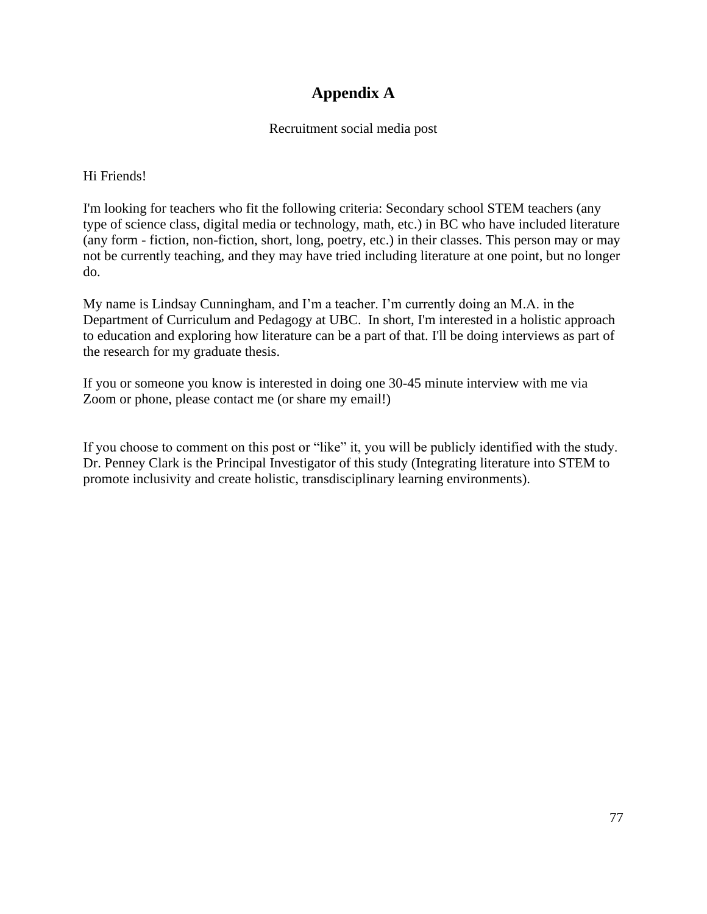# **Appendix A**

### Recruitment social media post

Hi Friends!

I'm looking for teachers who fit the following criteria: Secondary school STEM teachers (any type of science class, digital media or technology, math, etc.) in BC who have included literature (any form - fiction, non-fiction, short, long, poetry, etc.) in their classes. This person may or may not be currently teaching, and they may have tried including literature at one point, but no longer do.

My name is Lindsay Cunningham, and I'm a teacher. I'm currently doing an M.A. in the Department of Curriculum and Pedagogy at UBC. In short, I'm interested in a holistic approach to education and exploring how literature can be a part of that. I'll be doing interviews as part of the research for my graduate thesis.

If you or someone you know is interested in doing one 30-45 minute interview with me via Zoom or phone, please contact me (or share my email!)

If you choose to comment on this post or "like" it, you will be publicly identified with the study. Dr. Penney Clark is the Principal Investigator of this study (Integrating literature into STEM to promote inclusivity and create holistic, transdisciplinary learning environments).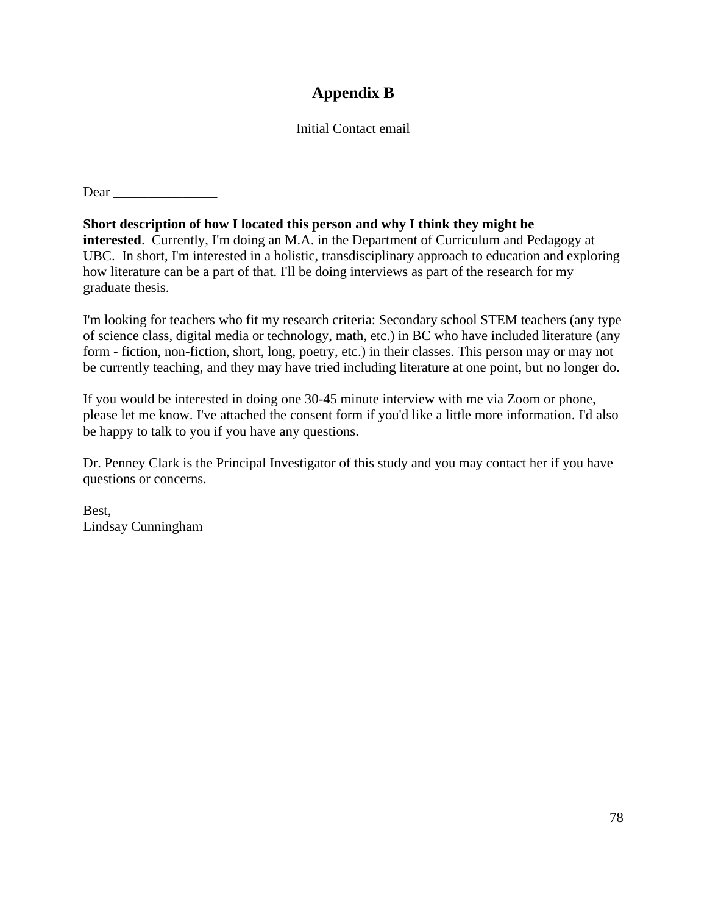# **Appendix B**

### Initial Contact email

Dear \_\_\_\_\_\_\_\_\_\_\_\_\_\_\_

**Short description of how I located this person and why I think they might be interested**. Currently, I'm doing an M.A. in the Department of Curriculum and Pedagogy at UBC. In short, I'm interested in a holistic, transdisciplinary approach to education and exploring how literature can be a part of that. I'll be doing interviews as part of the research for my graduate thesis.

I'm looking for teachers who fit my research criteria: Secondary school STEM teachers (any type of science class, digital media or technology, math, etc.) in BC who have included literature (any form - fiction, non-fiction, short, long, poetry, etc.) in their classes. This person may or may not be currently teaching, and they may have tried including literature at one point, but no longer do.

If you would be interested in doing one 30-45 minute interview with me via Zoom or phone, please let me know. I've attached the consent form if you'd like a little more information. I'd also be happy to talk to you if you have any questions.

Dr. Penney Clark is the Principal Investigator of this study and you may contact her if you have questions or concerns.

Best, Lindsay Cunningham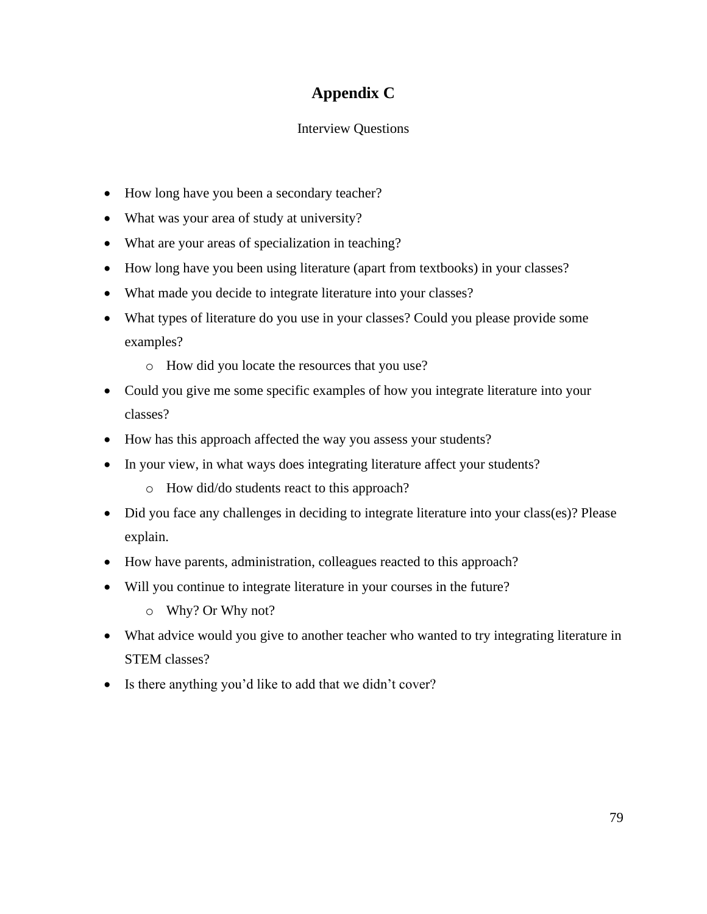# **Appendix C**

## Interview Questions

- How long have you been a secondary teacher?
- What was your area of study at university?
- What are your areas of specialization in teaching?
- How long have you been using literature (apart from textbooks) in your classes?
- What made you decide to integrate literature into your classes?
- What types of literature do you use in your classes? Could you please provide some examples?
	- o How did you locate the resources that you use?
- Could you give me some specific examples of how you integrate literature into your classes?
- How has this approach affected the way you assess your students?
- In your view, in what ways does integrating literature affect your students?
	- o How did/do students react to this approach?
- Did you face any challenges in deciding to integrate literature into your class(es)? Please explain.
- How have parents, administration, colleagues reacted to this approach?
- Will you continue to integrate literature in your courses in the future?
	- o Why? Or Why not?
- What advice would you give to another teacher who wanted to try integrating literature in STEM classes?
- Is there anything you'd like to add that we didn't cover?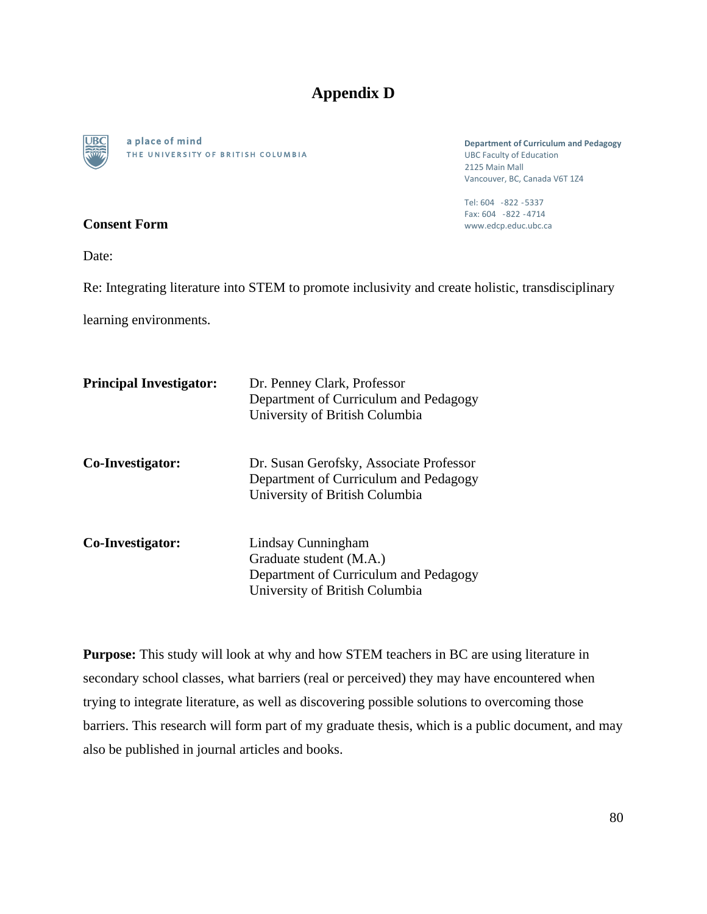# **Appendix D**



a place of mind THE UNIVERSITY OF BRITISH COLUMBIA

**Department of Curriculum and Pedagogy**  UBC Faculty of Education 2125 Main Mall Vancouver, BC, Canada V6T 1Z4

Tel: 604 -822 -5337 Fax: 604 -822 -4714 www.edcp.educ.ubc.ca

Date:

**Consent Form**

Re: Integrating literature into STEM to promote inclusivity and create holistic, transdisciplinary

learning environments.

| <b>Principal Investigator:</b> | Dr. Penney Clark, Professor<br>Department of Curriculum and Pedagogy<br>University of British Columbia                   |
|--------------------------------|--------------------------------------------------------------------------------------------------------------------------|
| Co-Investigator:               | Dr. Susan Gerofsky, Associate Professor<br>Department of Curriculum and Pedagogy<br>University of British Columbia       |
| Co-Investigator:               | Lindsay Cunningham<br>Graduate student (M.A.)<br>Department of Curriculum and Pedagogy<br>University of British Columbia |

**Purpose:** This study will look at why and how STEM teachers in BC are using literature in secondary school classes, what barriers (real or perceived) they may have encountered when trying to integrate literature, as well as discovering possible solutions to overcoming those barriers. This research will form part of my graduate thesis, which is a public document, and may also be published in journal articles and books.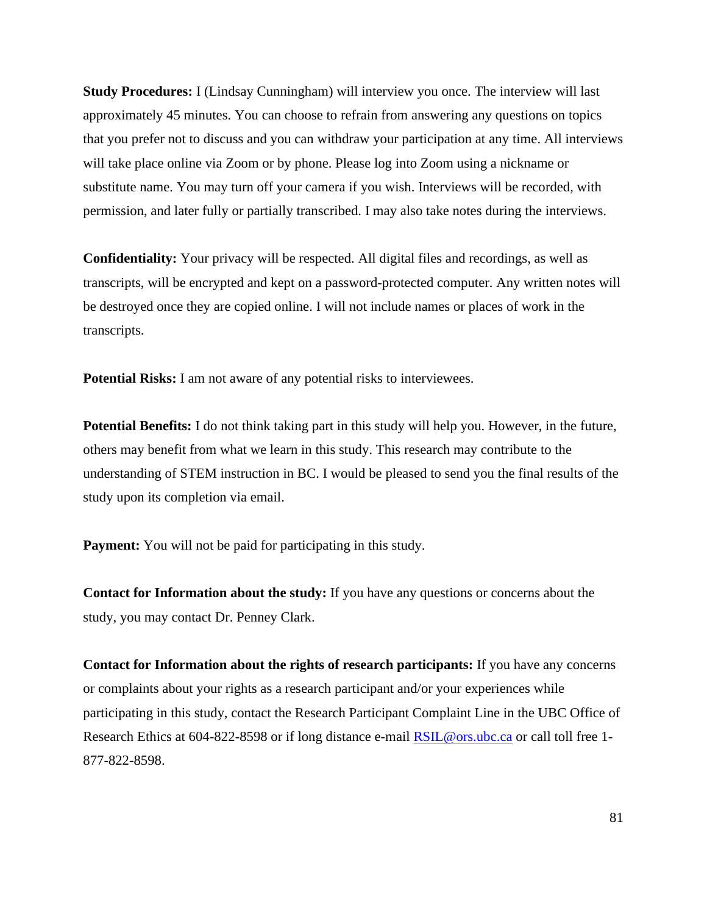**Study Procedures:** I (Lindsay Cunningham) will interview you once. The interview will last approximately 45 minutes. You can choose to refrain from answering any questions on topics that you prefer not to discuss and you can withdraw your participation at any time. All interviews will take place online via Zoom or by phone. Please log into Zoom using a nickname or substitute name. You may turn off your camera if you wish. Interviews will be recorded, with permission, and later fully or partially transcribed. I may also take notes during the interviews.

**Confidentiality:** Your privacy will be respected. All digital files and recordings, as well as transcripts, will be encrypted and kept on a password-protected computer. Any written notes will be destroyed once they are copied online. I will not include names or places of work in the transcripts.

**Potential Risks:** I am not aware of any potential risks to interviewees.

**Potential Benefits:** I do not think taking part in this study will help you. However, in the future, others may benefit from what we learn in this study. This research may contribute to the understanding of STEM instruction in BC. I would be pleased to send you the final results of the study upon its completion via email.

**Payment:** You will not be paid for participating in this study.

**Contact for Information about the study:** If you have any questions or concerns about the study, you may contact Dr. Penney Clark.

**Contact for Information about the rights of research participants:** If you have any concerns or complaints about your rights as a research participant and/or your experiences while participating in this study, contact the Research Participant Complaint Line in the UBC Office of Research Ethics at 604-822-8598 or if long distance e-mail [RSIL@ors.ubc.ca](mailto:RSIL@ors.ubc.ca) or call toll free 1-877-822-8598.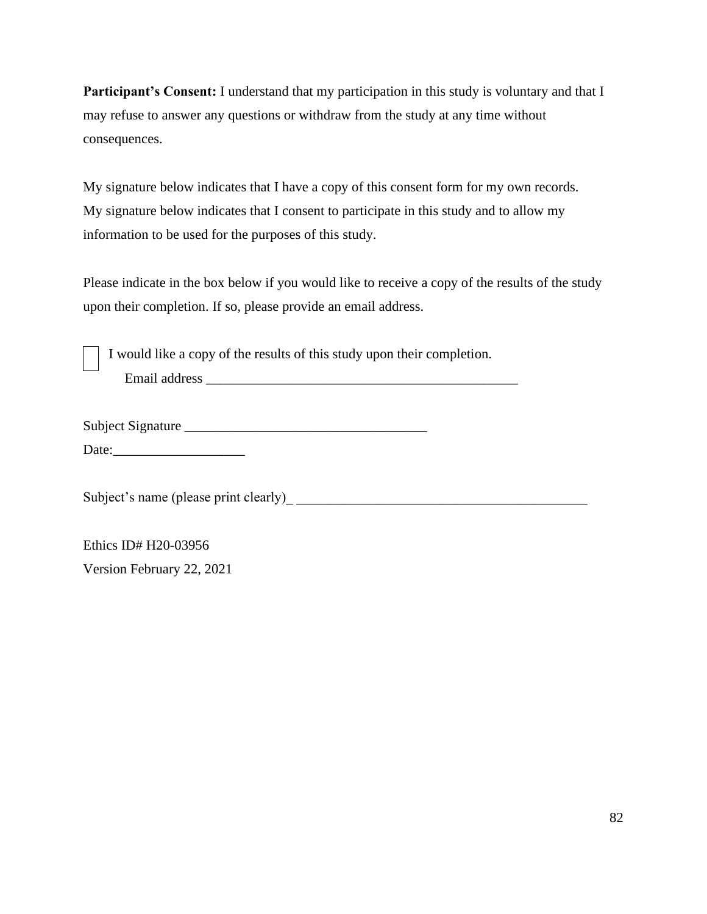**Participant's Consent:** I understand that my participation in this study is voluntary and that I may refuse to answer any questions or withdraw from the study at any time without consequences.

My signature below indicates that I have a copy of this consent form for my own records. My signature below indicates that I consent to participate in this study and to allow my information to be used for the purposes of this study.

Please indicate in the box below if you would like to receive a copy of the results of the study upon their completion. If so, please provide an email address.

I would like a copy of the results of this study upon their completion. Email address \_\_\_\_\_\_\_\_\_\_\_\_\_\_\_\_\_\_\_\_\_\_\_\_\_\_\_\_\_\_\_\_\_\_\_\_\_\_\_\_\_\_\_\_\_

Subject Signature

Date:\_\_\_\_\_\_\_\_\_\_\_\_\_\_\_\_\_\_\_

Subject's name (please print clearly)\_ \_\_\_\_\_\_\_\_\_\_\_\_\_\_\_\_\_\_\_\_\_\_\_\_\_\_\_\_\_\_\_\_\_\_\_\_\_\_\_\_\_\_

Ethics ID# H20-03956

Version February 22, 2021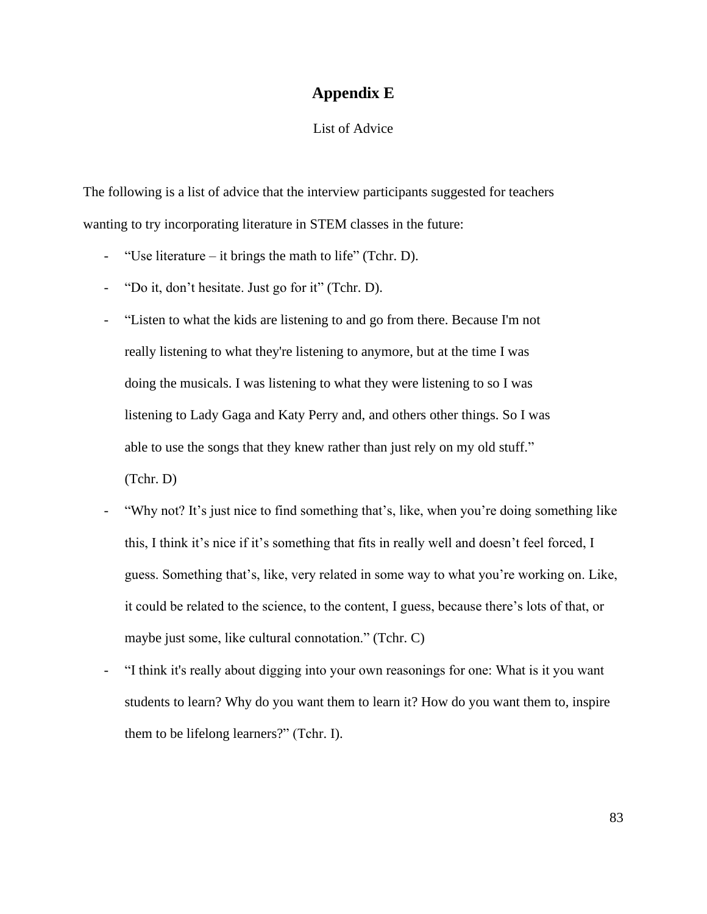### **Appendix E**

#### List of Advice

The following is a list of advice that the interview participants suggested for teachers wanting to try incorporating literature in STEM classes in the future:

- "Use literature it brings the math to life" (Tchr. D).
- "Do it, don't hesitate. Just go for it" (Tchr. D).
- "Listen to what the kids are listening to and go from there. Because I'm not really listening to what they're listening to anymore, but at the time I was doing the musicals. I was listening to what they were listening to so I was listening to Lady Gaga and Katy Perry and, and others other things. So I was able to use the songs that they knew rather than just rely on my old stuff." (Tchr. D)
- "Why not? It's just nice to find something that's, like, when you're doing something like this, I think it's nice if it's something that fits in really well and doesn't feel forced, I guess. Something that's, like, very related in some way to what you're working on. Like, it could be related to the science, to the content, I guess, because there's lots of that, or maybe just some, like cultural connotation." (Tchr. C)
- "I think it's really about digging into your own reasonings for one: What is it you want students to learn? Why do you want them to learn it? How do you want them to, inspire them to be lifelong learners?" (Tchr. I).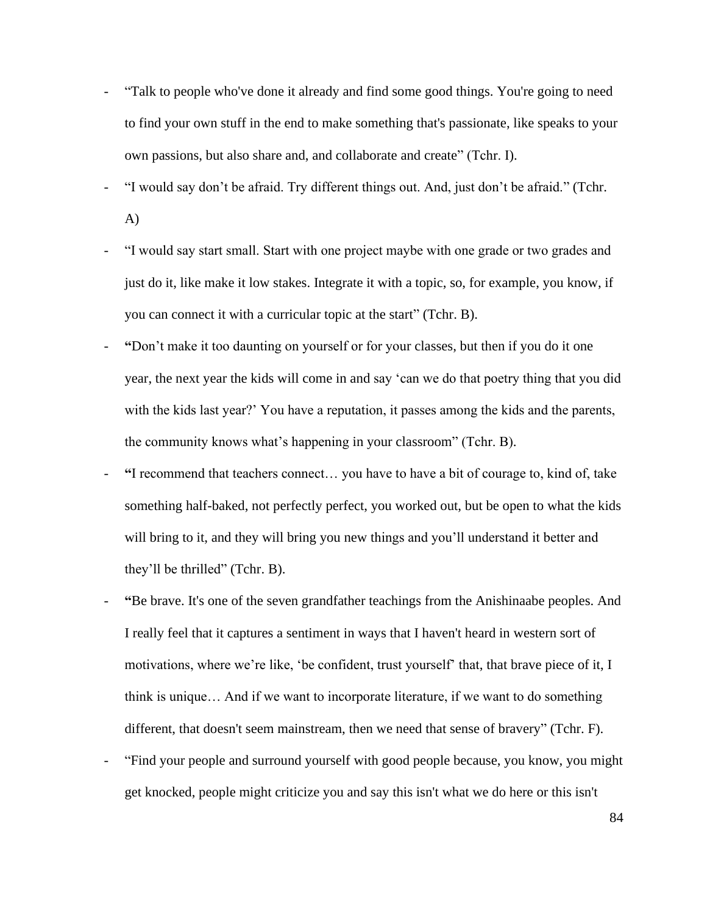- "Talk to people who've done it already and find some good things. You're going to need to find your own stuff in the end to make something that's passionate, like speaks to your own passions, but also share and, and collaborate and create" (Tchr. I).
- "I would say don't be afraid. Try different things out. And, just don't be afraid." (Tchr. A)
- "I would say start small. Start with one project maybe with one grade or two grades and just do it, like make it low stakes. Integrate it with a topic, so, for example, you know, if you can connect it with a curricular topic at the start" (Tchr. B).
- **"**Don't make it too daunting on yourself or for your classes, but then if you do it one year, the next year the kids will come in and say 'can we do that poetry thing that you did with the kids last year?' You have a reputation, it passes among the kids and the parents, the community knows what's happening in your classroom" (Tchr. B).
- **"**I recommend that teachers connect… you have to have a bit of courage to, kind of, take something half-baked, not perfectly perfect, you worked out, but be open to what the kids will bring to it, and they will bring you new things and you'll understand it better and they'll be thrilled" (Tchr. B).
- **"**Be brave. It's one of the seven grandfather teachings from the Anishinaabe peoples. And I really feel that it captures a sentiment in ways that I haven't heard in western sort of motivations, where we're like, 'be confident, trust yourself' that, that brave piece of it, I think is unique… And if we want to incorporate literature, if we want to do something different, that doesn't seem mainstream, then we need that sense of bravery" (Tchr. F).
- "Find your people and surround yourself with good people because, you know, you might get knocked, people might criticize you and say this isn't what we do here or this isn't